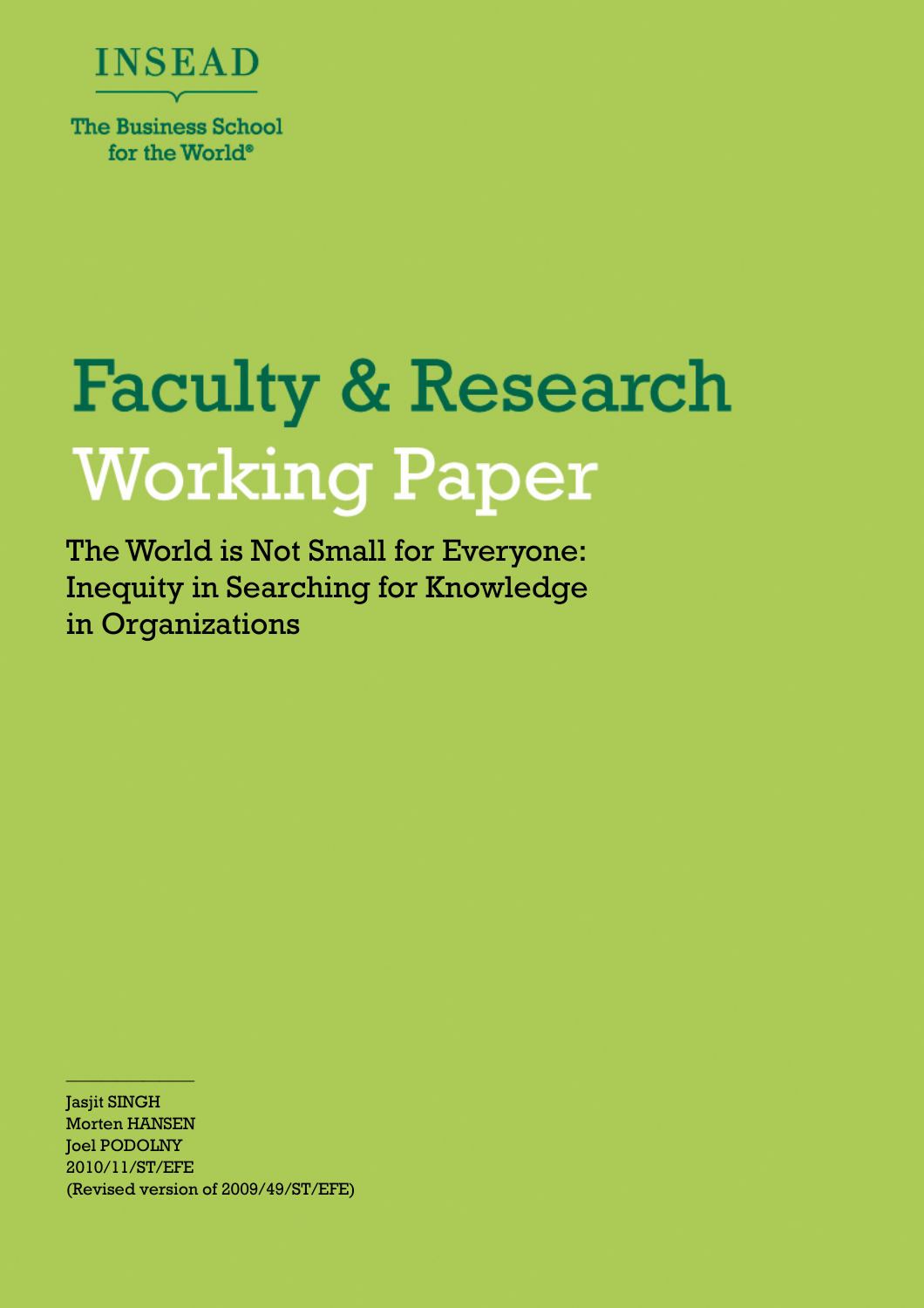

for the World<sup>®</sup>

# **Faculty & Research Working Paper**

The World is Not Small for Everyone: Inequity in Searching for Knowledge in Organizations

**Jasjit SINGH** Morten HANSEN **Joel PODOLNY** 2010/11/ST/EFE (Revised version of 2009/49/ST/EFE)

 $\frac{4137.8799(11.74)}{2}$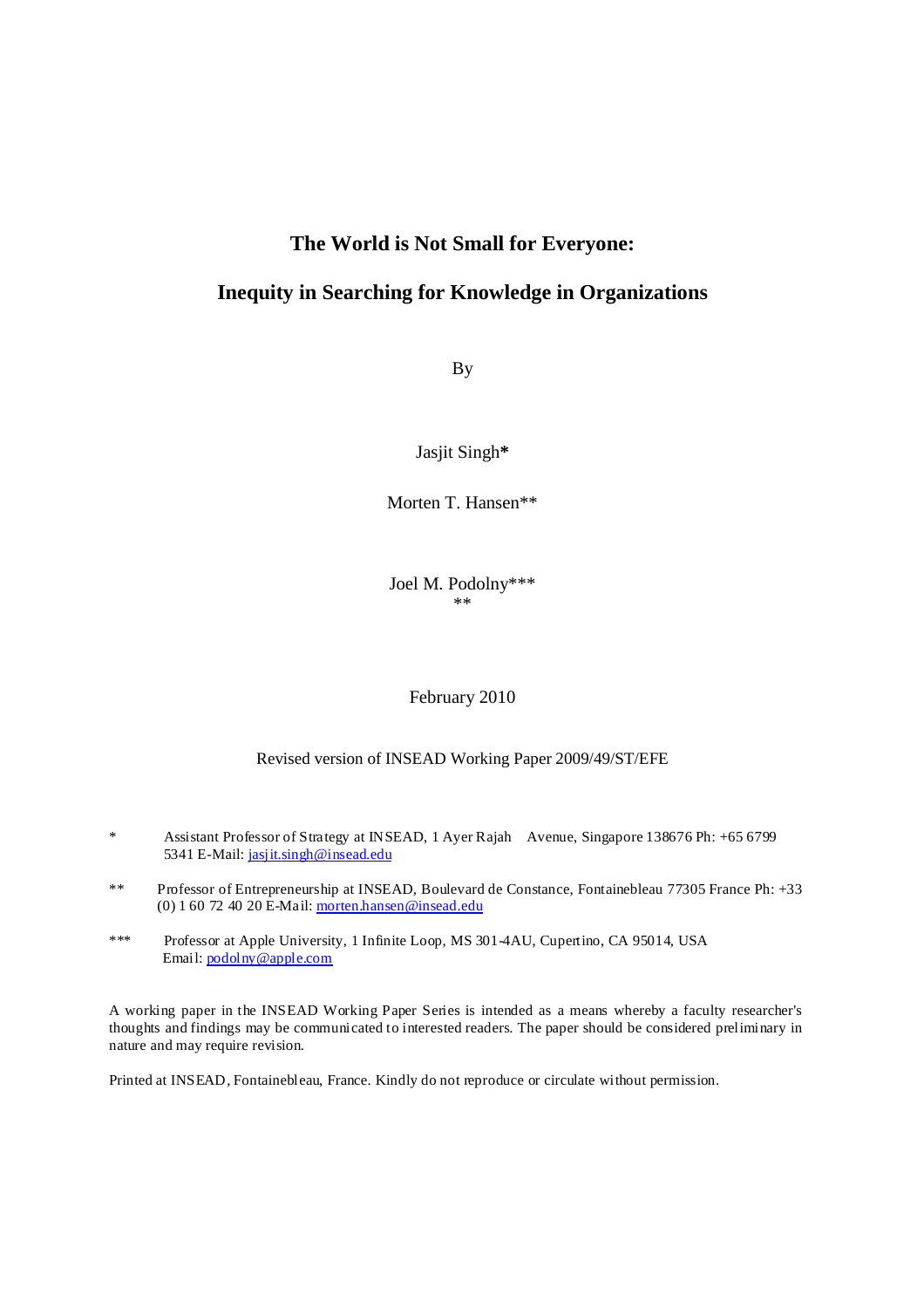# **The World is Not Small for Everyone:**

# **Inequity in Searching for Knowledge in Organizations**

By

Jasjit Singh**\***

Morten T. Hansen\*\*

Joel M. Podolny\*\*\* \*\*

February 2010

Revised version of INSEAD Working Paper 2009/49/ST/EFE

- \* Assistant Professor of Strategy at INSEAD, 1 Ayer Rajah Avenue, Singapore 138676 Ph: +65 6799 5341 E-Mail: jasjit.singh@insead.edu
- \*\* Professor of Entrepreneurship at INSEAD, Boulevard de Constance, Fontainebleau 77305 France Ph: +33 (0)  $160724020$  E-Mail: morten.hansen@insead.edu
- \*\*\* Professor at Apple University, 1 Infinite Loop, MS 301-4AU, Cupertino, CA 95014, USA Email: podolny@apple.com

A working paper in the INSEAD Working Paper Series is intended as a means whereby a faculty researcher's thoughts and findings may be communicated to interested readers. The paper should be considered preliminary in nature and may require revision.

Printed at INSEAD, Fontainebleau, France. Kindly do not reproduce or circulate without permission.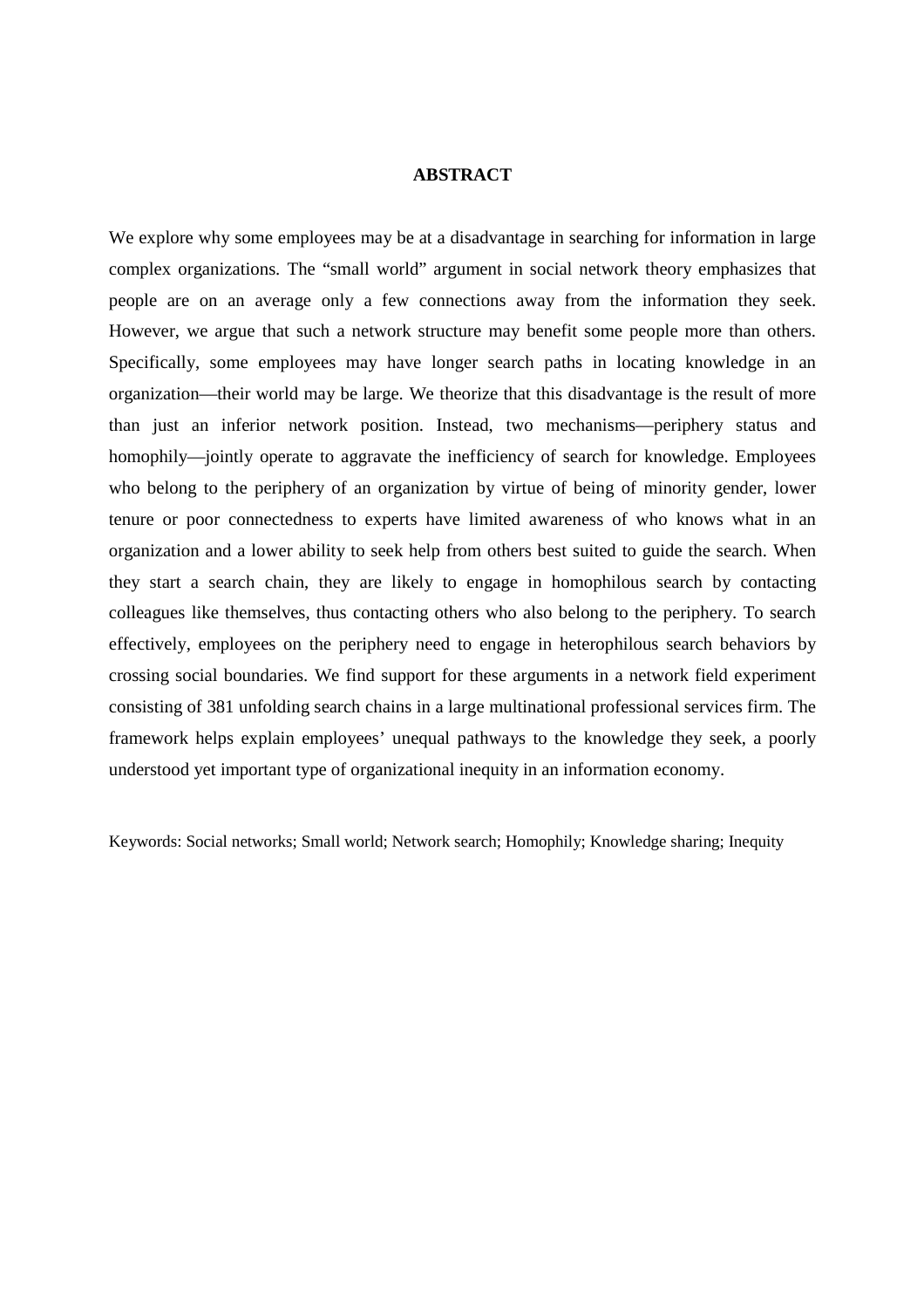# **ABSTRACT**

We explore why some employees may be at a disadvantage in searching for information in large complex organizations. The "small world" argument in social network theory emphasizes that people are on an average only a few connections away from the information they seek. However, we argue that such a network structure may benefit some people more than others. Specifically, some employees may have longer search paths in locating knowledge in an organization—their world may be large. We theorize that this disadvantage is the result of more than just an inferior network position. Instead, two mechanisms—periphery status and homophily—jointly operate to aggravate the inefficiency of search for knowledge. Employees who belong to the periphery of an organization by virtue of being of minority gender, lower tenure or poor connectedness to experts have limited awareness of who knows what in an organization and a lower ability to seek help from others best suited to guide the search. When they start a search chain, they are likely to engage in homophilous search by contacting colleagues like themselves, thus contacting others who also belong to the periphery. To search effectively, employees on the periphery need to engage in heterophilous search behaviors by crossing social boundaries. We find support for these arguments in a network field experiment consisting of 381 unfolding search chains in a large multinational professional services firm. The framework helps explain employees' unequal pathways to the knowledge they seek, a poorly understood yet important type of organizational inequity in an information economy.

Keywords: Social networks; Small world; Network search; Homophily; Knowledge sharing; Inequity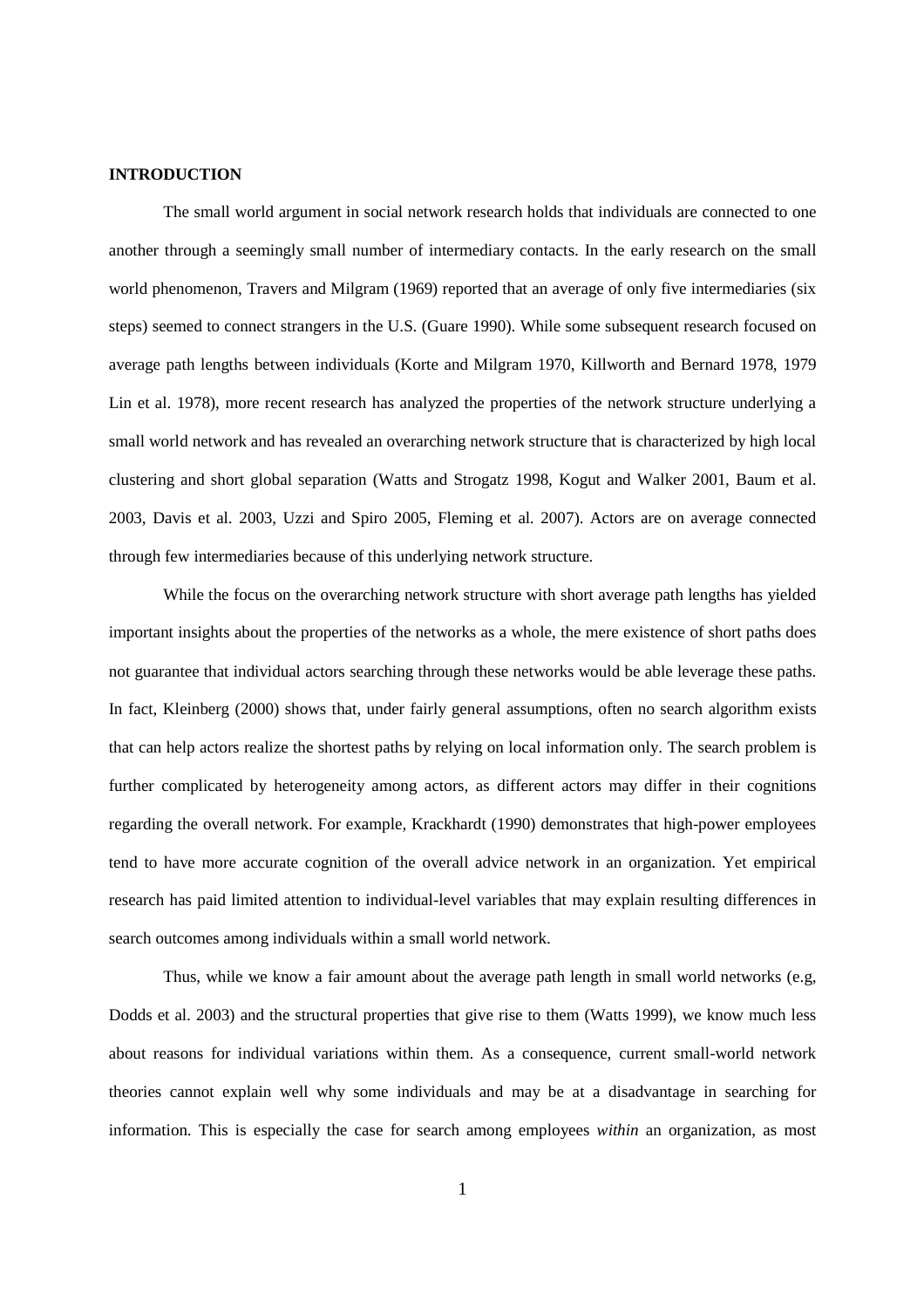#### **INTRODUCTION**

The small world argument in social network research holds that individuals are connected to one another through a seemingly small number of intermediary contacts. In the early research on the small world phenomenon, Travers and Milgram (1969) reported that an average of only five intermediaries (six steps) seemed to connect strangers in the U.S. (Guare 1990). While some subsequent research focused on average path lengths between individuals (Korte and Milgram 1970, Killworth and Bernard 1978, 1979 Lin et al. 1978), more recent research has analyzed the properties of the network structure underlying a small world network and has revealed an overarching network structure that is characterized by high local clustering and short global separation (Watts and Strogatz 1998, Kogut and Walker 2001, Baum et al. 2003, Davis et al. 2003, Uzzi and Spiro 2005, Fleming et al. 2007). Actors are on average connected through few intermediaries because of this underlying network structure.

While the focus on the overarching network structure with short average path lengths has yielded important insights about the properties of the networks as a whole, the mere existence of short paths does not guarantee that individual actors searching through these networks would be able leverage these paths. In fact, Kleinberg (2000) shows that, under fairly general assumptions, often no search algorithm exists that can help actors realize the shortest paths by relying on local information only. The search problem is further complicated by heterogeneity among actors, as different actors may differ in their cognitions regarding the overall network. For example, Krackhardt (1990) demonstrates that high-power employees tend to have more accurate cognition of the overall advice network in an organization. Yet empirical research has paid limited attention to individual-level variables that may explain resulting differences in search outcomes among individuals within a small world network.

Thus, while we know a fair amount about the average path length in small world networks (e.g, Dodds et al. 2003) and the structural properties that give rise to them (Watts 1999), we know much less about reasons for individual variations within them. As a consequence, current small-world network theories cannot explain well why some individuals and may be at a disadvantage in searching for information. This is especially the case for search among employees *within* an organization, as most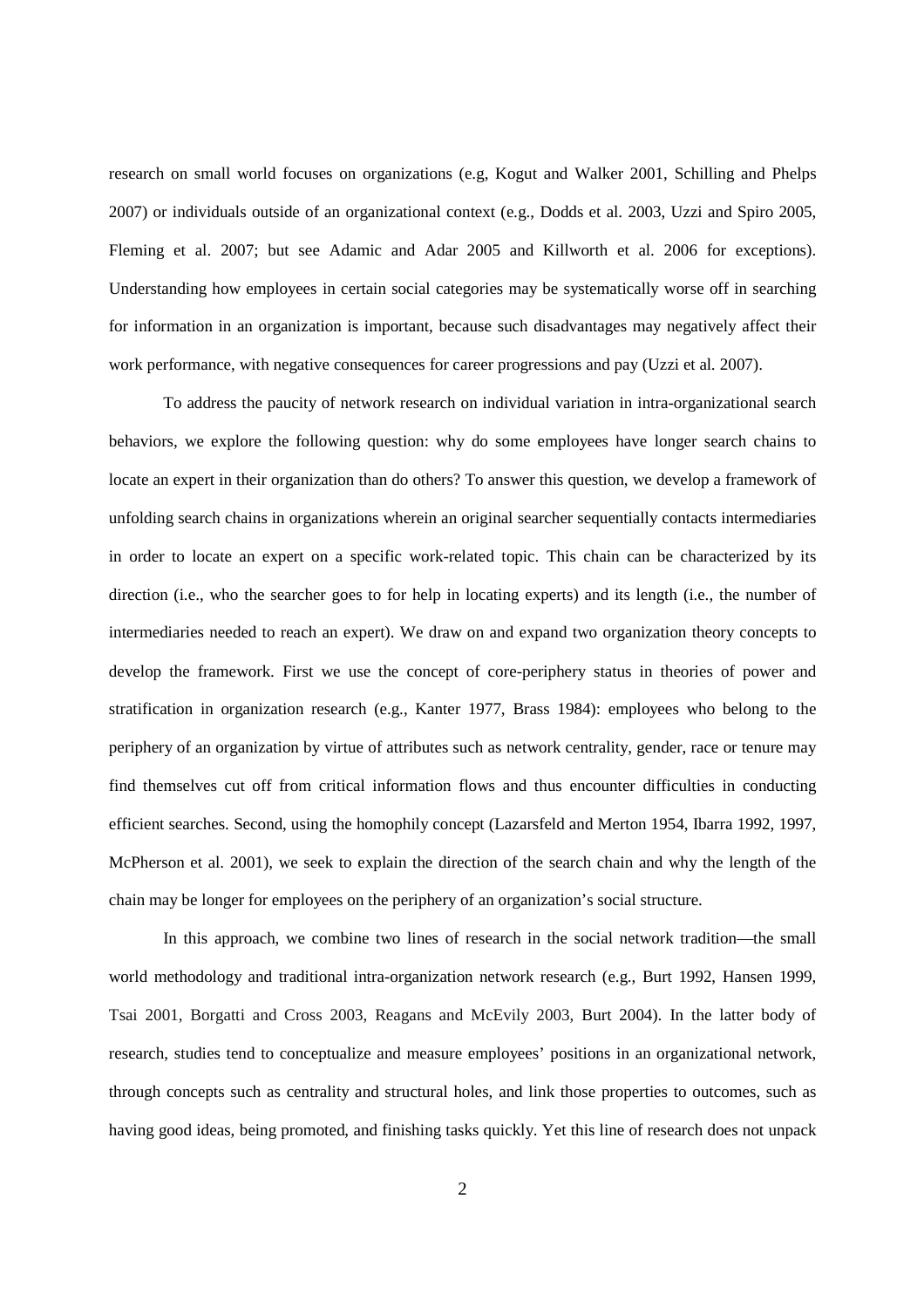research on small world focuses on organizations (e.g, Kogut and Walker 2001, Schilling and Phelps 2007) or individuals outside of an organizational context (e.g., Dodds et al. 2003, Uzzi and Spiro 2005, Fleming et al. 2007; but see Adamic and Adar 2005 and Killworth et al. 2006 for exceptions). Understanding how employees in certain social categories may be systematically worse off in searching for information in an organization is important, because such disadvantages may negatively affect their work performance, with negative consequences for career progressions and pay (Uzzi et al. 2007).

 To address the paucity of network research on individual variation in intra-organizational search behaviors, we explore the following question: why do some employees have longer search chains to locate an expert in their organization than do others? To answer this question, we develop a framework of unfolding search chains in organizations wherein an original searcher sequentially contacts intermediaries in order to locate an expert on a specific work-related topic. This chain can be characterized by its direction (i.e., who the searcher goes to for help in locating experts) and its length (i.e., the number of intermediaries needed to reach an expert). We draw on and expand two organization theory concepts to develop the framework. First we use the concept of core-periphery status in theories of power and stratification in organization research (e.g., Kanter 1977, Brass 1984): employees who belong to the periphery of an organization by virtue of attributes such as network centrality, gender, race or tenure may find themselves cut off from critical information flows and thus encounter difficulties in conducting efficient searches. Second, using the homophily concept (Lazarsfeld and Merton 1954, Ibarra 1992, 1997, McPherson et al. 2001), we seek to explain the direction of the search chain and why the length of the chain may be longer for employees on the periphery of an organization's social structure.

In this approach, we combine two lines of research in the social network tradition—the small world methodology and traditional intra-organization network research (e.g., Burt 1992, Hansen 1999, Tsai 2001, Borgatti and Cross 2003, Reagans and McEvily 2003, Burt 2004). In the latter body of research, studies tend to conceptualize and measure employees' positions in an organizational network, through concepts such as centrality and structural holes, and link those properties to outcomes, such as having good ideas, being promoted, and finishing tasks quickly. Yet this line of research does not unpack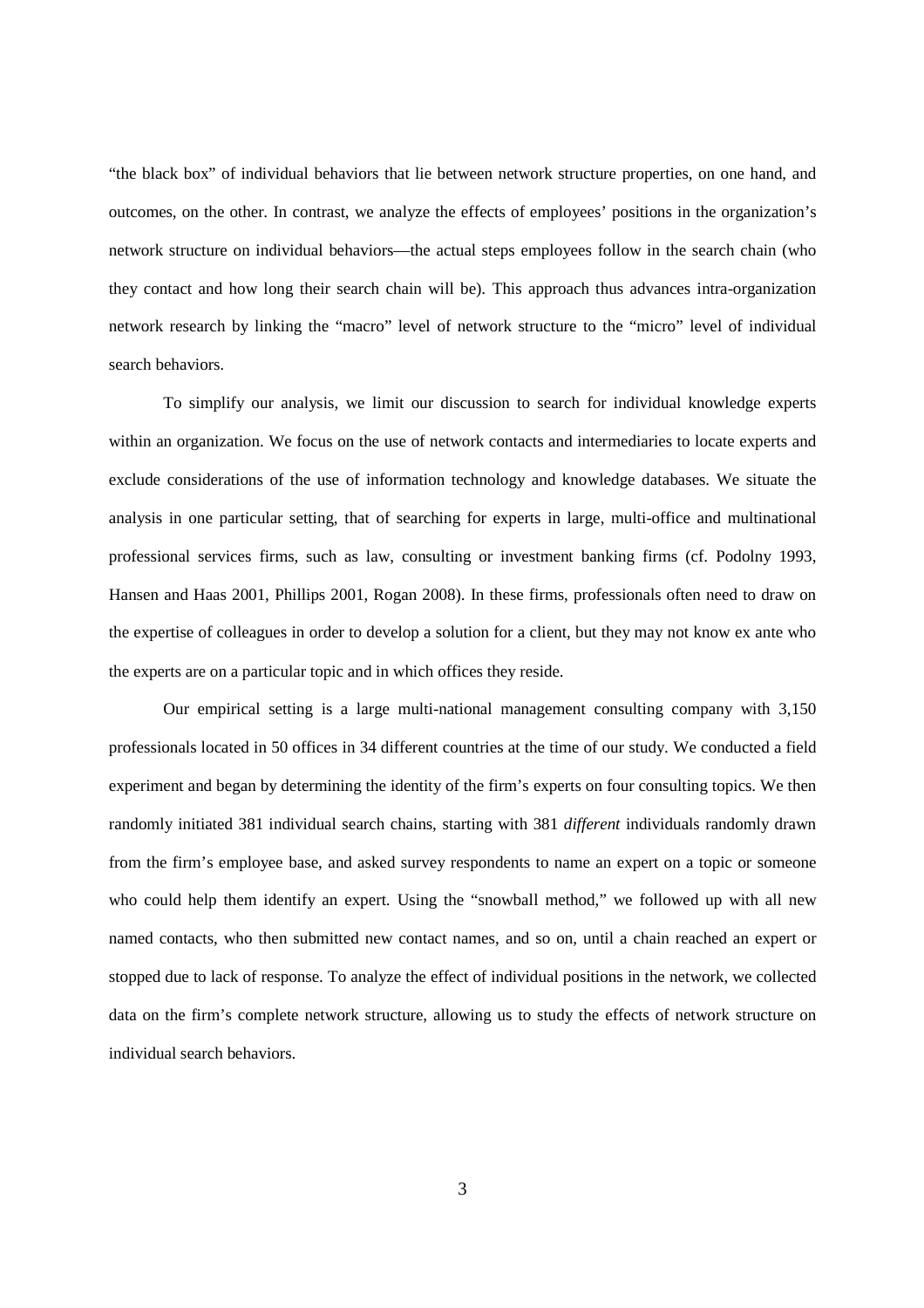"the black box" of individual behaviors that lie between network structure properties, on one hand, and outcomes, on the other. In contrast, we analyze the effects of employees' positions in the organization's network structure on individual behaviors—the actual steps employees follow in the search chain (who they contact and how long their search chain will be). This approach thus advances intra-organization network research by linking the "macro" level of network structure to the "micro" level of individual search behaviors.

To simplify our analysis, we limit our discussion to search for individual knowledge experts within an organization. We focus on the use of network contacts and intermediaries to locate experts and exclude considerations of the use of information technology and knowledge databases. We situate the analysis in one particular setting, that of searching for experts in large, multi-office and multinational professional services firms, such as law, consulting or investment banking firms (cf. Podolny 1993, Hansen and Haas 2001, Phillips 2001, Rogan 2008). In these firms, professionals often need to draw on the expertise of colleagues in order to develop a solution for a client, but they may not know ex ante who the experts are on a particular topic and in which offices they reside.

Our empirical setting is a large multi-national management consulting company with 3,150 professionals located in 50 offices in 34 different countries at the time of our study. We conducted a field experiment and began by determining the identity of the firm's experts on four consulting topics. We then randomly initiated 381 individual search chains, starting with 381 *different* individuals randomly drawn from the firm's employee base, and asked survey respondents to name an expert on a topic or someone who could help them identify an expert. Using the "snowball method," we followed up with all new named contacts, who then submitted new contact names, and so on, until a chain reached an expert or stopped due to lack of response. To analyze the effect of individual positions in the network, we collected data on the firm's complete network structure, allowing us to study the effects of network structure on individual search behaviors.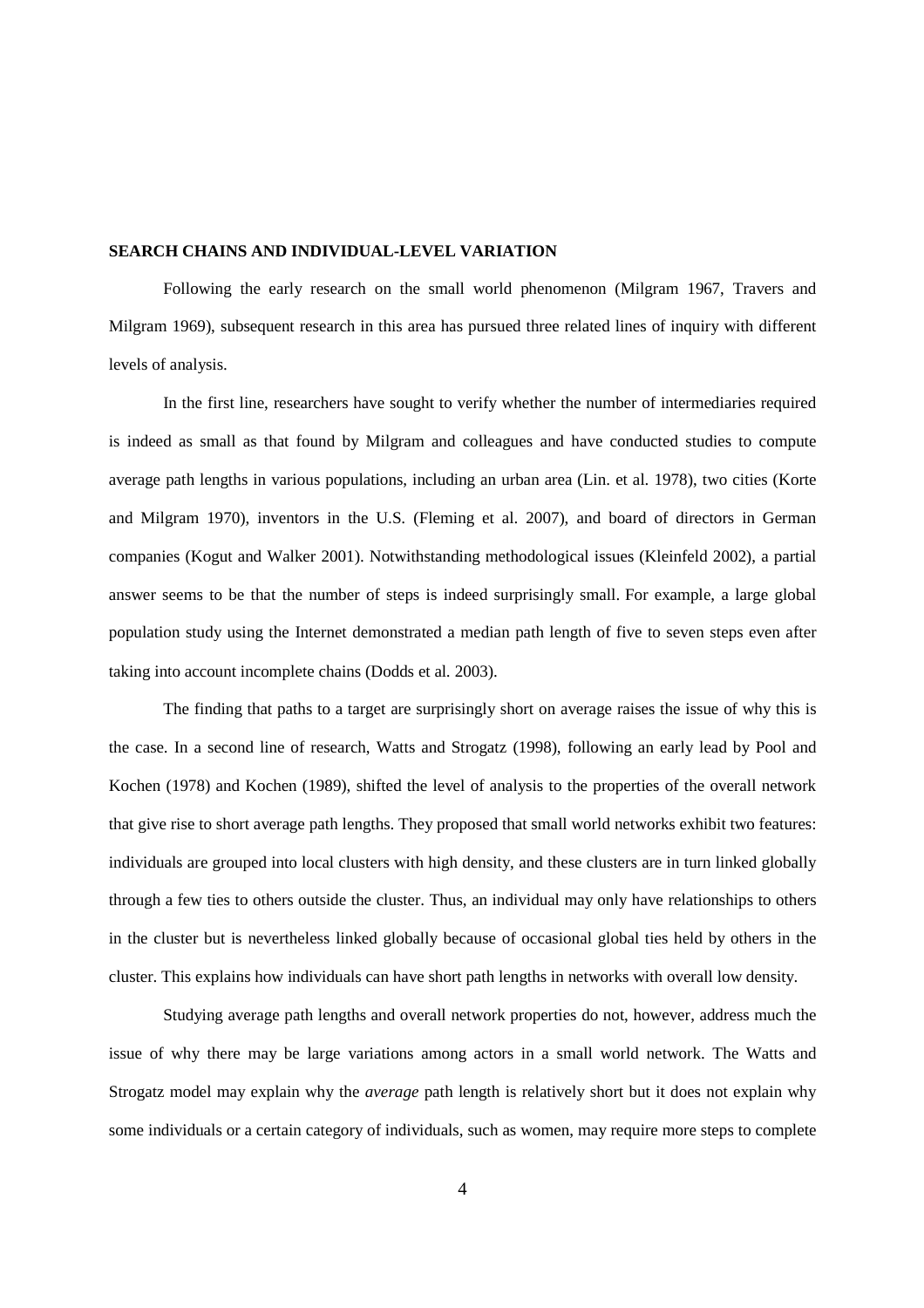#### **SEARCH CHAINS AND INDIVIDUAL-LEVEL VARIATION**

Following the early research on the small world phenomenon (Milgram 1967, Travers and Milgram 1969), subsequent research in this area has pursued three related lines of inquiry with different levels of analysis.

In the first line, researchers have sought to verify whether the number of intermediaries required is indeed as small as that found by Milgram and colleagues and have conducted studies to compute average path lengths in various populations, including an urban area (Lin. et al. 1978), two cities (Korte and Milgram 1970), inventors in the U.S. (Fleming et al. 2007), and board of directors in German companies (Kogut and Walker 2001). Notwithstanding methodological issues (Kleinfeld 2002), a partial answer seems to be that the number of steps is indeed surprisingly small. For example, a large global population study using the Internet demonstrated a median path length of five to seven steps even after taking into account incomplete chains (Dodds et al. 2003).

The finding that paths to a target are surprisingly short on average raises the issue of why this is the case. In a second line of research, Watts and Strogatz (1998), following an early lead by Pool and Kochen (1978) and Kochen (1989), shifted the level of analysis to the properties of the overall network that give rise to short average path lengths. They proposed that small world networks exhibit two features: individuals are grouped into local clusters with high density, and these clusters are in turn linked globally through a few ties to others outside the cluster. Thus, an individual may only have relationships to others in the cluster but is nevertheless linked globally because of occasional global ties held by others in the cluster. This explains how individuals can have short path lengths in networks with overall low density.

Studying average path lengths and overall network properties do not, however, address much the issue of why there may be large variations among actors in a small world network. The Watts and Strogatz model may explain why the *average* path length is relatively short but it does not explain why some individuals or a certain category of individuals, such as women, may require more steps to complete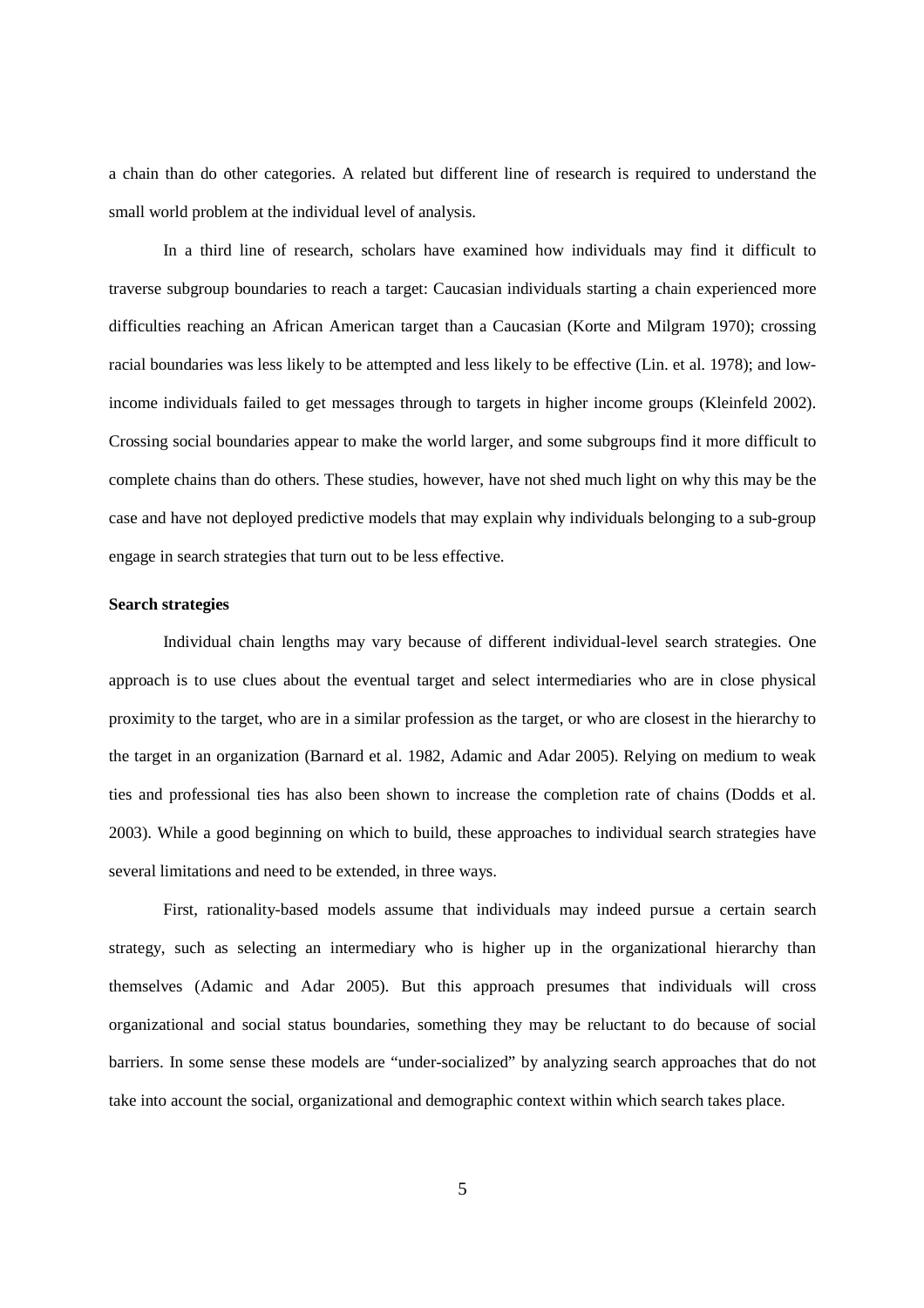a chain than do other categories. A related but different line of research is required to understand the small world problem at the individual level of analysis.

In a third line of research, scholars have examined how individuals may find it difficult to traverse subgroup boundaries to reach a target: Caucasian individuals starting a chain experienced more difficulties reaching an African American target than a Caucasian (Korte and Milgram 1970); crossing racial boundaries was less likely to be attempted and less likely to be effective (Lin. et al. 1978); and lowincome individuals failed to get messages through to targets in higher income groups (Kleinfeld 2002). Crossing social boundaries appear to make the world larger, and some subgroups find it more difficult to complete chains than do others. These studies, however, have not shed much light on why this may be the case and have not deployed predictive models that may explain why individuals belonging to a sub-group engage in search strategies that turn out to be less effective.

#### **Search strategies**

Individual chain lengths may vary because of different individual-level search strategies. One approach is to use clues about the eventual target and select intermediaries who are in close physical proximity to the target, who are in a similar profession as the target, or who are closest in the hierarchy to the target in an organization (Barnard et al. 1982, Adamic and Adar 2005). Relying on medium to weak ties and professional ties has also been shown to increase the completion rate of chains (Dodds et al. 2003). While a good beginning on which to build, these approaches to individual search strategies have several limitations and need to be extended, in three ways.

First, rationality-based models assume that individuals may indeed pursue a certain search strategy, such as selecting an intermediary who is higher up in the organizational hierarchy than themselves (Adamic and Adar 2005). But this approach presumes that individuals will cross organizational and social status boundaries, something they may be reluctant to do because of social barriers. In some sense these models are "under-socialized" by analyzing search approaches that do not take into account the social, organizational and demographic context within which search takes place.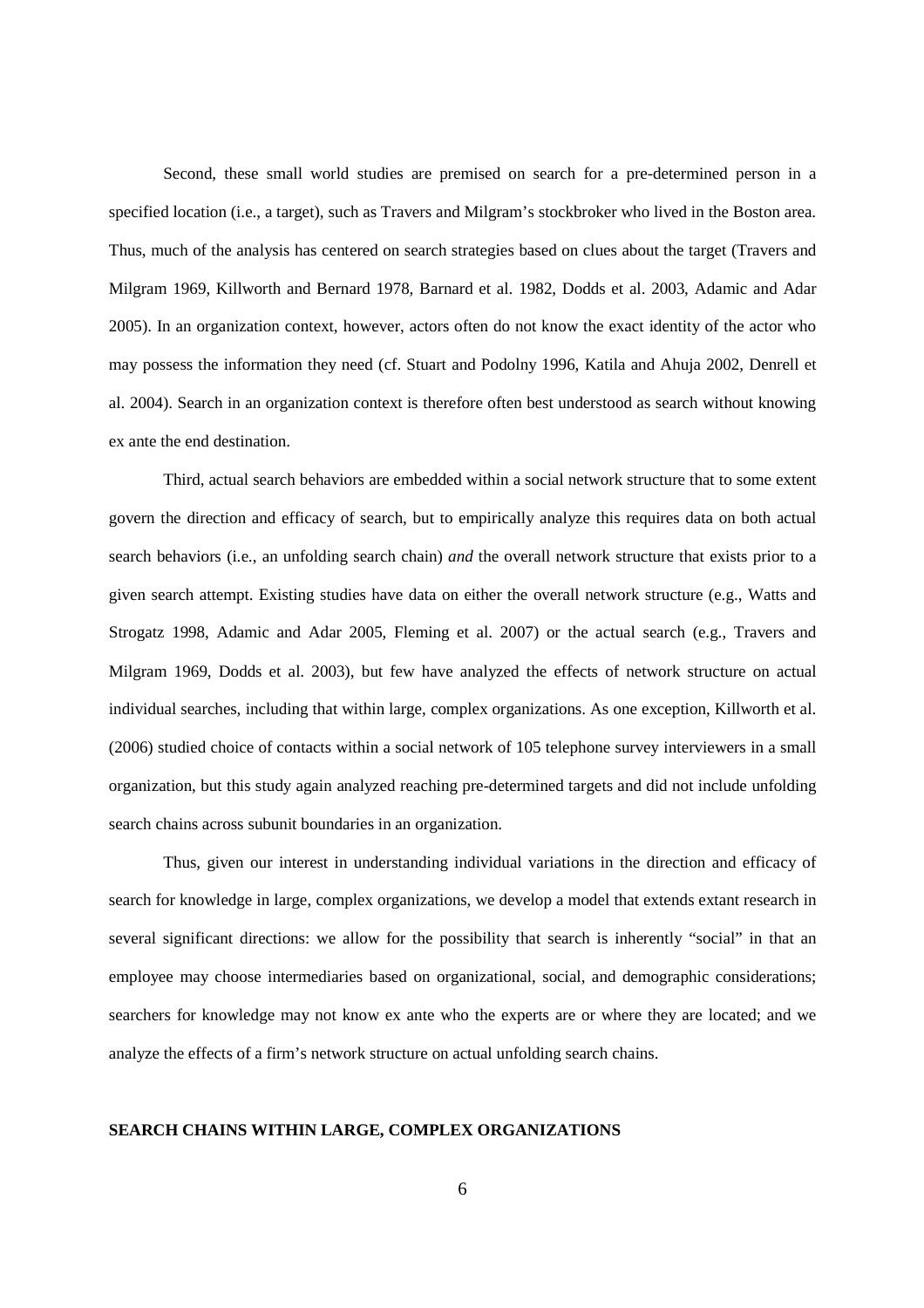Second, these small world studies are premised on search for a pre-determined person in a specified location (i.e., a target), such as Travers and Milgram's stockbroker who lived in the Boston area. Thus, much of the analysis has centered on search strategies based on clues about the target (Travers and Milgram 1969, Killworth and Bernard 1978, Barnard et al. 1982, Dodds et al. 2003, Adamic and Adar 2005). In an organization context, however, actors often do not know the exact identity of the actor who may possess the information they need (cf. Stuart and Podolny 1996, Katila and Ahuja 2002, Denrell et al. 2004). Search in an organization context is therefore often best understood as search without knowing ex ante the end destination.

Third, actual search behaviors are embedded within a social network structure that to some extent govern the direction and efficacy of search, but to empirically analyze this requires data on both actual search behaviors (i.e., an unfolding search chain) *and* the overall network structure that exists prior to a given search attempt. Existing studies have data on either the overall network structure (e.g., Watts and Strogatz 1998, Adamic and Adar 2005, Fleming et al. 2007) or the actual search (e.g., Travers and Milgram 1969, Dodds et al. 2003), but few have analyzed the effects of network structure on actual individual searches, including that within large, complex organizations. As one exception, Killworth et al. (2006) studied choice of contacts within a social network of 105 telephone survey interviewers in a small organization, but this study again analyzed reaching pre-determined targets and did not include unfolding search chains across subunit boundaries in an organization.

Thus, given our interest in understanding individual variations in the direction and efficacy of search for knowledge in large, complex organizations, we develop a model that extends extant research in several significant directions: we allow for the possibility that search is inherently "social" in that an employee may choose intermediaries based on organizational, social, and demographic considerations; searchers for knowledge may not know ex ante who the experts are or where they are located; and we analyze the effects of a firm's network structure on actual unfolding search chains.

## **SEARCH CHAINS WITHIN LARGE, COMPLEX ORGANIZATIONS**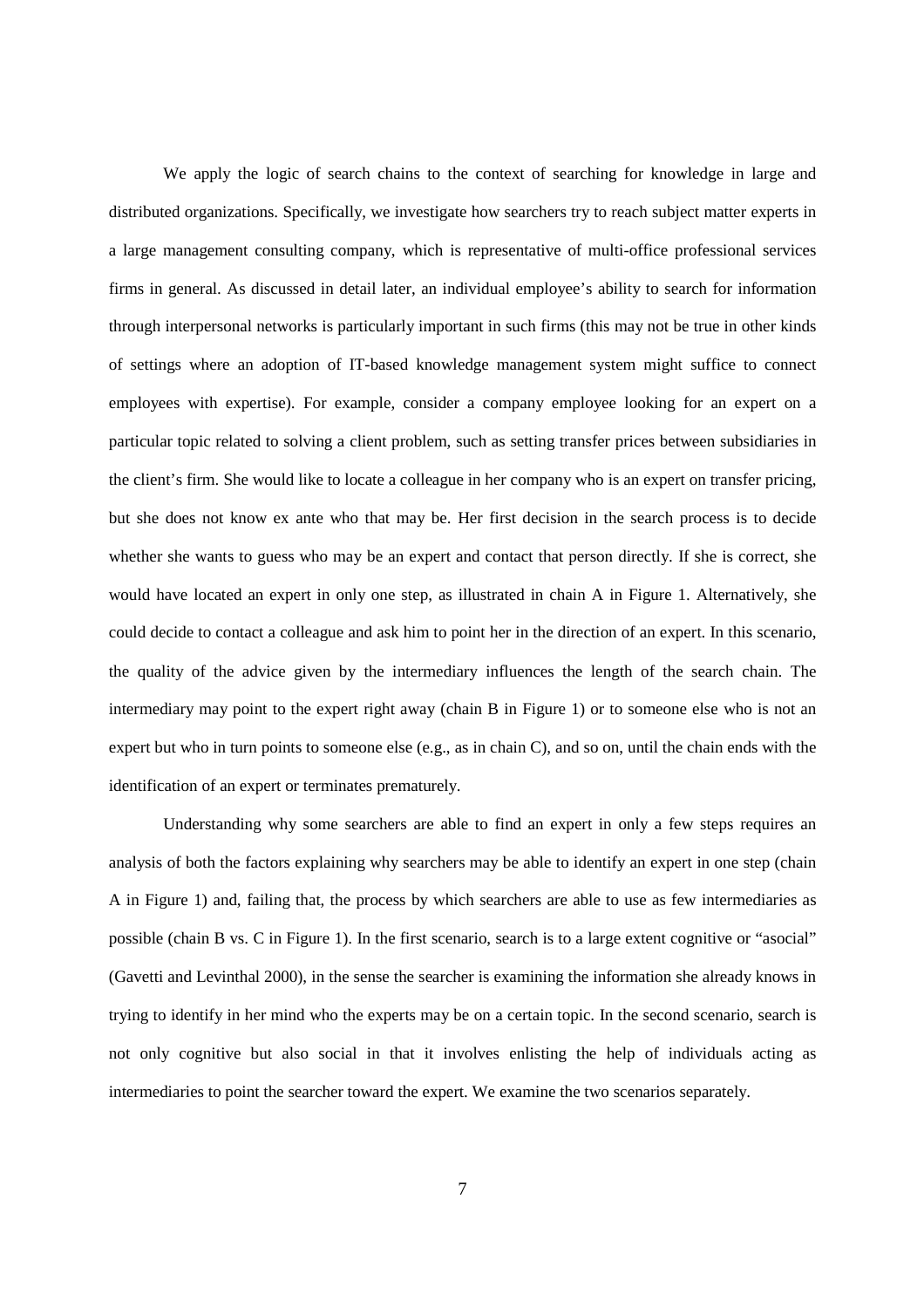We apply the logic of search chains to the context of searching for knowledge in large and distributed organizations. Specifically, we investigate how searchers try to reach subject matter experts in a large management consulting company, which is representative of multi-office professional services firms in general. As discussed in detail later, an individual employee's ability to search for information through interpersonal networks is particularly important in such firms (this may not be true in other kinds of settings where an adoption of IT-based knowledge management system might suffice to connect employees with expertise). For example, consider a company employee looking for an expert on a particular topic related to solving a client problem, such as setting transfer prices between subsidiaries in the client's firm. She would like to locate a colleague in her company who is an expert on transfer pricing, but she does not know ex ante who that may be. Her first decision in the search process is to decide whether she wants to guess who may be an expert and contact that person directly. If she is correct, she would have located an expert in only one step, as illustrated in chain A in Figure 1. Alternatively, she could decide to contact a colleague and ask him to point her in the direction of an expert. In this scenario, the quality of the advice given by the intermediary influences the length of the search chain. The intermediary may point to the expert right away (chain B in Figure 1) or to someone else who is not an expert but who in turn points to someone else (e.g., as in chain C), and so on, until the chain ends with the identification of an expert or terminates prematurely.

Understanding why some searchers are able to find an expert in only a few steps requires an analysis of both the factors explaining why searchers may be able to identify an expert in one step (chain A in Figure 1) and, failing that, the process by which searchers are able to use as few intermediaries as possible (chain B vs. C in Figure 1). In the first scenario, search is to a large extent cognitive or "asocial" (Gavetti and Levinthal 2000), in the sense the searcher is examining the information she already knows in trying to identify in her mind who the experts may be on a certain topic. In the second scenario, search is not only cognitive but also social in that it involves enlisting the help of individuals acting as intermediaries to point the searcher toward the expert. We examine the two scenarios separately.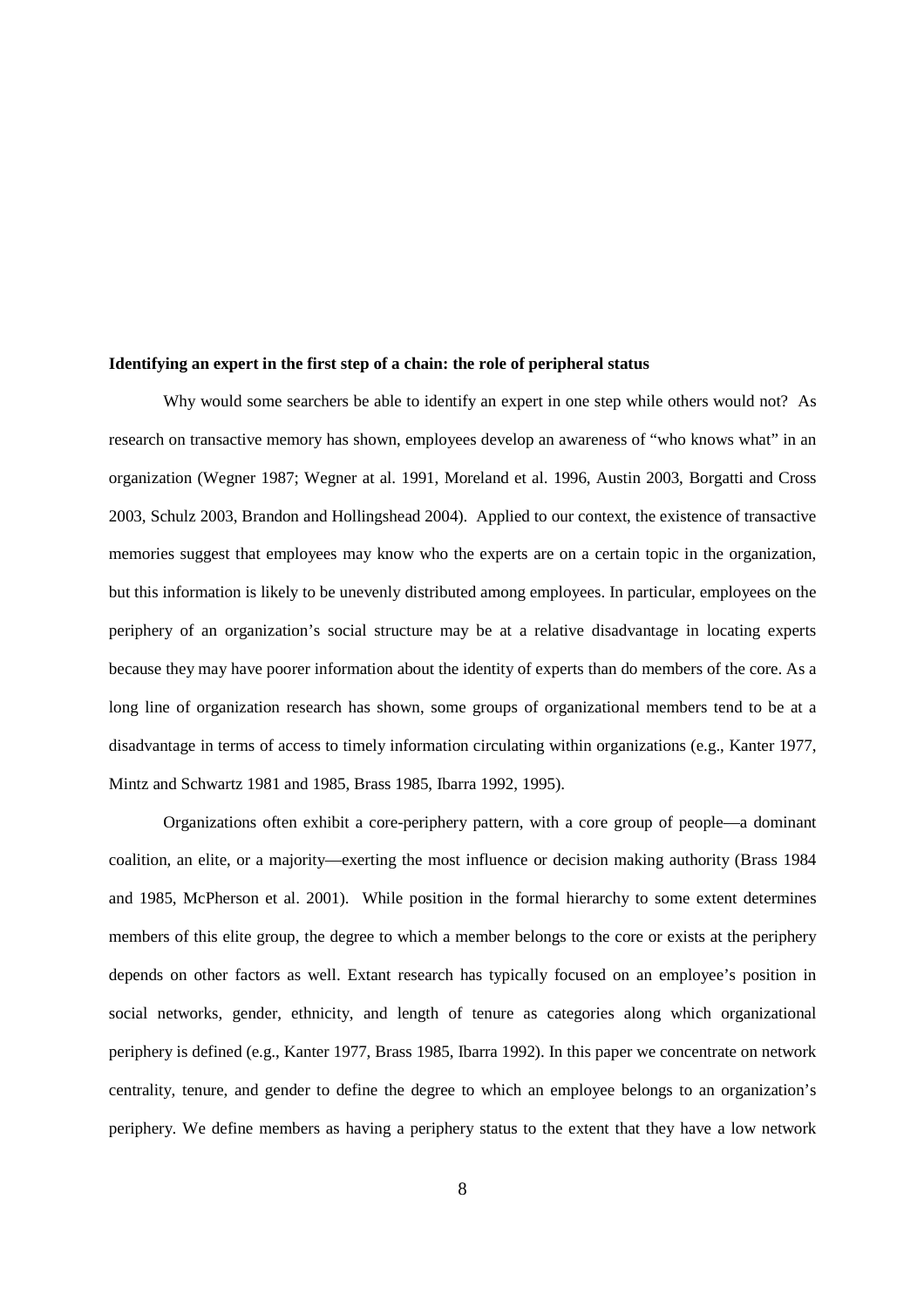#### **Identifying an expert in the first step of a chain: the role of peripheral status**

Why would some searchers be able to identify an expert in one step while others would not? As research on transactive memory has shown, employees develop an awareness of "who knows what" in an organization (Wegner 1987; Wegner at al. 1991, Moreland et al. 1996, Austin 2003, Borgatti and Cross 2003, Schulz 2003, Brandon and Hollingshead 2004). Applied to our context, the existence of transactive memories suggest that employees may know who the experts are on a certain topic in the organization, but this information is likely to be unevenly distributed among employees. In particular, employees on the periphery of an organization's social structure may be at a relative disadvantage in locating experts because they may have poorer information about the identity of experts than do members of the core. As a long line of organization research has shown, some groups of organizational members tend to be at a disadvantage in terms of access to timely information circulating within organizations (e.g., Kanter 1977, Mintz and Schwartz 1981 and 1985, Brass 1985, Ibarra 1992, 1995).

Organizations often exhibit a core-periphery pattern, with a core group of people—a dominant coalition, an elite, or a majority—exerting the most influence or decision making authority (Brass 1984 and 1985, McPherson et al. 2001). While position in the formal hierarchy to some extent determines members of this elite group, the degree to which a member belongs to the core or exists at the periphery depends on other factors as well. Extant research has typically focused on an employee's position in social networks, gender, ethnicity, and length of tenure as categories along which organizational periphery is defined (e.g., Kanter 1977, Brass 1985, Ibarra 1992). In this paper we concentrate on network centrality, tenure, and gender to define the degree to which an employee belongs to an organization's periphery. We define members as having a periphery status to the extent that they have a low network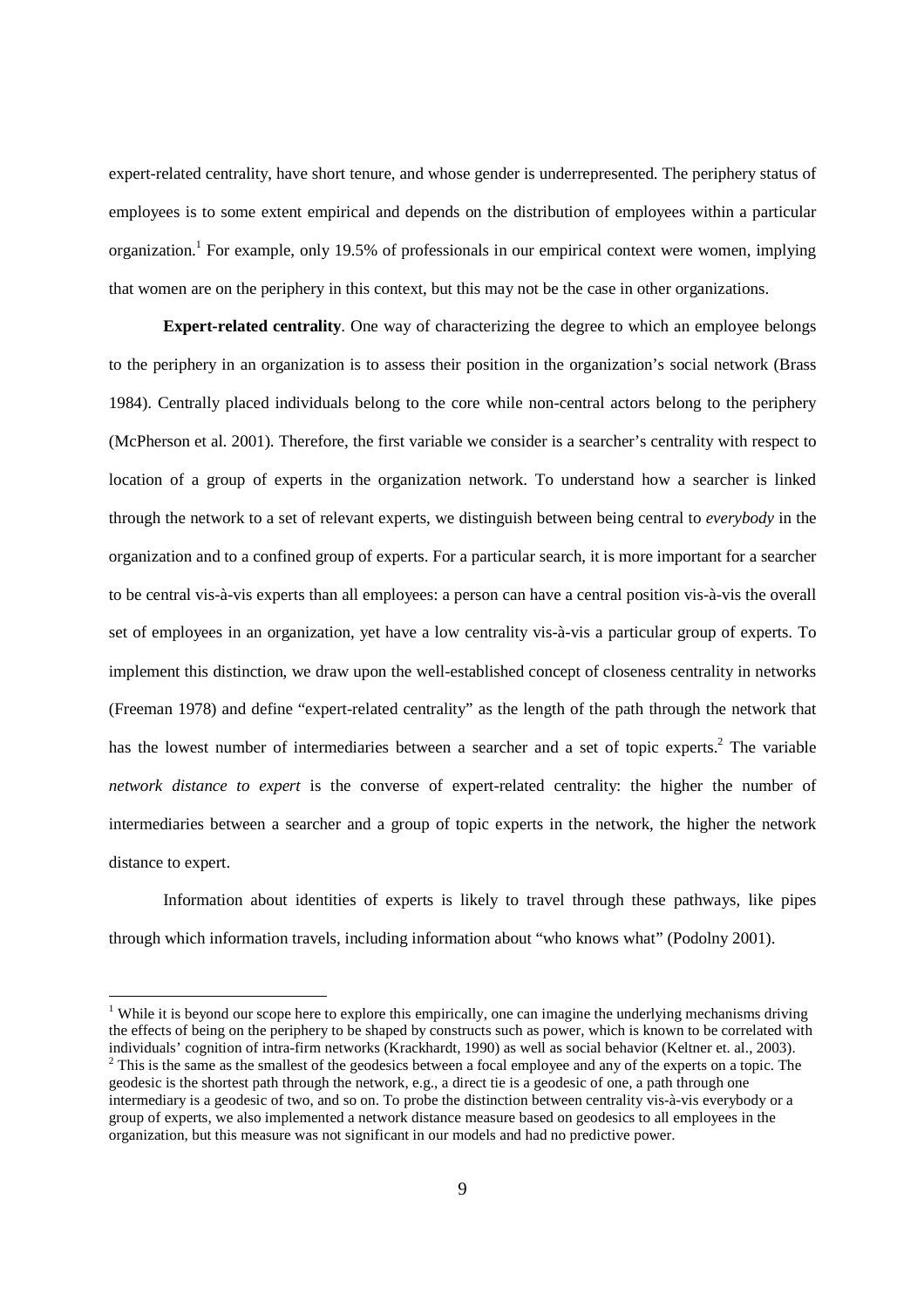expert-related centrality, have short tenure, and whose gender is underrepresented. The periphery status of employees is to some extent empirical and depends on the distribution of employees within a particular organization.<sup>1</sup> For example, only 19.5% of professionals in our empirical context were women, implying that women are on the periphery in this context, but this may not be the case in other organizations.

**Expert-related centrality**. One way of characterizing the degree to which an employee belongs to the periphery in an organization is to assess their position in the organization's social network (Brass 1984). Centrally placed individuals belong to the core while non-central actors belong to the periphery (McPherson et al. 2001). Therefore, the first variable we consider is a searcher's centrality with respect to location of a group of experts in the organization network. To understand how a searcher is linked through the network to a set of relevant experts, we distinguish between being central to *everybody* in the organization and to a confined group of experts. For a particular search, it is more important for a searcher to be central vis-à-vis experts than all employees: a person can have a central position vis-à-vis the overall set of employees in an organization, yet have a low centrality vis-à-vis a particular group of experts. To implement this distinction, we draw upon the well-established concept of closeness centrality in networks (Freeman 1978) and define "expert-related centrality" as the length of the path through the network that has the lowest number of intermediaries between a searcher and a set of topic experts.<sup>2</sup> The variable *network distance to expert* is the converse of expert-related centrality: the higher the number of intermediaries between a searcher and a group of topic experts in the network, the higher the network distance to expert.

Information about identities of experts is likely to travel through these pathways, like pipes through which information travels, including information about "who knows what" (Podolny 2001).

-

<sup>&</sup>lt;sup>1</sup> While it is beyond our scope here to explore this empirically, one can imagine the underlying mechanisms driving the effects of being on the periphery to be shaped by constructs such as power, which is known to be correlated with individuals' cognition of intra-firm networks (Krackhardt, 1990) as well as social behavior (Keltner et. al., 2003).  $2$  This is the same as the smallest of the geodesics between a focal employee and any of the experts on a topic. The geodesic is the shortest path through the network, e.g., a direct tie is a geodesic of one, a path through one intermediary is a geodesic of two, and so on. To probe the distinction between centrality vis-à-vis everybody or a group of experts, we also implemented a network distance measure based on geodesics to all employees in the organization, but this measure was not significant in our models and had no predictive power.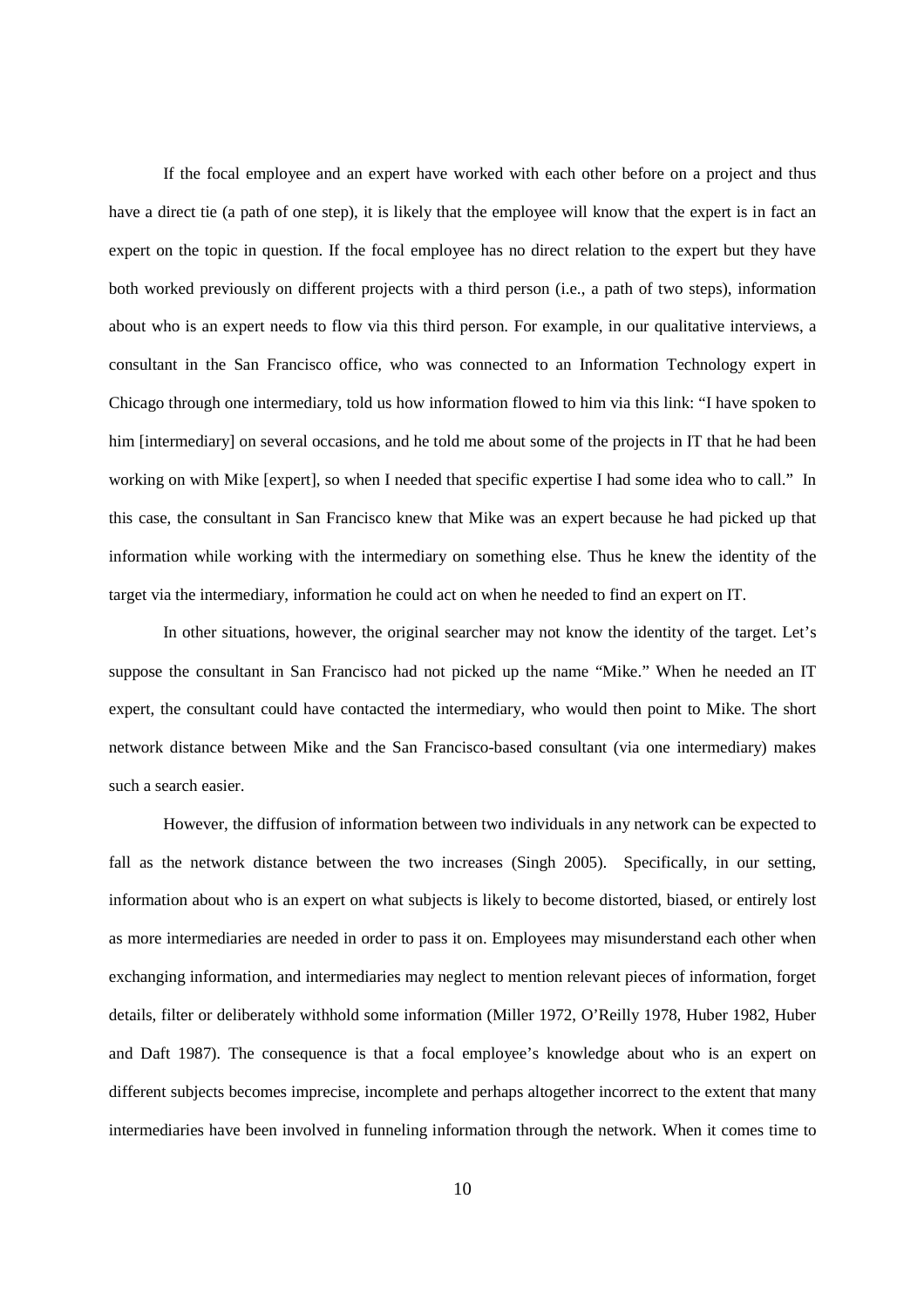If the focal employee and an expert have worked with each other before on a project and thus have a direct tie (a path of one step), it is likely that the employee will know that the expert is in fact an expert on the topic in question. If the focal employee has no direct relation to the expert but they have both worked previously on different projects with a third person (i.e., a path of two steps), information about who is an expert needs to flow via this third person. For example, in our qualitative interviews, a consultant in the San Francisco office, who was connected to an Information Technology expert in Chicago through one intermediary, told us how information flowed to him via this link: "I have spoken to him [intermediary] on several occasions, and he told me about some of the projects in IT that he had been working on with Mike [expert], so when I needed that specific expertise I had some idea who to call." In this case, the consultant in San Francisco knew that Mike was an expert because he had picked up that information while working with the intermediary on something else. Thus he knew the identity of the target via the intermediary, information he could act on when he needed to find an expert on IT.

In other situations, however, the original searcher may not know the identity of the target. Let's suppose the consultant in San Francisco had not picked up the name "Mike." When he needed an IT expert, the consultant could have contacted the intermediary, who would then point to Mike. The short network distance between Mike and the San Francisco-based consultant (via one intermediary) makes such a search easier.

However, the diffusion of information between two individuals in any network can be expected to fall as the network distance between the two increases (Singh 2005). Specifically, in our setting, information about who is an expert on what subjects is likely to become distorted, biased, or entirely lost as more intermediaries are needed in order to pass it on. Employees may misunderstand each other when exchanging information, and intermediaries may neglect to mention relevant pieces of information, forget details, filter or deliberately withhold some information (Miller 1972, O'Reilly 1978, Huber 1982, Huber and Daft 1987). The consequence is that a focal employee's knowledge about who is an expert on different subjects becomes imprecise, incomplete and perhaps altogether incorrect to the extent that many intermediaries have been involved in funneling information through the network. When it comes time to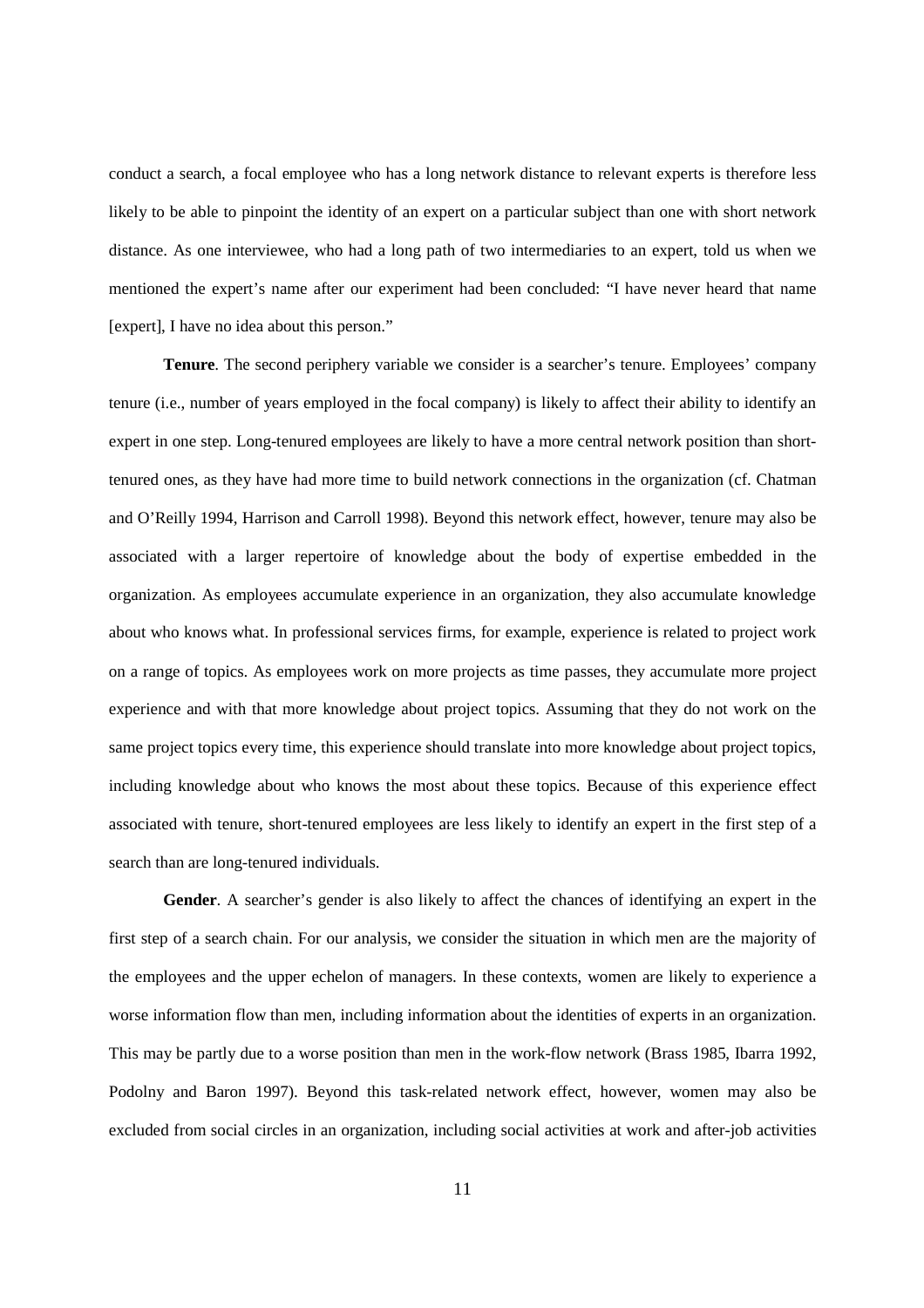conduct a search, a focal employee who has a long network distance to relevant experts is therefore less likely to be able to pinpoint the identity of an expert on a particular subject than one with short network distance. As one interviewee, who had a long path of two intermediaries to an expert, told us when we mentioned the expert's name after our experiment had been concluded: "I have never heard that name [expert], I have no idea about this person."

**Tenure**. The second periphery variable we consider is a searcher's tenure. Employees' company tenure (i.e., number of years employed in the focal company) is likely to affect their ability to identify an expert in one step. Long-tenured employees are likely to have a more central network position than shorttenured ones, as they have had more time to build network connections in the organization (cf. Chatman and O'Reilly 1994, Harrison and Carroll 1998). Beyond this network effect, however, tenure may also be associated with a larger repertoire of knowledge about the body of expertise embedded in the organization. As employees accumulate experience in an organization, they also accumulate knowledge about who knows what. In professional services firms, for example, experience is related to project work on a range of topics. As employees work on more projects as time passes, they accumulate more project experience and with that more knowledge about project topics. Assuming that they do not work on the same project topics every time, this experience should translate into more knowledge about project topics, including knowledge about who knows the most about these topics. Because of this experience effect associated with tenure, short-tenured employees are less likely to identify an expert in the first step of a search than are long-tenured individuals.

**Gender**. A searcher's gender is also likely to affect the chances of identifying an expert in the first step of a search chain. For our analysis, we consider the situation in which men are the majority of the employees and the upper echelon of managers. In these contexts, women are likely to experience a worse information flow than men, including information about the identities of experts in an organization. This may be partly due to a worse position than men in the work-flow network (Brass 1985, Ibarra 1992, Podolny and Baron 1997). Beyond this task-related network effect, however, women may also be excluded from social circles in an organization, including social activities at work and after-job activities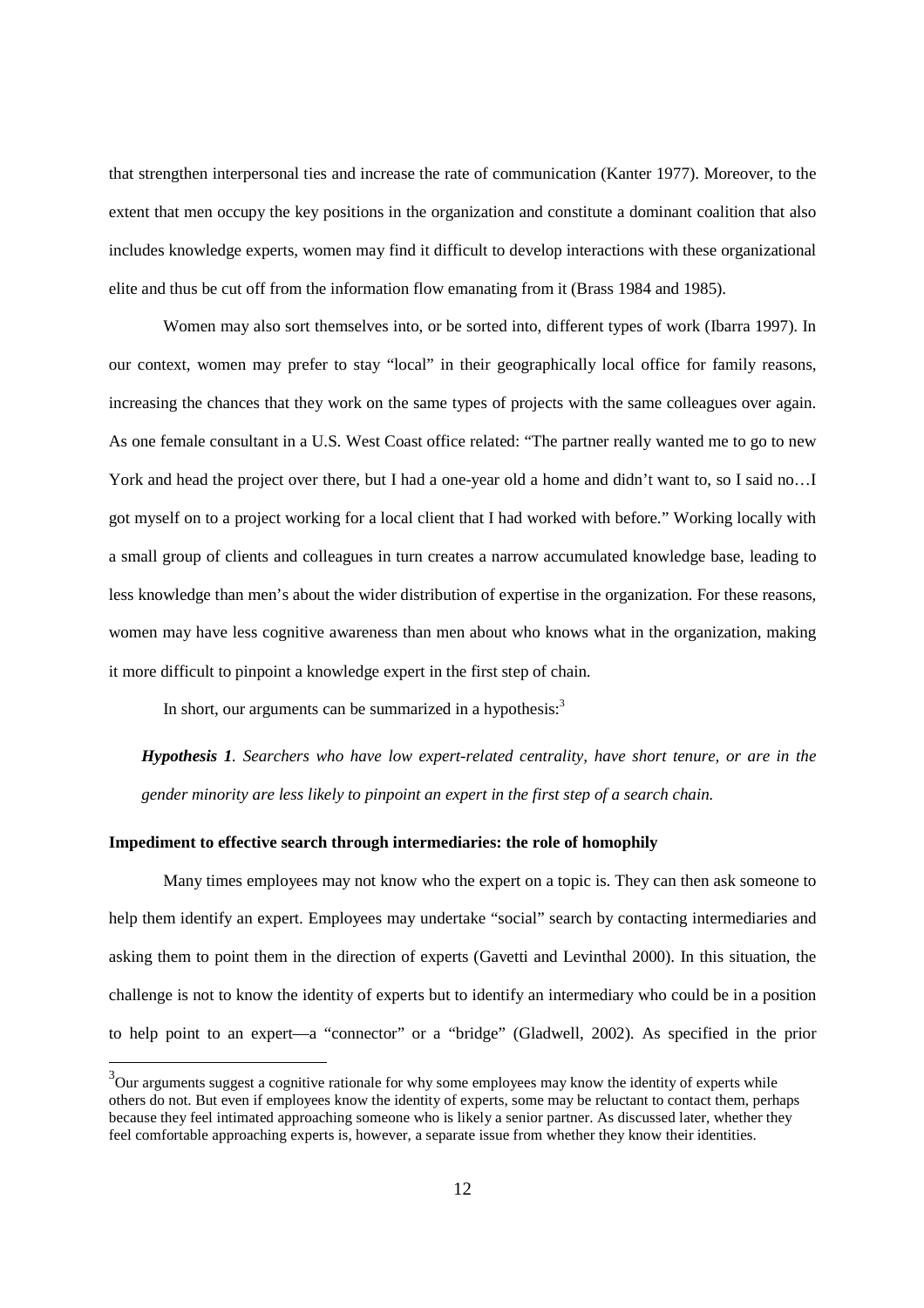that strengthen interpersonal ties and increase the rate of communication (Kanter 1977). Moreover, to the extent that men occupy the key positions in the organization and constitute a dominant coalition that also includes knowledge experts, women may find it difficult to develop interactions with these organizational elite and thus be cut off from the information flow emanating from it (Brass 1984 and 1985).

Women may also sort themselves into, or be sorted into, different types of work (Ibarra 1997). In our context, women may prefer to stay "local" in their geographically local office for family reasons, increasing the chances that they work on the same types of projects with the same colleagues over again. As one female consultant in a U.S. West Coast office related: "The partner really wanted me to go to new York and head the project over there, but I had a one-year old a home and didn't want to, so I said no…I got myself on to a project working for a local client that I had worked with before." Working locally with a small group of clients and colleagues in turn creates a narrow accumulated knowledge base, leading to less knowledge than men's about the wider distribution of expertise in the organization. For these reasons, women may have less cognitive awareness than men about who knows what in the organization, making it more difficult to pinpoint a knowledge expert in the first step of chain.

In short, our arguments can be summarized in a hypothesis: $3$ 

*Hypothesis 1. Searchers who have low expert-related centrality, have short tenure, or are in the gender minority are less likely to pinpoint an expert in the first step of a search chain.* 

#### **Impediment to effective search through intermediaries: the role of homophily**

-

Many times employees may not know who the expert on a topic is. They can then ask someone to help them identify an expert. Employees may undertake "social" search by contacting intermediaries and asking them to point them in the direction of experts (Gavetti and Levinthal 2000). In this situation, the challenge is not to know the identity of experts but to identify an intermediary who could be in a position to help point to an expert—a "connector" or a "bridge" (Gladwell, 2002). As specified in the prior

 $3$ Our arguments suggest a cognitive rationale for why some employees may know the identity of experts while others do not. But even if employees know the identity of experts, some may be reluctant to contact them, perhaps because they feel intimated approaching someone who is likely a senior partner. As discussed later, whether they feel comfortable approaching experts is, however, a separate issue from whether they know their identities.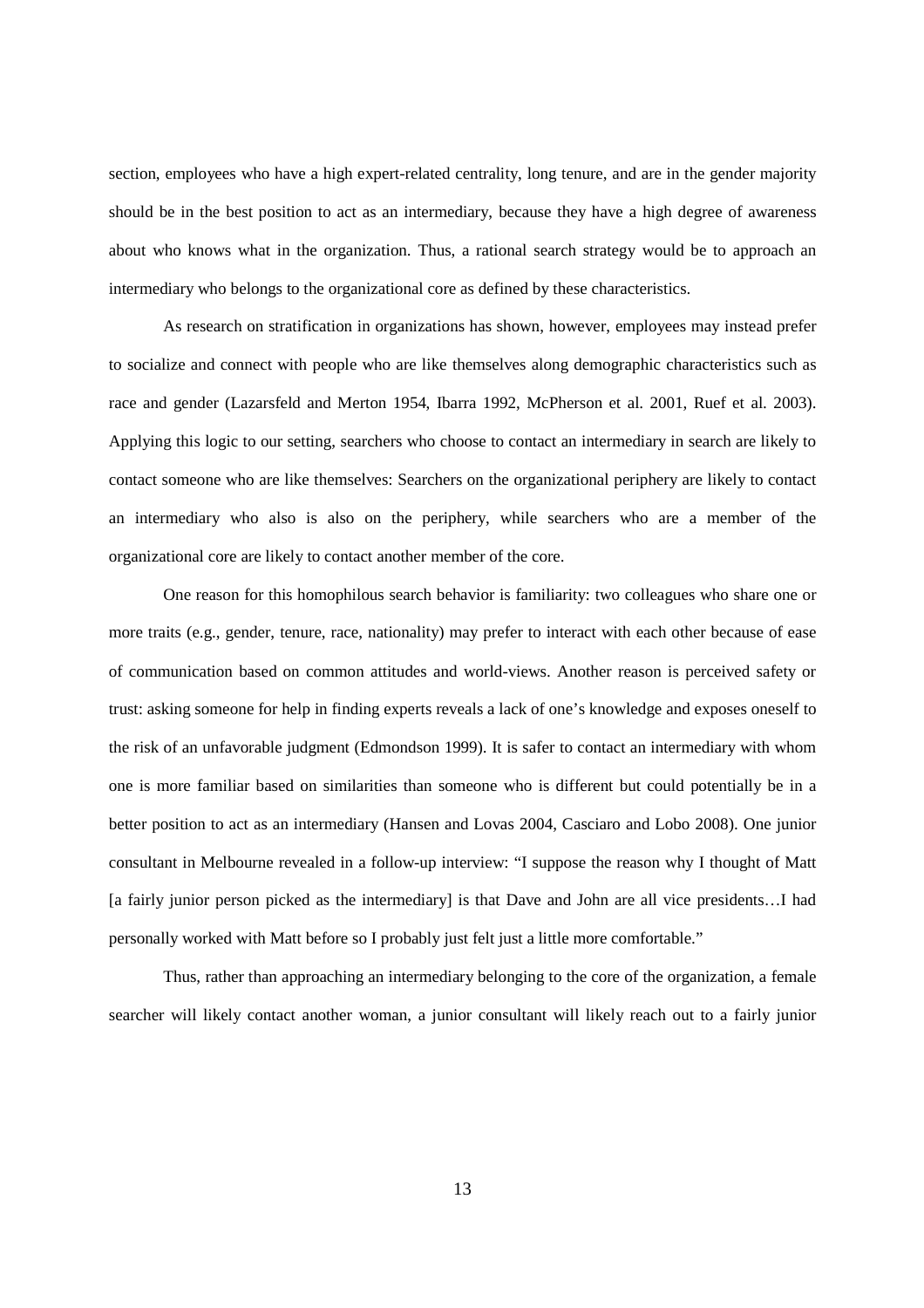section, employees who have a high expert-related centrality, long tenure, and are in the gender majority should be in the best position to act as an intermediary, because they have a high degree of awareness about who knows what in the organization. Thus, a rational search strategy would be to approach an intermediary who belongs to the organizational core as defined by these characteristics.

As research on stratification in organizations has shown, however, employees may instead prefer to socialize and connect with people who are like themselves along demographic characteristics such as race and gender (Lazarsfeld and Merton 1954, Ibarra 1992, McPherson et al. 2001, Ruef et al. 2003). Applying this logic to our setting, searchers who choose to contact an intermediary in search are likely to contact someone who are like themselves: Searchers on the organizational periphery are likely to contact an intermediary who also is also on the periphery, while searchers who are a member of the organizational core are likely to contact another member of the core.

One reason for this homophilous search behavior is familiarity: two colleagues who share one or more traits (e.g., gender, tenure, race, nationality) may prefer to interact with each other because of ease of communication based on common attitudes and world-views. Another reason is perceived safety or trust: asking someone for help in finding experts reveals a lack of one's knowledge and exposes oneself to the risk of an unfavorable judgment (Edmondson 1999). It is safer to contact an intermediary with whom one is more familiar based on similarities than someone who is different but could potentially be in a better position to act as an intermediary (Hansen and Lovas 2004, Casciaro and Lobo 2008). One junior consultant in Melbourne revealed in a follow-up interview: "I suppose the reason why I thought of Matt [a fairly junior person picked as the intermediary] is that Dave and John are all vice presidents...I had personally worked with Matt before so I probably just felt just a little more comfortable."

Thus, rather than approaching an intermediary belonging to the core of the organization, a female searcher will likely contact another woman, a junior consultant will likely reach out to a fairly junior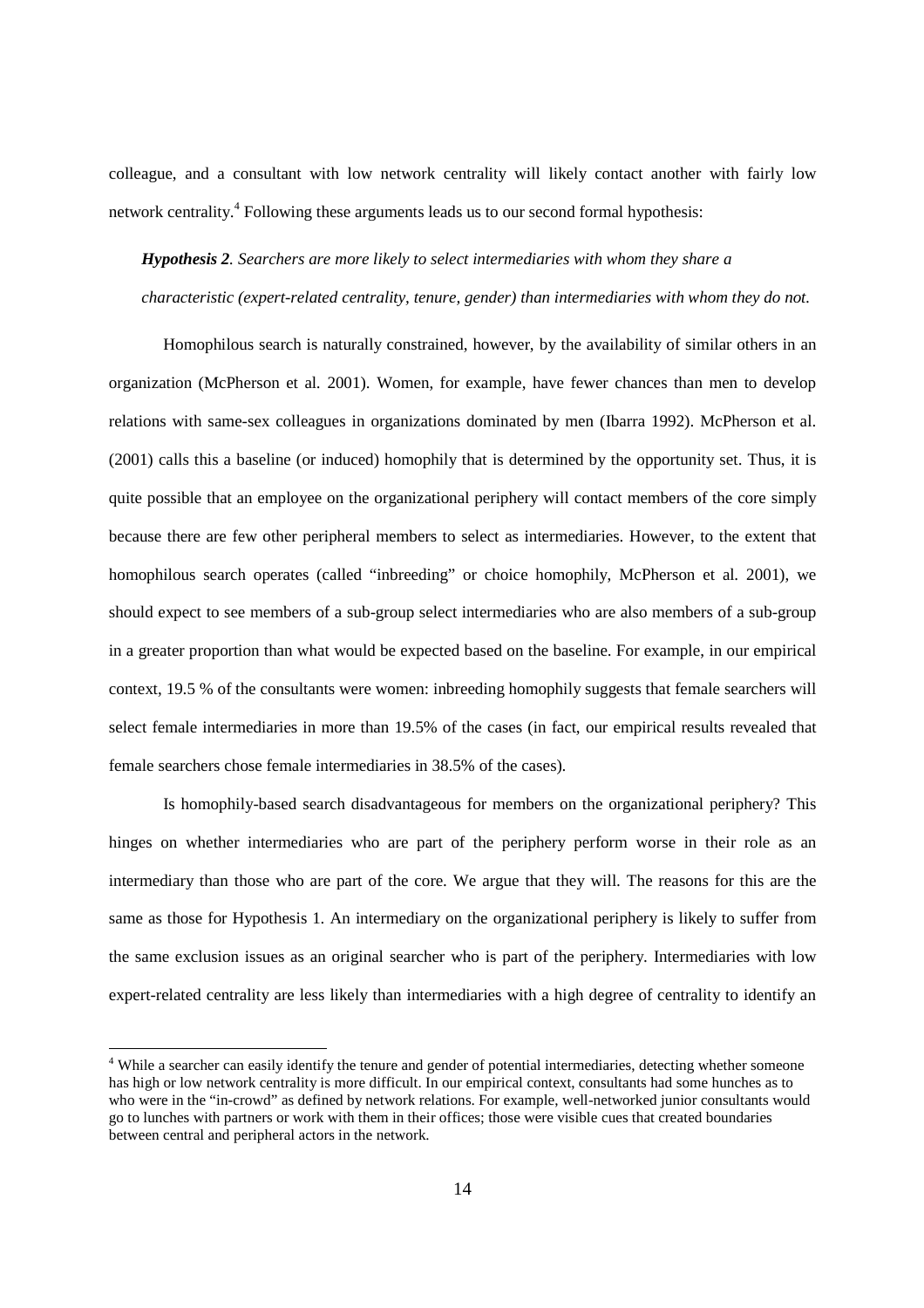colleague, and a consultant with low network centrality will likely contact another with fairly low network centrality.<sup>4</sup> Following these arguments leads us to our second formal hypothesis:

#### *Hypothesis 2. Searchers are more likely to select intermediaries with whom they share a*

*characteristic (expert-related centrality, tenure, gender) than intermediaries with whom they do not.* 

 Homophilous search is naturally constrained, however, by the availability of similar others in an organization (McPherson et al. 2001). Women, for example, have fewer chances than men to develop relations with same-sex colleagues in organizations dominated by men (Ibarra 1992). McPherson et al. (2001) calls this a baseline (or induced) homophily that is determined by the opportunity set. Thus, it is quite possible that an employee on the organizational periphery will contact members of the core simply because there are few other peripheral members to select as intermediaries. However, to the extent that homophilous search operates (called "inbreeding" or choice homophily, McPherson et al. 2001), we should expect to see members of a sub-group select intermediaries who are also members of a sub-group in a greater proportion than what would be expected based on the baseline. For example, in our empirical context, 19.5 % of the consultants were women: inbreeding homophily suggests that female searchers will select female intermediaries in more than 19.5% of the cases (in fact, our empirical results revealed that female searchers chose female intermediaries in 38.5% of the cases).

Is homophily-based search disadvantageous for members on the organizational periphery? This hinges on whether intermediaries who are part of the periphery perform worse in their role as an intermediary than those who are part of the core. We argue that they will. The reasons for this are the same as those for Hypothesis 1. An intermediary on the organizational periphery is likely to suffer from the same exclusion issues as an original searcher who is part of the periphery. Intermediaries with low expert-related centrality are less likely than intermediaries with a high degree of centrality to identify an

-

<sup>&</sup>lt;sup>4</sup> While a searcher can easily identify the tenure and gender of potential intermediaries, detecting whether someone has high or low network centrality is more difficult. In our empirical context, consultants had some hunches as to who were in the "in-crowd" as defined by network relations. For example, well-networked junior consultants would go to lunches with partners or work with them in their offices; those were visible cues that created boundaries between central and peripheral actors in the network.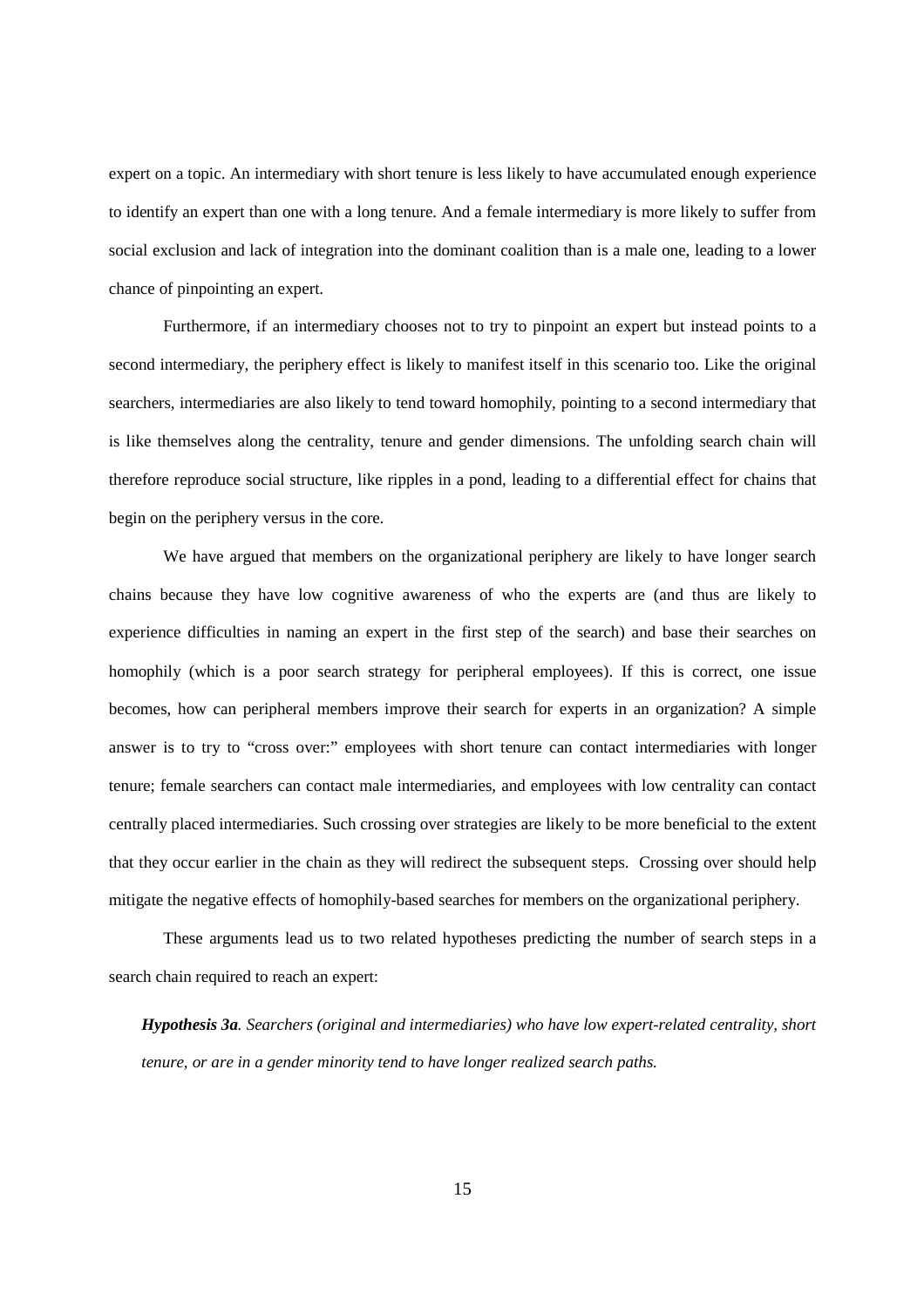expert on a topic. An intermediary with short tenure is less likely to have accumulated enough experience to identify an expert than one with a long tenure. And a female intermediary is more likely to suffer from social exclusion and lack of integration into the dominant coalition than is a male one, leading to a lower chance of pinpointing an expert.

Furthermore, if an intermediary chooses not to try to pinpoint an expert but instead points to a second intermediary, the periphery effect is likely to manifest itself in this scenario too. Like the original searchers, intermediaries are also likely to tend toward homophily, pointing to a second intermediary that is like themselves along the centrality, tenure and gender dimensions. The unfolding search chain will therefore reproduce social structure, like ripples in a pond, leading to a differential effect for chains that begin on the periphery versus in the core.

We have argued that members on the organizational periphery are likely to have longer search chains because they have low cognitive awareness of who the experts are (and thus are likely to experience difficulties in naming an expert in the first step of the search) and base their searches on homophily (which is a poor search strategy for peripheral employees). If this is correct, one issue becomes, how can peripheral members improve their search for experts in an organization? A simple answer is to try to "cross over:" employees with short tenure can contact intermediaries with longer tenure; female searchers can contact male intermediaries, and employees with low centrality can contact centrally placed intermediaries. Such crossing over strategies are likely to be more beneficial to the extent that they occur earlier in the chain as they will redirect the subsequent steps. Crossing over should help mitigate the negative effects of homophily-based searches for members on the organizational periphery.

These arguments lead us to two related hypotheses predicting the number of search steps in a search chain required to reach an expert:

*Hypothesis 3a. Searchers (original and intermediaries) who have low expert-related centrality, short tenure, or are in a gender minority tend to have longer realized search paths.*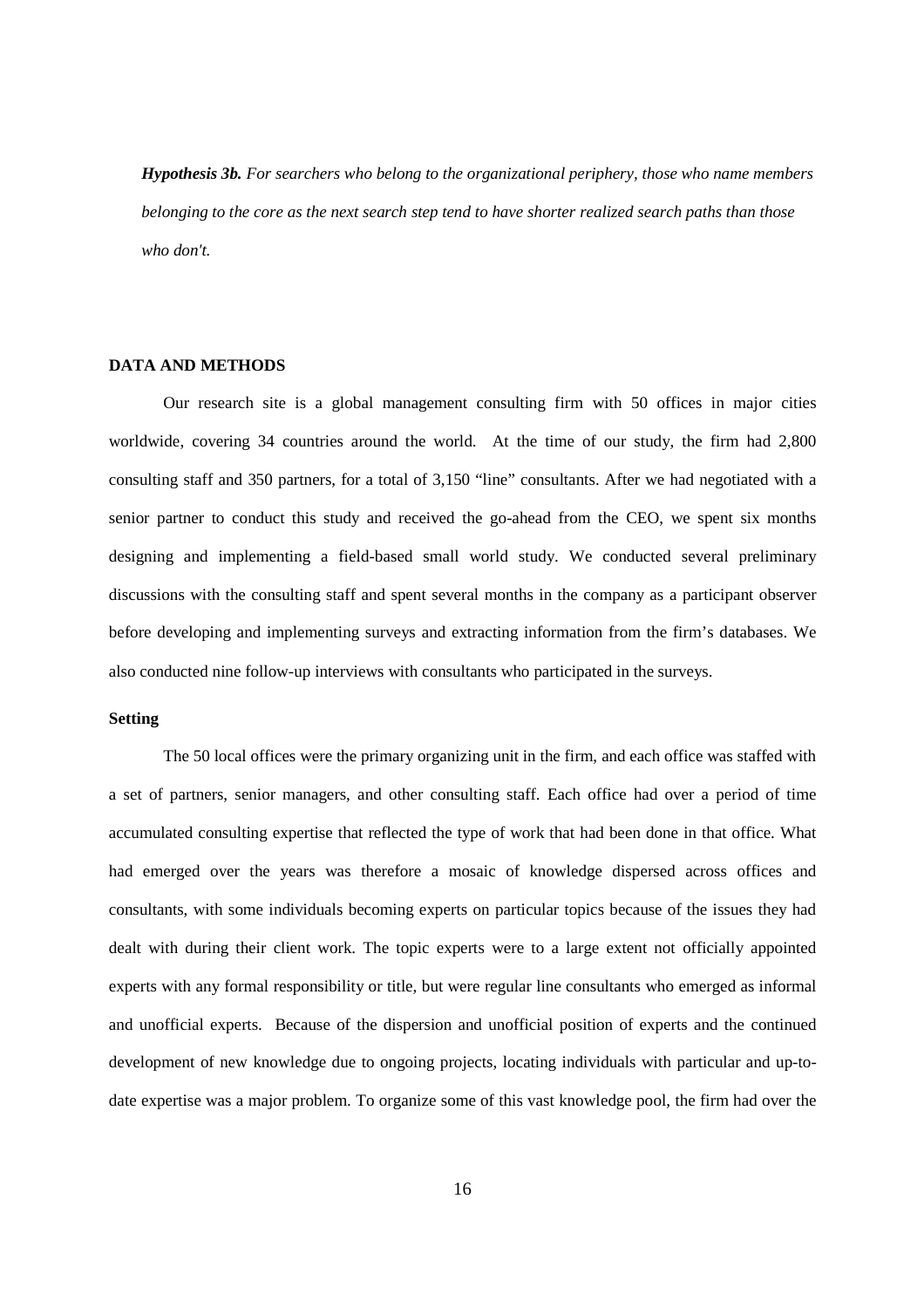*Hypothesis 3b. For searchers who belong to the organizational periphery, those who name members belonging to the core as the next search step tend to have shorter realized search paths than those who don't.* 

#### **DATA AND METHODS**

 Our research site is a global management consulting firm with 50 offices in major cities worldwide, covering 34 countries around the world. At the time of our study, the firm had 2,800 consulting staff and 350 partners, for a total of 3,150 "line" consultants. After we had negotiated with a senior partner to conduct this study and received the go-ahead from the CEO, we spent six months designing and implementing a field-based small world study. We conducted several preliminary discussions with the consulting staff and spent several months in the company as a participant observer before developing and implementing surveys and extracting information from the firm's databases. We also conducted nine follow-up interviews with consultants who participated in the surveys.

#### **Setting**

 The 50 local offices were the primary organizing unit in the firm, and each office was staffed with a set of partners, senior managers, and other consulting staff. Each office had over a period of time accumulated consulting expertise that reflected the type of work that had been done in that office. What had emerged over the years was therefore a mosaic of knowledge dispersed across offices and consultants, with some individuals becoming experts on particular topics because of the issues they had dealt with during their client work. The topic experts were to a large extent not officially appointed experts with any formal responsibility or title, but were regular line consultants who emerged as informal and unofficial experts. Because of the dispersion and unofficial position of experts and the continued development of new knowledge due to ongoing projects, locating individuals with particular and up-todate expertise was a major problem. To organize some of this vast knowledge pool, the firm had over the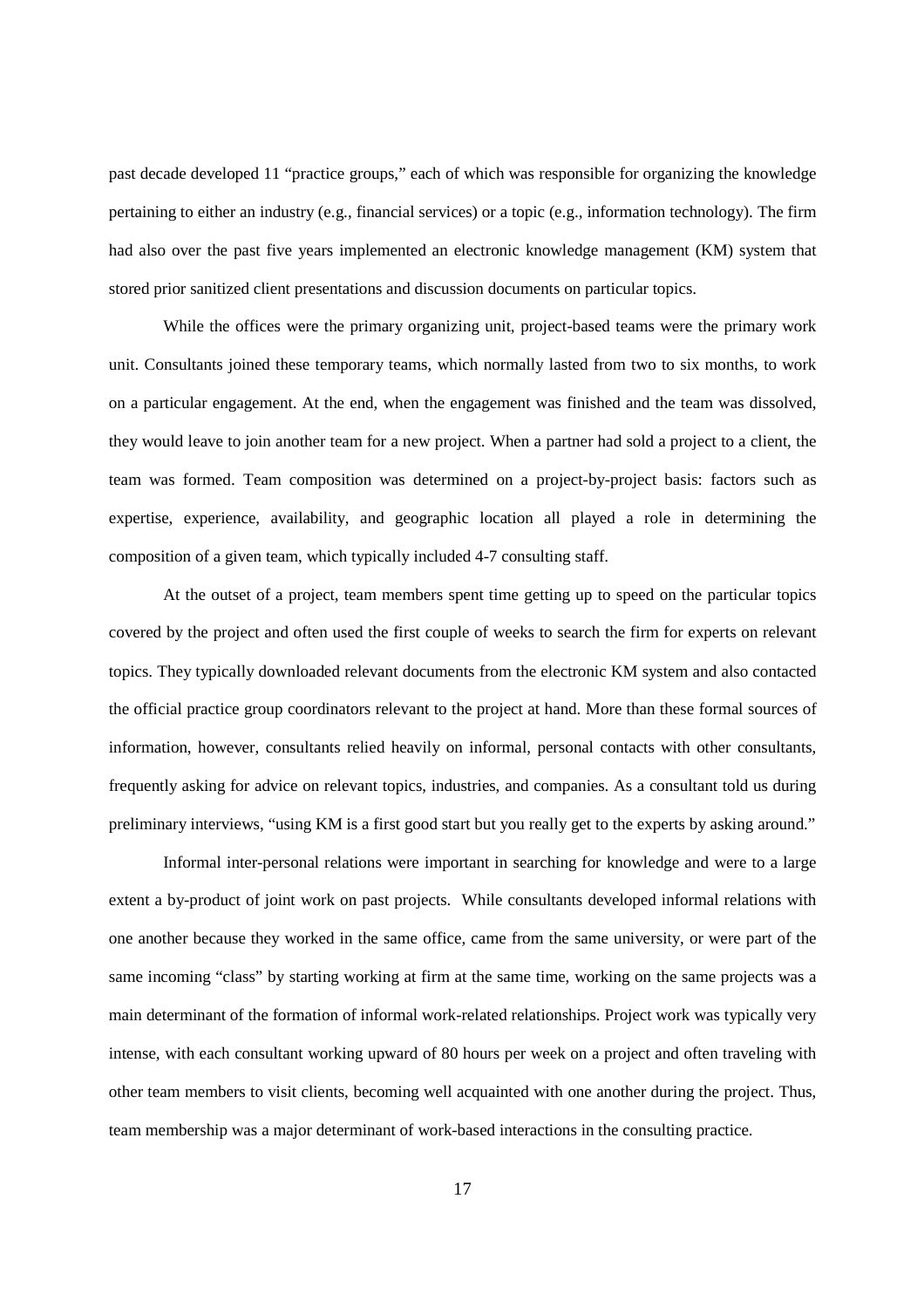past decade developed 11 "practice groups," each of which was responsible for organizing the knowledge pertaining to either an industry (e.g., financial services) or a topic (e.g., information technology). The firm had also over the past five years implemented an electronic knowledge management (KM) system that stored prior sanitized client presentations and discussion documents on particular topics.

 While the offices were the primary organizing unit, project-based teams were the primary work unit. Consultants joined these temporary teams, which normally lasted from two to six months, to work on a particular engagement. At the end, when the engagement was finished and the team was dissolved, they would leave to join another team for a new project. When a partner had sold a project to a client, the team was formed. Team composition was determined on a project-by-project basis: factors such as expertise, experience, availability, and geographic location all played a role in determining the composition of a given team, which typically included 4-7 consulting staff.

At the outset of a project, team members spent time getting up to speed on the particular topics covered by the project and often used the first couple of weeks to search the firm for experts on relevant topics. They typically downloaded relevant documents from the electronic KM system and also contacted the official practice group coordinators relevant to the project at hand. More than these formal sources of information, however, consultants relied heavily on informal, personal contacts with other consultants, frequently asking for advice on relevant topics, industries, and companies. As a consultant told us during preliminary interviews, "using KM is a first good start but you really get to the experts by asking around."

Informal inter-personal relations were important in searching for knowledge and were to a large extent a by-product of joint work on past projects. While consultants developed informal relations with one another because they worked in the same office, came from the same university, or were part of the same incoming "class" by starting working at firm at the same time, working on the same projects was a main determinant of the formation of informal work-related relationships. Project work was typically very intense, with each consultant working upward of 80 hours per week on a project and often traveling with other team members to visit clients, becoming well acquainted with one another during the project. Thus, team membership was a major determinant of work-based interactions in the consulting practice.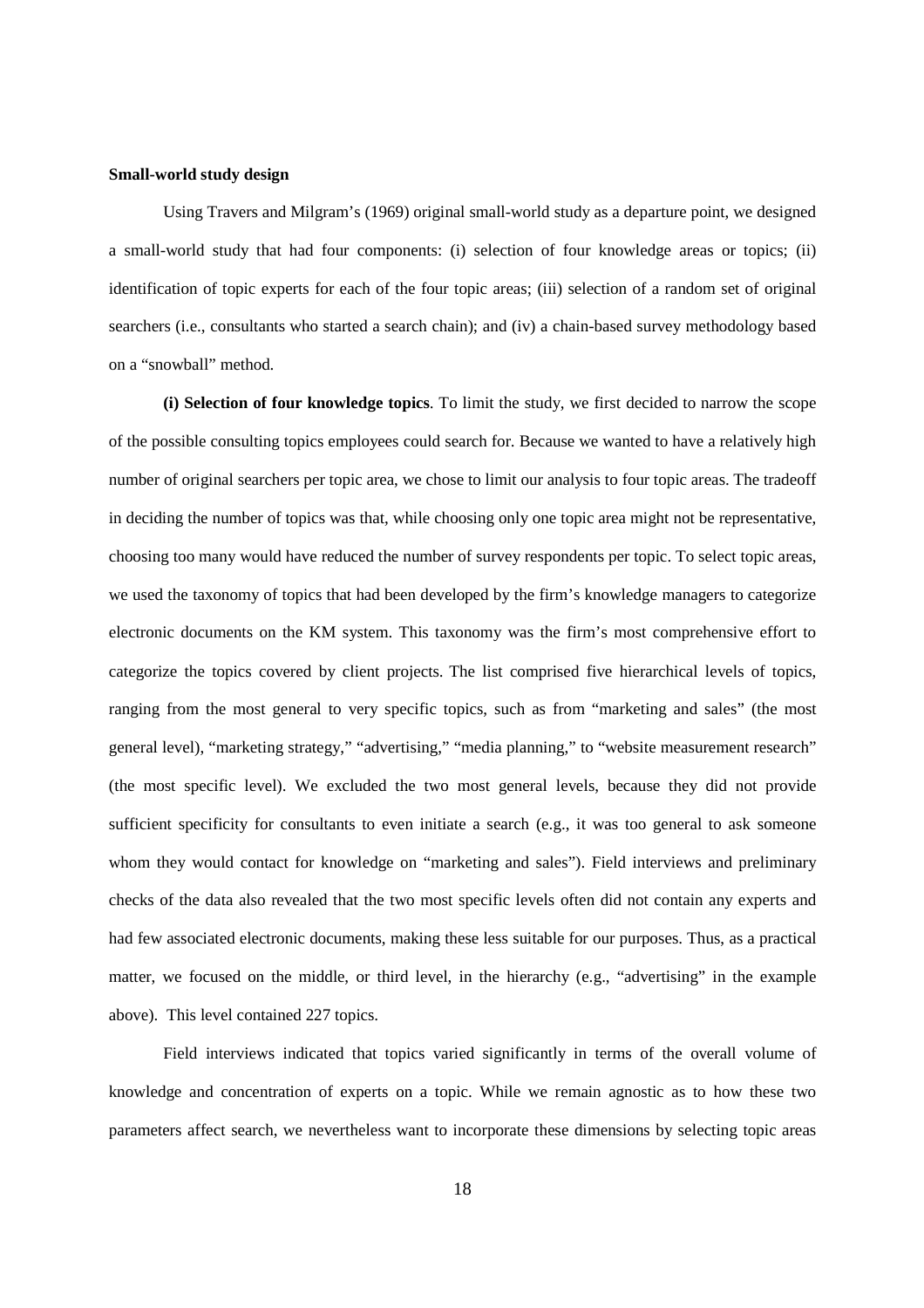#### **Small-world study design**

 Using Travers and Milgram's (1969) original small-world study as a departure point, we designed a small-world study that had four components: (i) selection of four knowledge areas or topics; (ii) identification of topic experts for each of the four topic areas; (iii) selection of a random set of original searchers (i.e., consultants who started a search chain); and (iv) a chain-based survey methodology based on a "snowball" method.

**(i) Selection of four knowledge topics**. To limit the study, we first decided to narrow the scope of the possible consulting topics employees could search for. Because we wanted to have a relatively high number of original searchers per topic area, we chose to limit our analysis to four topic areas. The tradeoff in deciding the number of topics was that, while choosing only one topic area might not be representative, choosing too many would have reduced the number of survey respondents per topic. To select topic areas, we used the taxonomy of topics that had been developed by the firm's knowledge managers to categorize electronic documents on the KM system. This taxonomy was the firm's most comprehensive effort to categorize the topics covered by client projects. The list comprised five hierarchical levels of topics, ranging from the most general to very specific topics, such as from "marketing and sales" (the most general level), "marketing strategy," "advertising," "media planning," to "website measurement research" (the most specific level). We excluded the two most general levels, because they did not provide sufficient specificity for consultants to even initiate a search (e.g., it was too general to ask someone whom they would contact for knowledge on "marketing and sales"). Field interviews and preliminary checks of the data also revealed that the two most specific levels often did not contain any experts and had few associated electronic documents, making these less suitable for our purposes. Thus, as a practical matter, we focused on the middle, or third level, in the hierarchy (e.g., "advertising" in the example above). This level contained 227 topics.

 Field interviews indicated that topics varied significantly in terms of the overall volume of knowledge and concentration of experts on a topic. While we remain agnostic as to how these two parameters affect search, we nevertheless want to incorporate these dimensions by selecting topic areas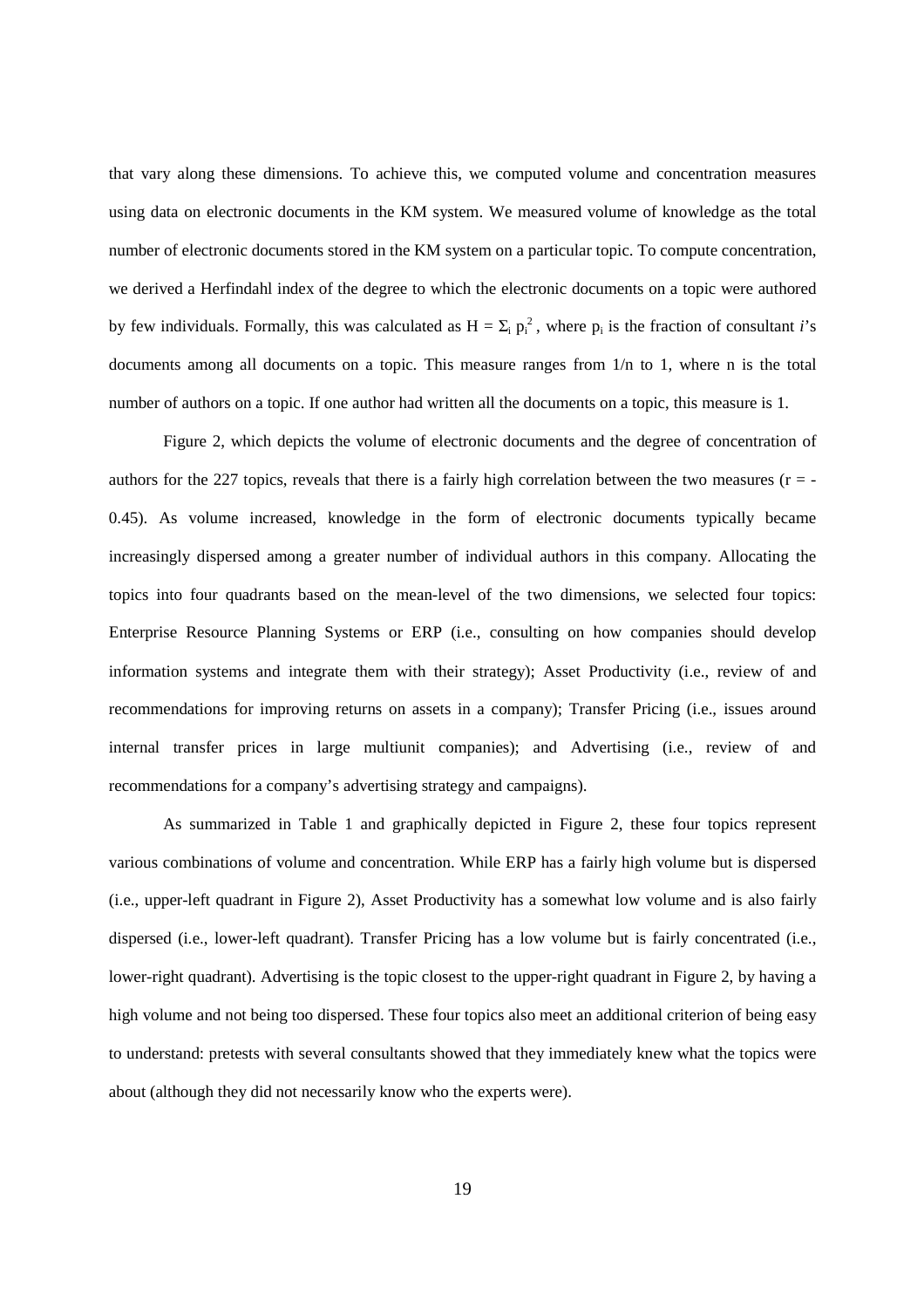that vary along these dimensions. To achieve this, we computed volume and concentration measures using data on electronic documents in the KM system. We measured volume of knowledge as the total number of electronic documents stored in the KM system on a particular topic. To compute concentration, we derived a Herfindahl index of the degree to which the electronic documents on a topic were authored by few individuals. Formally, this was calculated as  $H = \sum_i p_i^2$ , where  $p_i$  is the fraction of consultant *i*'s documents among all documents on a topic. This measure ranges from 1/n to 1, where n is the total number of authors on a topic. If one author had written all the documents on a topic, this measure is 1.

Figure 2, which depicts the volume of electronic documents and the degree of concentration of authors for the 227 topics, reveals that there is a fairly high correlation between the two measures  $(r = -1)$ 0.45). As volume increased, knowledge in the form of electronic documents typically became increasingly dispersed among a greater number of individual authors in this company. Allocating the topics into four quadrants based on the mean-level of the two dimensions, we selected four topics: Enterprise Resource Planning Systems or ERP (i.e., consulting on how companies should develop information systems and integrate them with their strategy); Asset Productivity (i.e., review of and recommendations for improving returns on assets in a company); Transfer Pricing (i.e., issues around internal transfer prices in large multiunit companies); and Advertising (i.e., review of and recommendations for a company's advertising strategy and campaigns).

As summarized in Table 1 and graphically depicted in Figure 2, these four topics represent various combinations of volume and concentration. While ERP has a fairly high volume but is dispersed (i.e., upper-left quadrant in Figure 2), Asset Productivity has a somewhat low volume and is also fairly dispersed (i.e., lower-left quadrant). Transfer Pricing has a low volume but is fairly concentrated (i.e., lower-right quadrant). Advertising is the topic closest to the upper-right quadrant in Figure 2, by having a high volume and not being too dispersed. These four topics also meet an additional criterion of being easy to understand: pretests with several consultants showed that they immediately knew what the topics were about (although they did not necessarily know who the experts were).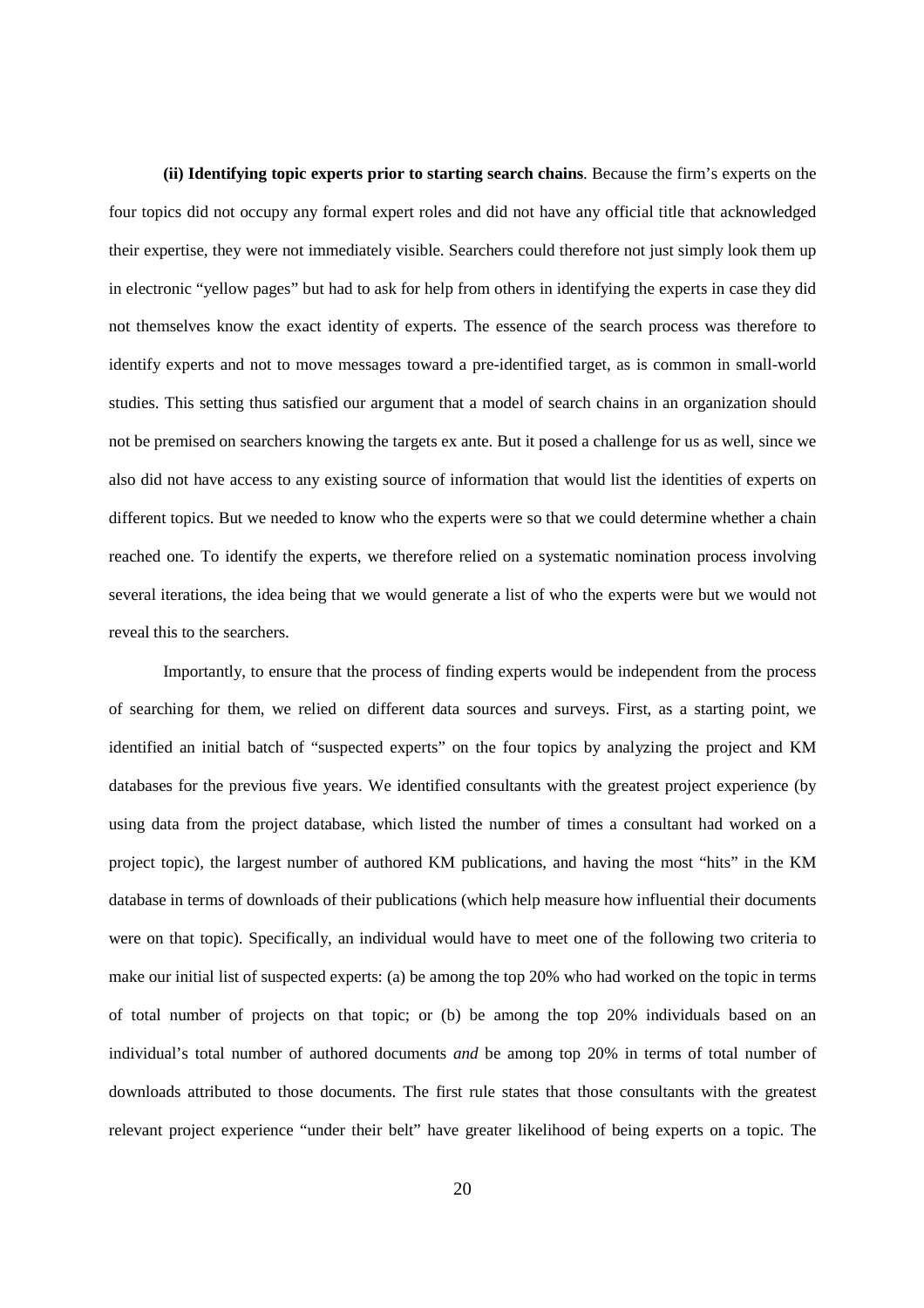**(ii) Identifying topic experts prior to starting search chains**. Because the firm's experts on the four topics did not occupy any formal expert roles and did not have any official title that acknowledged their expertise, they were not immediately visible. Searchers could therefore not just simply look them up in electronic "yellow pages" but had to ask for help from others in identifying the experts in case they did not themselves know the exact identity of experts. The essence of the search process was therefore to identify experts and not to move messages toward a pre-identified target, as is common in small-world studies. This setting thus satisfied our argument that a model of search chains in an organization should not be premised on searchers knowing the targets ex ante. But it posed a challenge for us as well, since we also did not have access to any existing source of information that would list the identities of experts on different topics. But we needed to know who the experts were so that we could determine whether a chain reached one. To identify the experts, we therefore relied on a systematic nomination process involving several iterations, the idea being that we would generate a list of who the experts were but we would not reveal this to the searchers.

Importantly, to ensure that the process of finding experts would be independent from the process of searching for them, we relied on different data sources and surveys. First, as a starting point, we identified an initial batch of "suspected experts" on the four topics by analyzing the project and KM databases for the previous five years. We identified consultants with the greatest project experience (by using data from the project database, which listed the number of times a consultant had worked on a project topic), the largest number of authored KM publications, and having the most "hits" in the KM database in terms of downloads of their publications (which help measure how influential their documents were on that topic). Specifically, an individual would have to meet one of the following two criteria to make our initial list of suspected experts: (a) be among the top 20% who had worked on the topic in terms of total number of projects on that topic; or (b) be among the top 20% individuals based on an individual's total number of authored documents *and* be among top 20% in terms of total number of downloads attributed to those documents. The first rule states that those consultants with the greatest relevant project experience "under their belt" have greater likelihood of being experts on a topic. The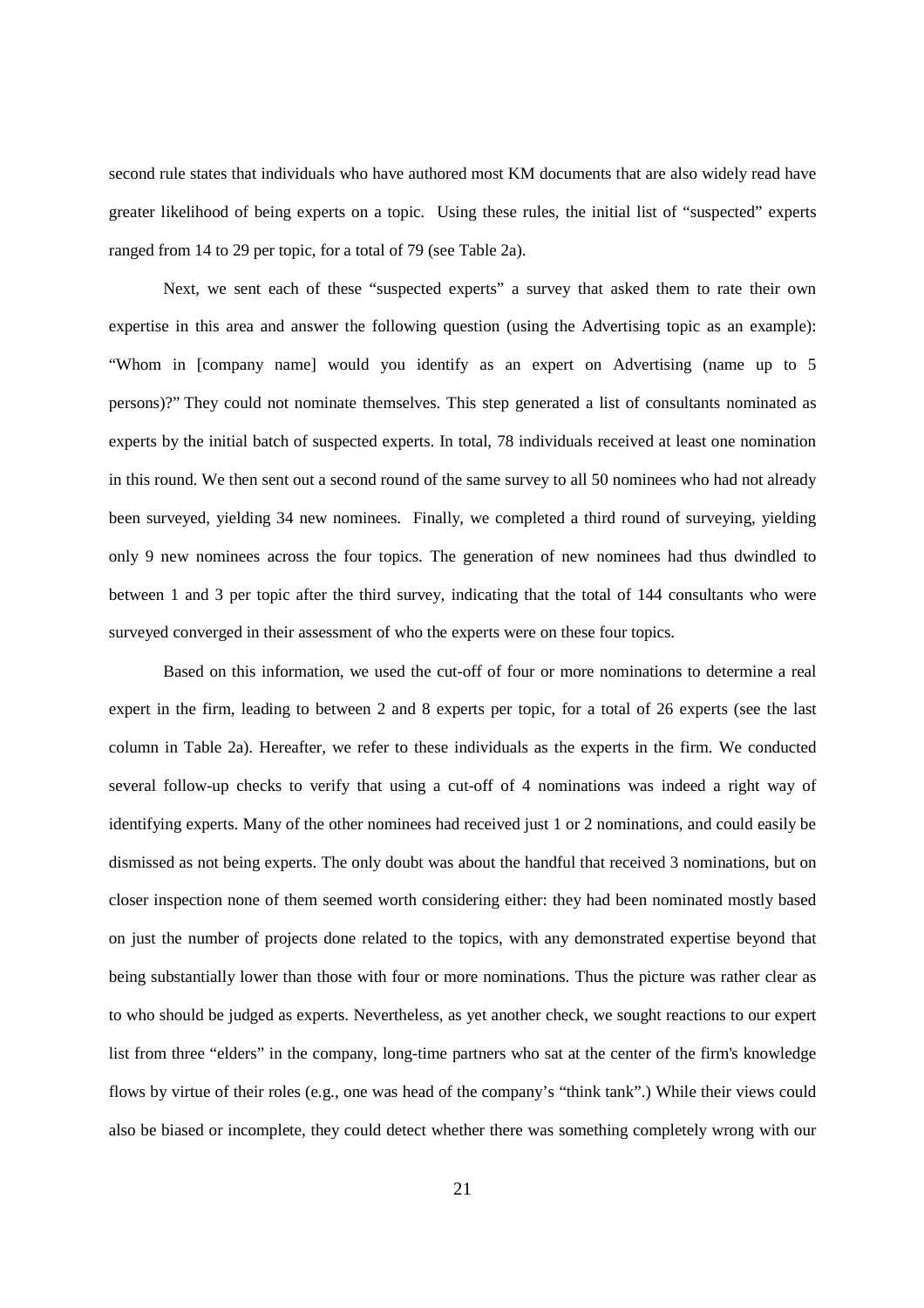second rule states that individuals who have authored most KM documents that are also widely read have greater likelihood of being experts on a topic. Using these rules, the initial list of "suspected" experts ranged from 14 to 29 per topic, for a total of 79 (see Table 2a).

Next, we sent each of these "suspected experts" a survey that asked them to rate their own expertise in this area and answer the following question (using the Advertising topic as an example): "Whom in [company name] would you identify as an expert on Advertising (name up to 5 persons)?" They could not nominate themselves. This step generated a list of consultants nominated as experts by the initial batch of suspected experts. In total, 78 individuals received at least one nomination in this round. We then sent out a second round of the same survey to all 50 nominees who had not already been surveyed, yielding 34 new nominees. Finally, we completed a third round of surveying, yielding only 9 new nominees across the four topics. The generation of new nominees had thus dwindled to between 1 and 3 per topic after the third survey, indicating that the total of 144 consultants who were surveyed converged in their assessment of who the experts were on these four topics.

Based on this information, we used the cut-off of four or more nominations to determine a real expert in the firm, leading to between 2 and 8 experts per topic, for a total of 26 experts (see the last column in Table 2a). Hereafter, we refer to these individuals as the experts in the firm. We conducted several follow-up checks to verify that using a cut-off of 4 nominations was indeed a right way of identifying experts. Many of the other nominees had received just 1 or 2 nominations, and could easily be dismissed as not being experts. The only doubt was about the handful that received 3 nominations, but on closer inspection none of them seemed worth considering either: they had been nominated mostly based on just the number of projects done related to the topics, with any demonstrated expertise beyond that being substantially lower than those with four or more nominations. Thus the picture was rather clear as to who should be judged as experts. Nevertheless, as yet another check, we sought reactions to our expert list from three "elders" in the company, long-time partners who sat at the center of the firm's knowledge flows by virtue of their roles (e.g., one was head of the company's "think tank".) While their views could also be biased or incomplete, they could detect whether there was something completely wrong with our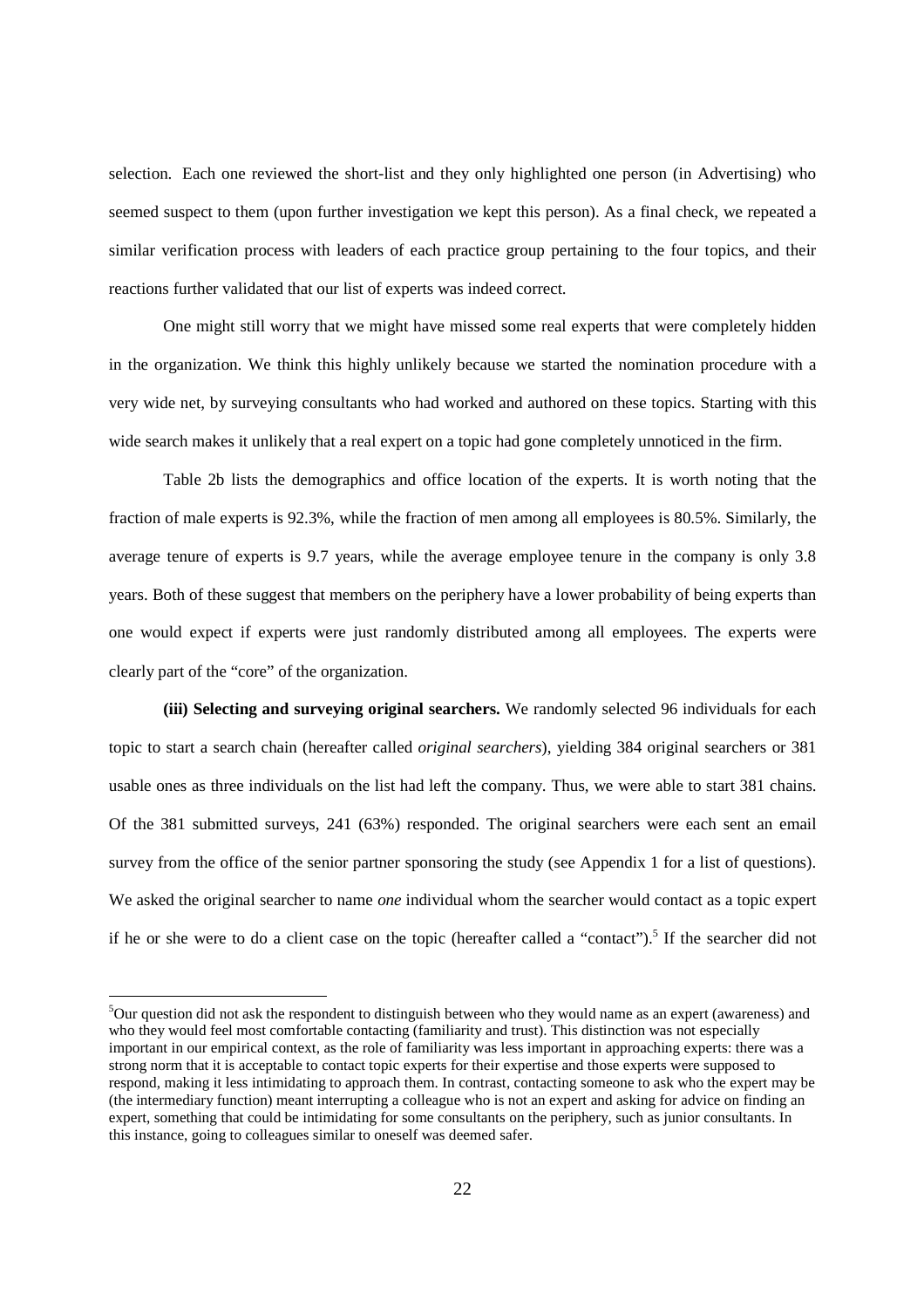selection. Each one reviewed the short-list and they only highlighted one person (in Advertising) who seemed suspect to them (upon further investigation we kept this person). As a final check, we repeated a similar verification process with leaders of each practice group pertaining to the four topics, and their reactions further validated that our list of experts was indeed correct.

One might still worry that we might have missed some real experts that were completely hidden in the organization. We think this highly unlikely because we started the nomination procedure with a very wide net, by surveying consultants who had worked and authored on these topics. Starting with this wide search makes it unlikely that a real expert on a topic had gone completely unnoticed in the firm.

Table 2b lists the demographics and office location of the experts. It is worth noting that the fraction of male experts is 92.3%, while the fraction of men among all employees is 80.5%. Similarly, the average tenure of experts is 9.7 years, while the average employee tenure in the company is only 3.8 years. Both of these suggest that members on the periphery have a lower probability of being experts than one would expect if experts were just randomly distributed among all employees. The experts were clearly part of the "core" of the organization.

**(iii) Selecting and surveying original searchers.** We randomly selected 96 individuals for each topic to start a search chain (hereafter called *original searchers*), yielding 384 original searchers or 381 usable ones as three individuals on the list had left the company. Thus, we were able to start 381 chains. Of the 381 submitted surveys, 241 (63%) responded. The original searchers were each sent an email survey from the office of the senior partner sponsoring the study (see Appendix 1 for a list of questions). We asked the original searcher to name *one* individual whom the searcher would contact as a topic expert if he or she were to do a client case on the topic (hereafter called a "contact").<sup>5</sup> If the searcher did not

-

 $5$ Our question did not ask the respondent to distinguish between who they would name as an expert (awareness) and who they would feel most comfortable contacting (familiarity and trust). This distinction was not especially important in our empirical context, as the role of familiarity was less important in approaching experts: there was a strong norm that it is acceptable to contact topic experts for their expertise and those experts were supposed to respond, making it less intimidating to approach them. In contrast, contacting someone to ask who the expert may be (the intermediary function) meant interrupting a colleague who is not an expert and asking for advice on finding an expert, something that could be intimidating for some consultants on the periphery, such as junior consultants. In this instance, going to colleagues similar to oneself was deemed safer.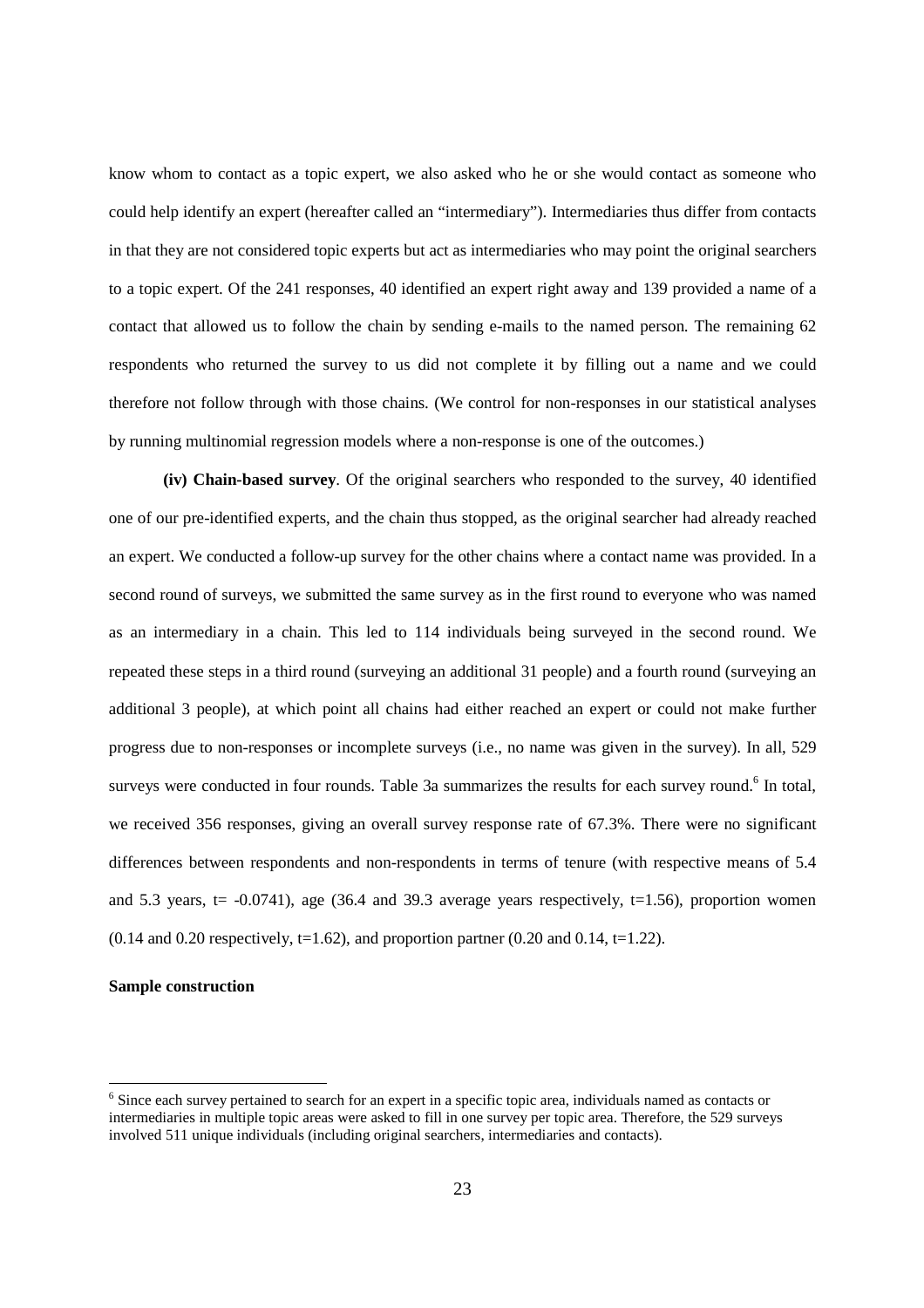know whom to contact as a topic expert, we also asked who he or she would contact as someone who could help identify an expert (hereafter called an "intermediary"). Intermediaries thus differ from contacts in that they are not considered topic experts but act as intermediaries who may point the original searchers to a topic expert. Of the 241 responses, 40 identified an expert right away and 139 provided a name of a contact that allowed us to follow the chain by sending e-mails to the named person. The remaining 62 respondents who returned the survey to us did not complete it by filling out a name and we could therefore not follow through with those chains. (We control for non-responses in our statistical analyses by running multinomial regression models where a non-response is one of the outcomes.)

**(iv) Chain-based survey**. Of the original searchers who responded to the survey, 40 identified one of our pre-identified experts, and the chain thus stopped, as the original searcher had already reached an expert. We conducted a follow-up survey for the other chains where a contact name was provided. In a second round of surveys, we submitted the same survey as in the first round to everyone who was named as an intermediary in a chain. This led to 114 individuals being surveyed in the second round. We repeated these steps in a third round (surveying an additional 31 people) and a fourth round (surveying an additional 3 people), at which point all chains had either reached an expert or could not make further progress due to non-responses or incomplete surveys (i.e., no name was given in the survey). In all, 529 surveys were conducted in four rounds. Table 3a summarizes the results for each survey round.<sup>6</sup> In total, we received 356 responses, giving an overall survey response rate of 67.3%. There were no significant differences between respondents and non-respondents in terms of tenure (with respective means of 5.4 and 5.3 years,  $t = -0.0741$ ), age (36.4 and 39.3 average years respectively,  $t=1.56$ ), proportion women  $(0.14 \text{ and } 0.20 \text{ respectively}, t=1.62)$ , and proportion partner  $(0.20 \text{ and } 0.14, t=1.22)$ .

#### **Sample construction**

-

<sup>&</sup>lt;sup>6</sup> Since each survey pertained to search for an expert in a specific topic area, individuals named as contacts or intermediaries in multiple topic areas were asked to fill in one survey per topic area. Therefore, the 529 surveys involved 511 unique individuals (including original searchers, intermediaries and contacts).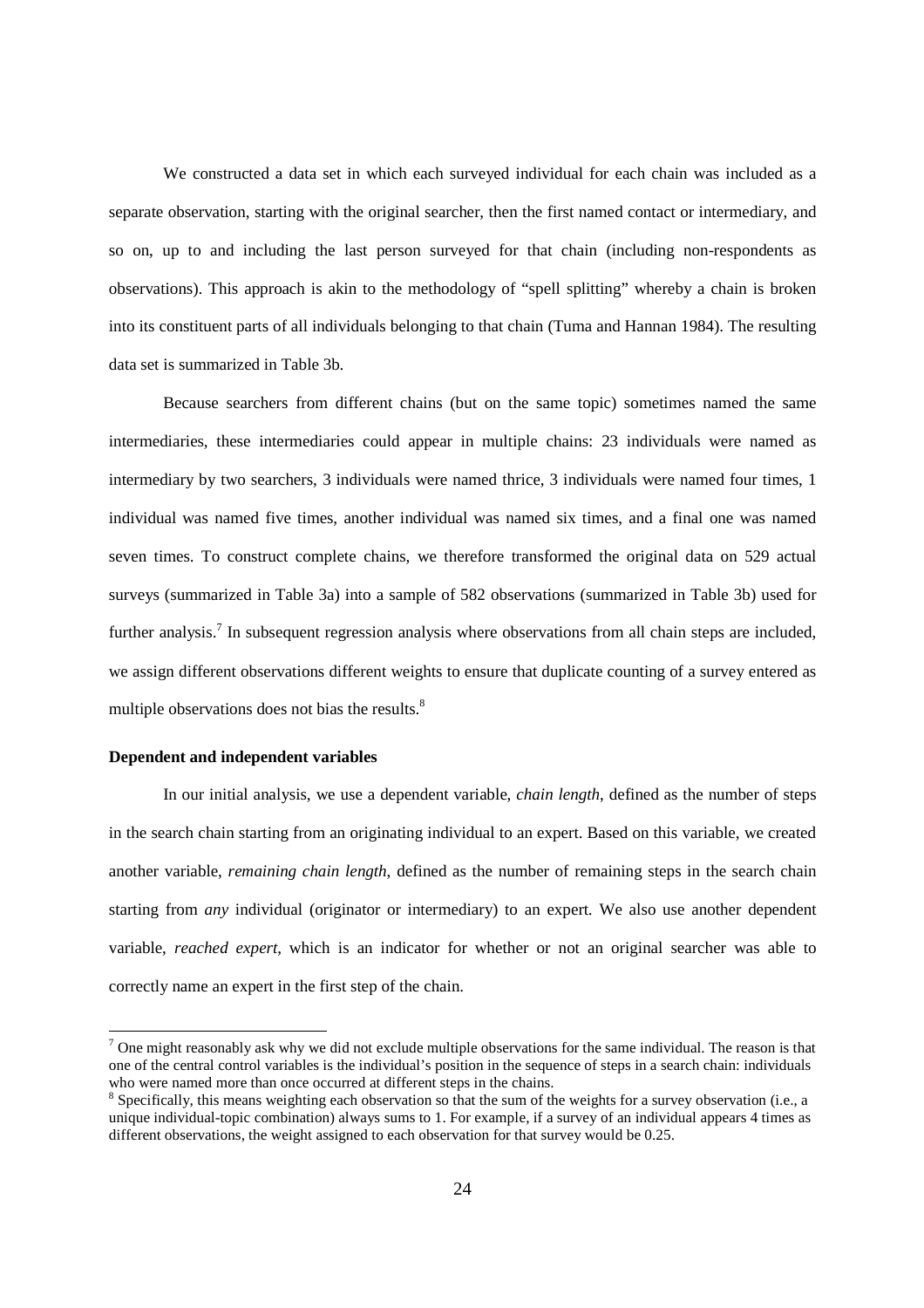We constructed a data set in which each surveyed individual for each chain was included as a separate observation, starting with the original searcher, then the first named contact or intermediary, and so on, up to and including the last person surveyed for that chain (including non-respondents as observations). This approach is akin to the methodology of "spell splitting" whereby a chain is broken into its constituent parts of all individuals belonging to that chain (Tuma and Hannan 1984). The resulting data set is summarized in Table 3b.

Because searchers from different chains (but on the same topic) sometimes named the same intermediaries, these intermediaries could appear in multiple chains: 23 individuals were named as intermediary by two searchers, 3 individuals were named thrice, 3 individuals were named four times, 1 individual was named five times, another individual was named six times, and a final one was named seven times. To construct complete chains, we therefore transformed the original data on 529 actual surveys (summarized in Table 3a) into a sample of 582 observations (summarized in Table 3b) used for further analysis.<sup>7</sup> In subsequent regression analysis where observations from all chain steps are included, we assign different observations different weights to ensure that duplicate counting of a survey entered as multiple observations does not bias the results.<sup>8</sup>

#### **Dependent and independent variables**

-

In our initial analysis, we use a dependent variable, *chain length*, defined as the number of steps in the search chain starting from an originating individual to an expert. Based on this variable, we created another variable, *remaining chain length*, defined as the number of remaining steps in the search chain starting from *any* individual (originator or intermediary) to an expert. We also use another dependent variable, *reached expert*, which is an indicator for whether or not an original searcher was able to correctly name an expert in the first step of the chain.

 $<sup>7</sup>$  One might reasonably ask why we did not exclude multiple observations for the same individual. The reason is that</sup> one of the central control variables is the individual's position in the sequence of steps in a search chain: individuals who were named more than once occurred at different steps in the chains.

<sup>&</sup>lt;sup>8</sup> Specifically, this means weighting each observation so that the sum of the weights for a survey observation (i.e., a unique individual-topic combination) always sums to 1. For example, if a survey of an individual appears 4 times as different observations, the weight assigned to each observation for that survey would be 0.25.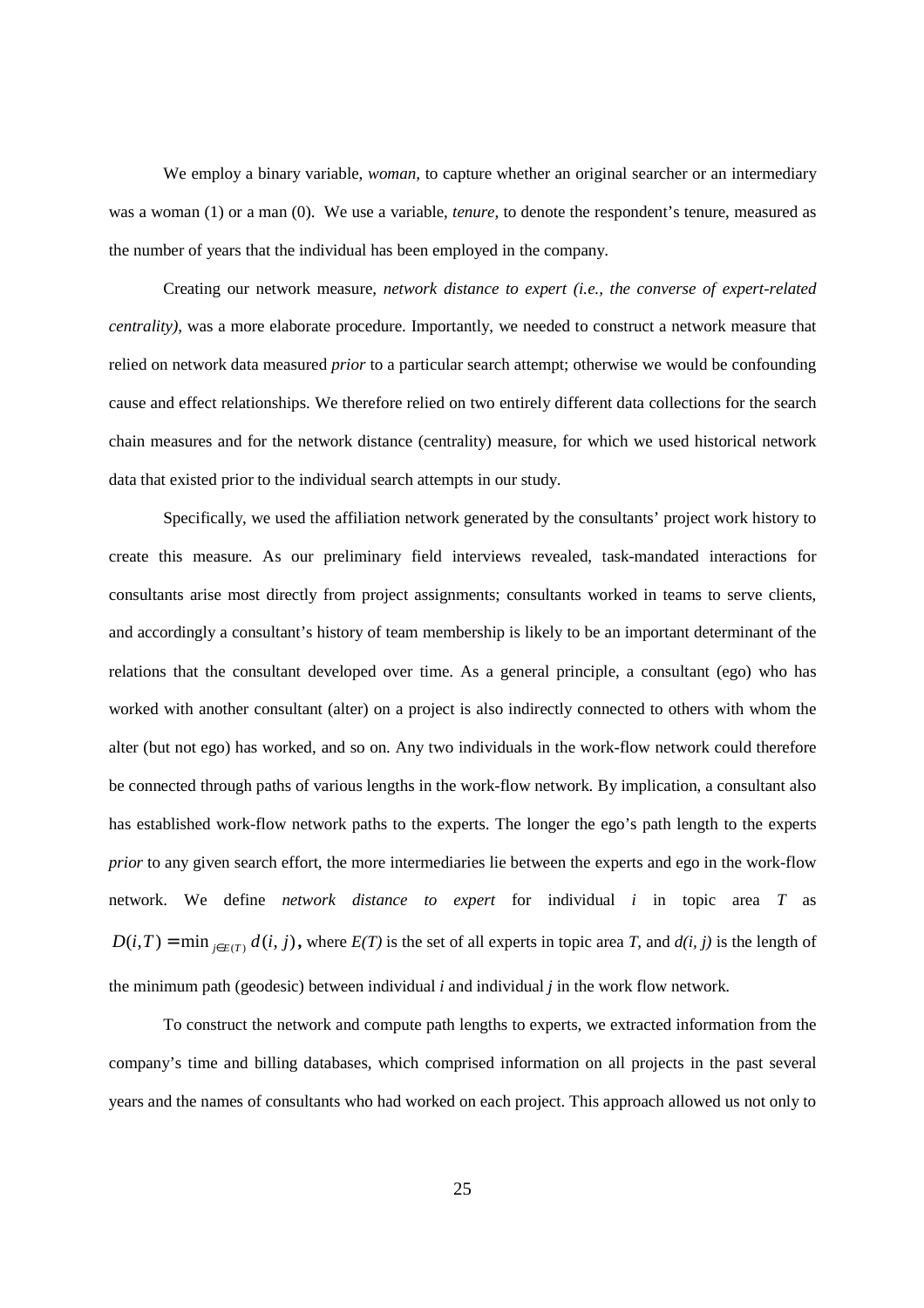We employ a binary variable, *woman,* to capture whether an original searcher or an intermediary was a woman (1) or a man (0). We use a variable, *tenure,* to denote the respondent's tenure, measured as the number of years that the individual has been employed in the company.

Creating our network measure, *network distance to expert (i.e., the converse of expert-related centrality)*, was a more elaborate procedure. Importantly, we needed to construct a network measure that relied on network data measured *prior* to a particular search attempt; otherwise we would be confounding cause and effect relationships. We therefore relied on two entirely different data collections for the search chain measures and for the network distance (centrality) measure, for which we used historical network data that existed prior to the individual search attempts in our study.

Specifically, we used the affiliation network generated by the consultants' project work history to create this measure. As our preliminary field interviews revealed, task-mandated interactions for consultants arise most directly from project assignments; consultants worked in teams to serve clients, and accordingly a consultant's history of team membership is likely to be an important determinant of the relations that the consultant developed over time. As a general principle, a consultant (ego) who has worked with another consultant (alter) on a project is also indirectly connected to others with whom the alter (but not ego) has worked, and so on. Any two individuals in the work-flow network could therefore be connected through paths of various lengths in the work-flow network. By implication, a consultant also has established work-flow network paths to the experts. The longer the ego's path length to the experts *prior* to any given search effort, the more intermediaries lie between the experts and ego in the work-flow network. We define *network distance to expert* for individual *i* in topic area *T* as  $D(i,T) = \min_{j \in E(T)} d(i, j)$ , where  $E(T)$  is the set of all experts in topic area *T*, and  $d(i, j)$  is the length of the minimum path (geodesic) between individual *i* and individual *j* in the work flow network.

 To construct the network and compute path lengths to experts, we extracted information from the company's time and billing databases, which comprised information on all projects in the past several years and the names of consultants who had worked on each project. This approach allowed us not only to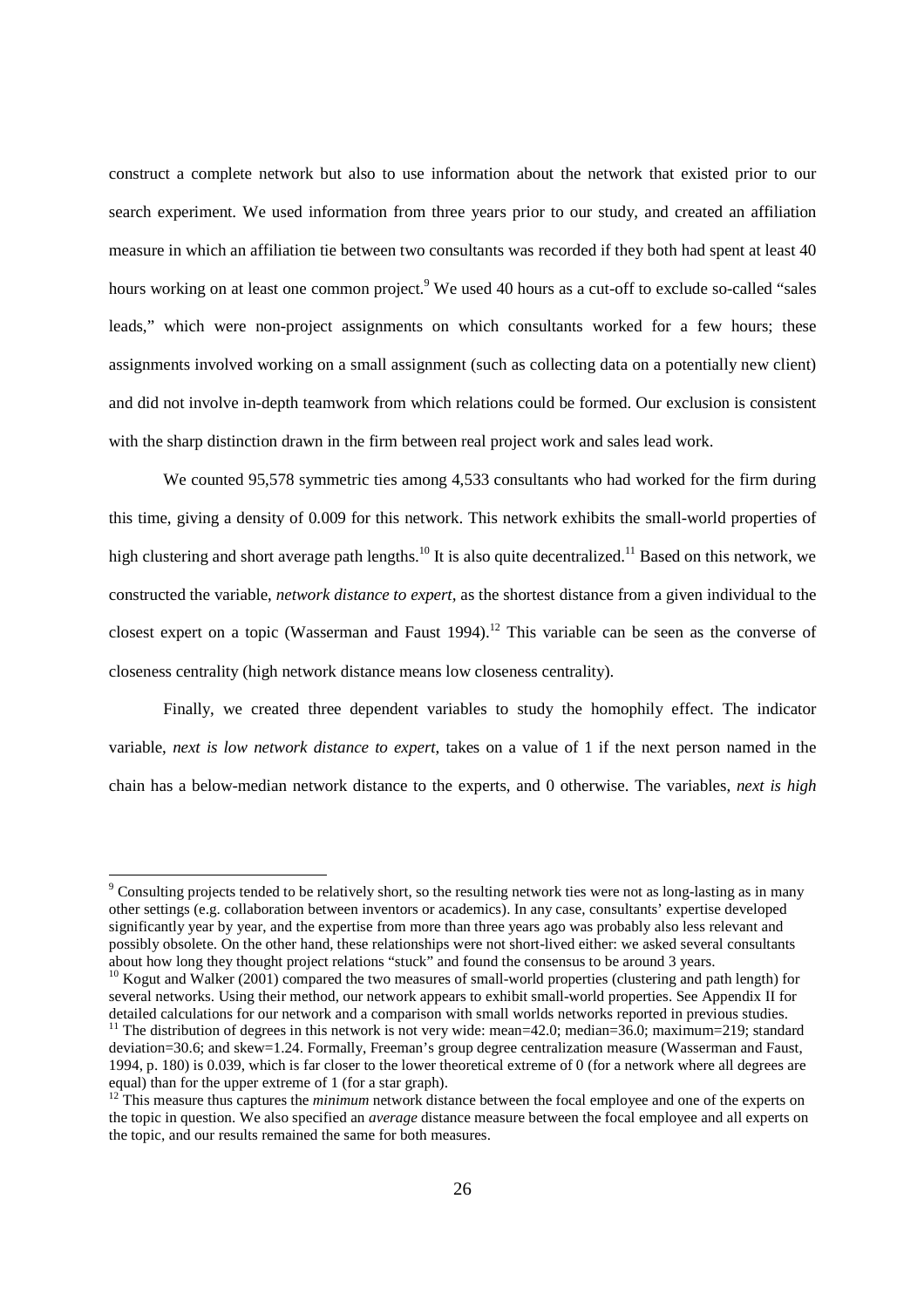construct a complete network but also to use information about the network that existed prior to our search experiment. We used information from three years prior to our study, and created an affiliation measure in which an affiliation tie between two consultants was recorded if they both had spent at least 40 hours working on at least one common project.<sup>9</sup> We used 40 hours as a cut-off to exclude so-called "sales leads," which were non-project assignments on which consultants worked for a few hours; these assignments involved working on a small assignment (such as collecting data on a potentially new client) and did not involve in-depth teamwork from which relations could be formed. Our exclusion is consistent with the sharp distinction drawn in the firm between real project work and sales lead work.

We counted 95,578 symmetric ties among 4,533 consultants who had worked for the firm during this time, giving a density of 0.009 for this network. This network exhibits the small-world properties of high clustering and short average path lengths.<sup>10</sup> It is also quite decentralized.<sup>11</sup> Based on this network, we constructed the variable, *network distance to expert,* as the shortest distance from a given individual to the closest expert on a topic (Wasserman and Faust 1994).<sup>12</sup> This variable can be seen as the converse of closeness centrality (high network distance means low closeness centrality).

Finally, we created three dependent variables to study the homophily effect. The indicator variable, *next is low network distance to expert*, takes on a value of 1 if the next person named in the chain has a below-median network distance to the experts, and 0 otherwise. The variables, *next is high* 

-

 $9^9$  Consulting projects tended to be relatively short, so the resulting network ties were not as long-lasting as in many other settings (e.g. collaboration between inventors or academics). In any case, consultants' expertise developed significantly year by year, and the expertise from more than three years ago was probably also less relevant and possibly obsolete. On the other hand, these relationships were not short-lived either: we asked several consultants about how long they thought project relations "stuck" and found the consensus to be around 3 years.

<sup>&</sup>lt;sup>10</sup> Kogut and Walker (2001) compared the two measures of small-world properties (clustering and path length) for several networks. Using their method, our network appears to exhibit small-world properties. See Appendix II for detailed calculations for our network and a comparison with small worlds networks reported in previous studies.

<sup>&</sup>lt;sup>11</sup> The distribution of degrees in this network is not very wide: mean=42.0; median=36.0; maximum=219; standard deviation=30.6; and skew=1.24. Formally, Freeman's group degree centralization measure (Wasserman and Faust, 1994, p. 180) is 0.039, which is far closer to the lower theoretical extreme of 0 (for a network where all degrees are equal) than for the upper extreme of 1 (for a star graph).

<sup>&</sup>lt;sup>1</sup><sup>2</sup> This measure thus captures the *minimum* network distance between the focal employee and one of the experts on the topic in question. We also specified an *average* distance measure between the focal employee and all experts on the topic, and our results remained the same for both measures.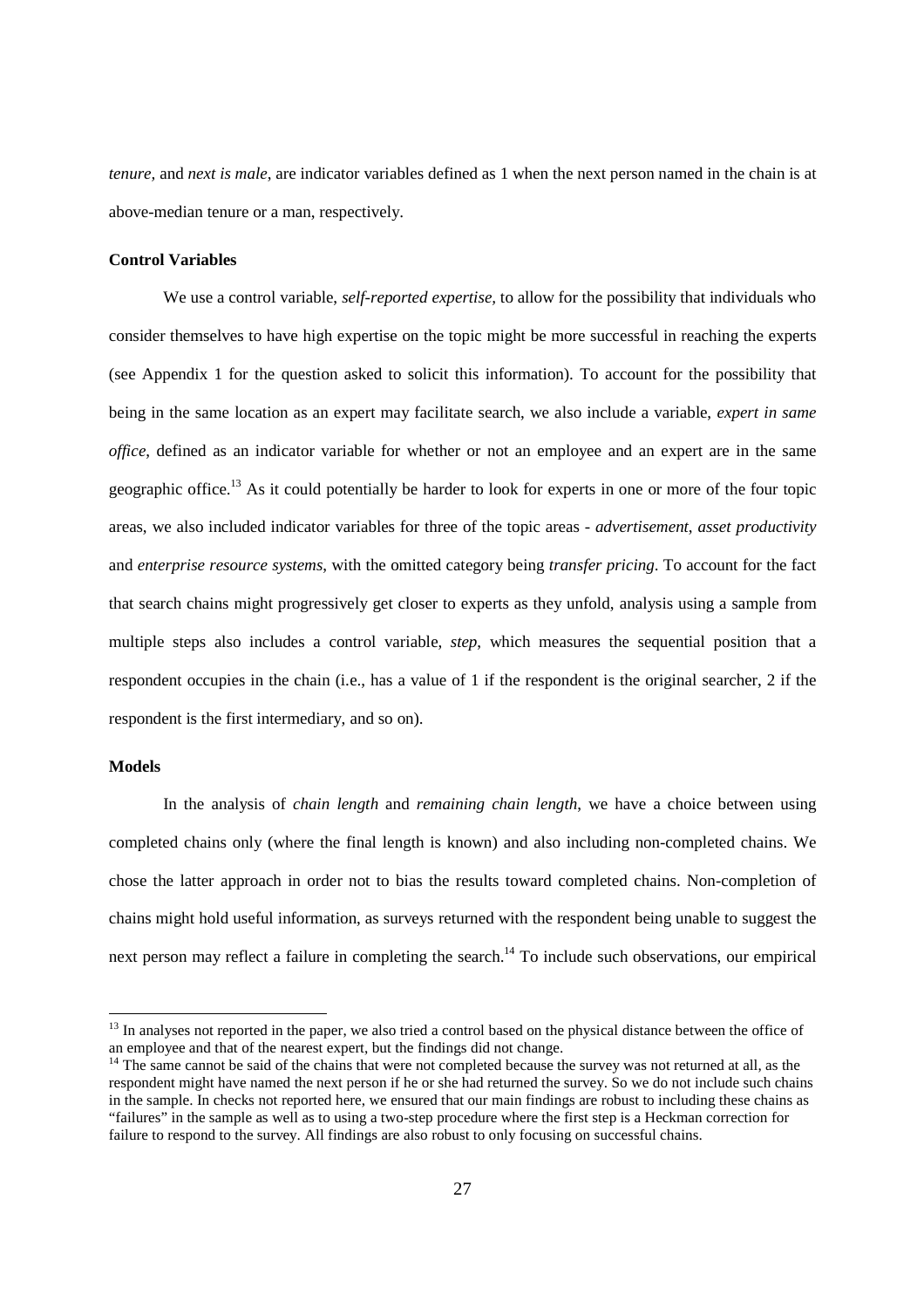*tenure,* and *next is male*, are indicator variables defined as 1 when the next person named in the chain is at above-median tenure or a man, respectively.

#### **Control Variables**

We use a control variable, *self-reported expertise,* to allow for the possibility that individuals who consider themselves to have high expertise on the topic might be more successful in reaching the experts (see Appendix 1 for the question asked to solicit this information). To account for the possibility that being in the same location as an expert may facilitate search, we also include a variable, *expert in same office*, defined as an indicator variable for whether or not an employee and an expert are in the same geographic office.<sup>13</sup> As it could potentially be harder to look for experts in one or more of the four topic areas, we also included indicator variables for three of the topic areas - *advertisement*, *asset productivity* and *enterprise resource systems*, with the omitted category being *transfer pricing*. To account for the fact that search chains might progressively get closer to experts as they unfold, analysis using a sample from multiple steps also includes a control variable, *step*, which measures the sequential position that a respondent occupies in the chain (i.e., has a value of 1 if the respondent is the original searcher, 2 if the respondent is the first intermediary, and so on).

#### **Models**

-

In the analysis of *chain length* and *remaining chain length*, we have a choice between using completed chains only (where the final length is known) and also including non-completed chains. We chose the latter approach in order not to bias the results toward completed chains. Non-completion of chains might hold useful information, as surveys returned with the respondent being unable to suggest the next person may reflect a failure in completing the search.<sup>14</sup> To include such observations, our empirical

<sup>&</sup>lt;sup>13</sup> In analyses not reported in the paper, we also tried a control based on the physical distance between the office of an employee and that of the nearest expert, but the findings did not change.

 $14$  The same cannot be said of the chains that were not completed because the survey was not returned at all, as the respondent might have named the next person if he or she had returned the survey. So we do not include such chains in the sample. In checks not reported here, we ensured that our main findings are robust to including these chains as "failures" in the sample as well as to using a two-step procedure where the first step is a Heckman correction for failure to respond to the survey. All findings are also robust to only focusing on successful chains.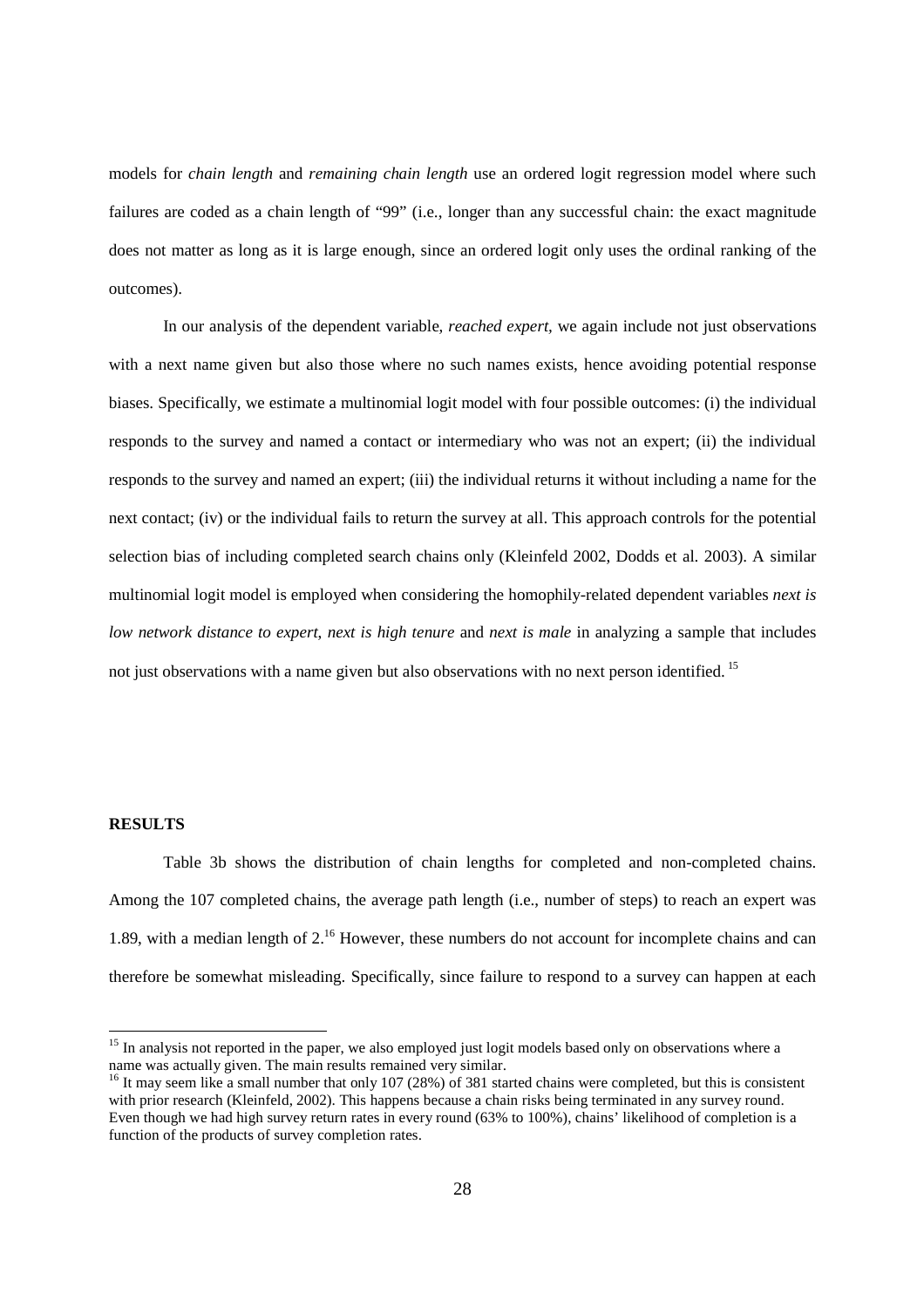models for *chain length* and *remaining chain length* use an ordered logit regression model where such failures are coded as a chain length of "99" (i.e., longer than any successful chain: the exact magnitude does not matter as long as it is large enough, since an ordered logit only uses the ordinal ranking of the outcomes).

In our analysis of the dependent variable, *reached expert,* we again include not just observations with a next name given but also those where no such names exists, hence avoiding potential response biases. Specifically, we estimate a multinomial logit model with four possible outcomes: (i) the individual responds to the survey and named a contact or intermediary who was not an expert; (ii) the individual responds to the survey and named an expert; (iii) the individual returns it without including a name for the next contact; (iv) or the individual fails to return the survey at all. This approach controls for the potential selection bias of including completed search chains only (Kleinfeld 2002, Dodds et al. 2003). A similar multinomial logit model is employed when considering the homophily-related dependent variables *next is low network distance to expert*, *next is high tenure* and *next is male* in analyzing a sample that includes not just observations with a name given but also observations with no next person identified.<sup>15</sup>

#### **RESULTS**

-

 Table 3b shows the distribution of chain lengths for completed and non-completed chains. Among the 107 completed chains, the average path length (i.e., number of steps) to reach an expert was 1.89, with a median length of 2.<sup>16</sup> However, these numbers do not account for incomplete chains and can therefore be somewhat misleading. Specifically, since failure to respond to a survey can happen at each

<sup>&</sup>lt;sup>15</sup> In analysis not reported in the paper, we also employed just logit models based only on observations where a name was actually given. The main results remained very similar.

<sup>&</sup>lt;sup>16</sup> It may seem like a small number that only 107 (28%) of 381 started chains were completed, but this is consistent with prior research (Kleinfeld, 2002). This happens because a chain risks being terminated in any survey round. Even though we had high survey return rates in every round (63% to 100%), chains' likelihood of completion is a function of the products of survey completion rates.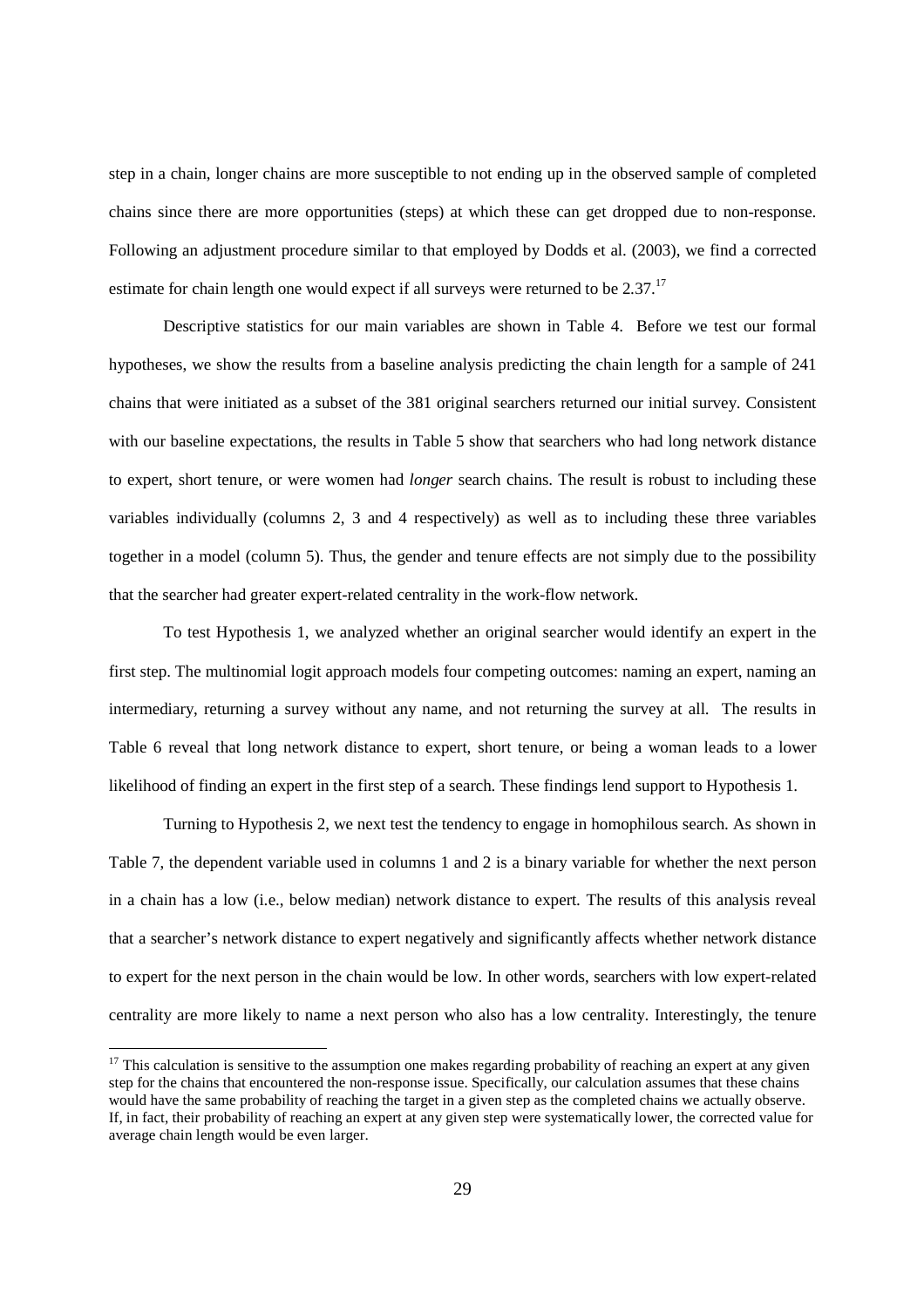step in a chain, longer chains are more susceptible to not ending up in the observed sample of completed chains since there are more opportunities (steps) at which these can get dropped due to non-response. Following an adjustment procedure similar to that employed by Dodds et al. (2003), we find a corrected estimate for chain length one would expect if all surveys were returned to be  $2.37$ <sup>17</sup>

Descriptive statistics for our main variables are shown in Table 4. Before we test our formal hypotheses, we show the results from a baseline analysis predicting the chain length for a sample of 241 chains that were initiated as a subset of the 381 original searchers returned our initial survey. Consistent with our baseline expectations, the results in Table 5 show that searchers who had long network distance to expert, short tenure, or were women had *longer* search chains. The result is robust to including these variables individually (columns 2, 3 and 4 respectively) as well as to including these three variables together in a model (column 5). Thus, the gender and tenure effects are not simply due to the possibility that the searcher had greater expert-related centrality in the work-flow network.

 To test Hypothesis 1, we analyzed whether an original searcher would identify an expert in the first step. The multinomial logit approach models four competing outcomes: naming an expert, naming an intermediary, returning a survey without any name, and not returning the survey at all. The results in Table 6 reveal that long network distance to expert, short tenure, or being a woman leads to a lower likelihood of finding an expert in the first step of a search. These findings lend support to Hypothesis 1.

Turning to Hypothesis 2, we next test the tendency to engage in homophilous search. As shown in Table 7, the dependent variable used in columns 1 and 2 is a binary variable for whether the next person in a chain has a low (i.e., below median) network distance to expert. The results of this analysis reveal that a searcher's network distance to expert negatively and significantly affects whether network distance to expert for the next person in the chain would be low. In other words, searchers with low expert-related centrality are more likely to name a next person who also has a low centrality. Interestingly, the tenure

-

 $17$  This calculation is sensitive to the assumption one makes regarding probability of reaching an expert at any given step for the chains that encountered the non-response issue. Specifically, our calculation assumes that these chains would have the same probability of reaching the target in a given step as the completed chains we actually observe. If, in fact, their probability of reaching an expert at any given step were systematically lower, the corrected value for average chain length would be even larger.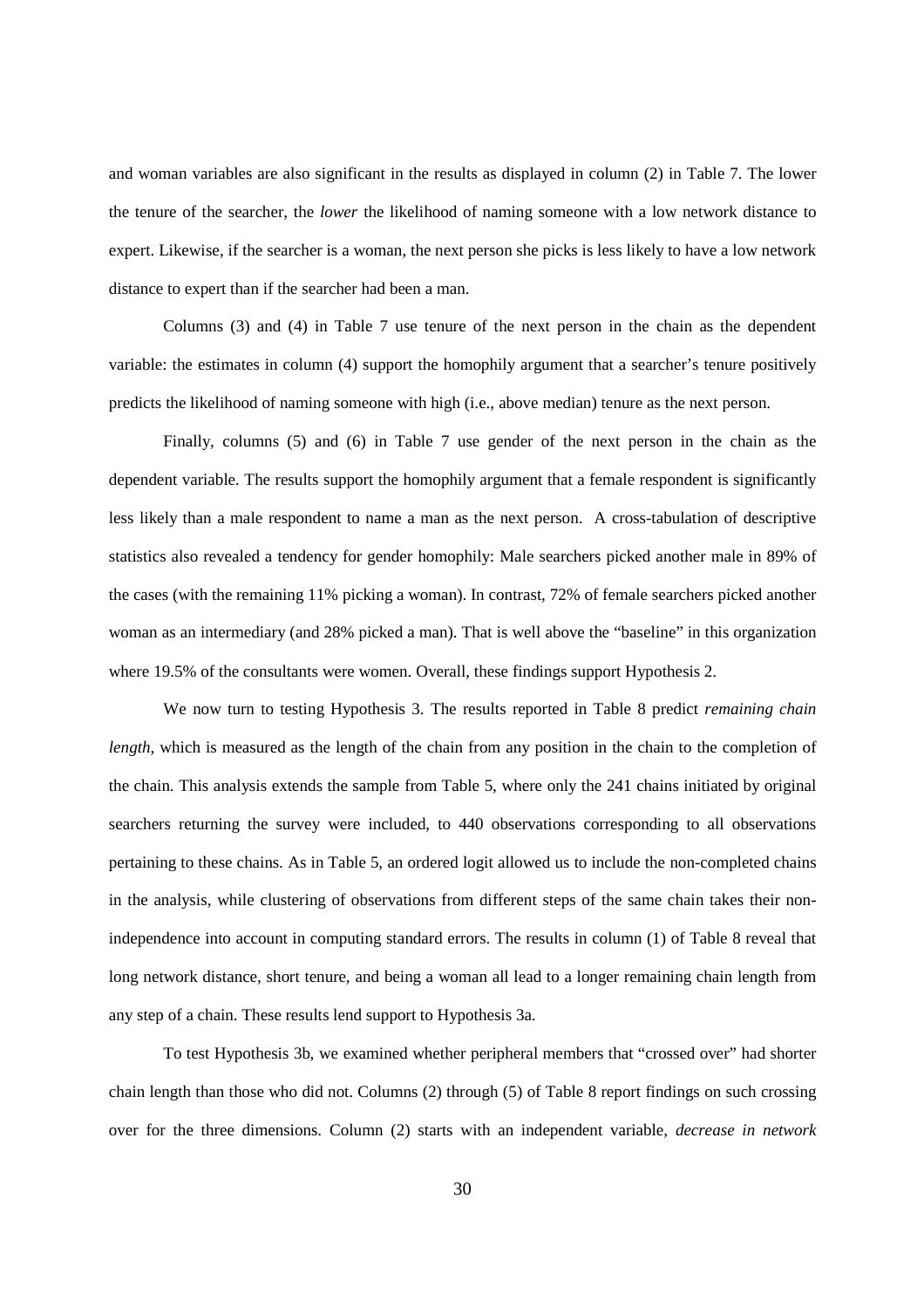and woman variables are also significant in the results as displayed in column (2) in Table 7. The lower the tenure of the searcher, the *lower* the likelihood of naming someone with a low network distance to expert. Likewise, if the searcher is a woman, the next person she picks is less likely to have a low network distance to expert than if the searcher had been a man.

Columns (3) and (4) in Table 7 use tenure of the next person in the chain as the dependent variable: the estimates in column (4) support the homophily argument that a searcher's tenure positively predicts the likelihood of naming someone with high (i.e., above median) tenure as the next person.

Finally, columns (5) and (6) in Table 7 use gender of the next person in the chain as the dependent variable. The results support the homophily argument that a female respondent is significantly less likely than a male respondent to name a man as the next person. A cross-tabulation of descriptive statistics also revealed a tendency for gender homophily: Male searchers picked another male in 89% of the cases (with the remaining 11% picking a woman). In contrast, 72% of female searchers picked another woman as an intermediary (and 28% picked a man). That is well above the "baseline" in this organization where 19.5% of the consultants were women. Overall, these findings support Hypothesis 2.

We now turn to testing Hypothesis 3. The results reported in Table 8 predict *remaining chain length*, which is measured as the length of the chain from any position in the chain to the completion of the chain. This analysis extends the sample from Table 5, where only the 241 chains initiated by original searchers returning the survey were included, to 440 observations corresponding to all observations pertaining to these chains. As in Table 5, an ordered logit allowed us to include the non-completed chains in the analysis, while clustering of observations from different steps of the same chain takes their nonindependence into account in computing standard errors. The results in column (1) of Table 8 reveal that long network distance, short tenure, and being a woman all lead to a longer remaining chain length from any step of a chain. These results lend support to Hypothesis 3a.

To test Hypothesis 3b, we examined whether peripheral members that "crossed over" had shorter chain length than those who did not. Columns (2) through (5) of Table 8 report findings on such crossing over for the three dimensions. Column (2) starts with an independent variable, *decrease in network*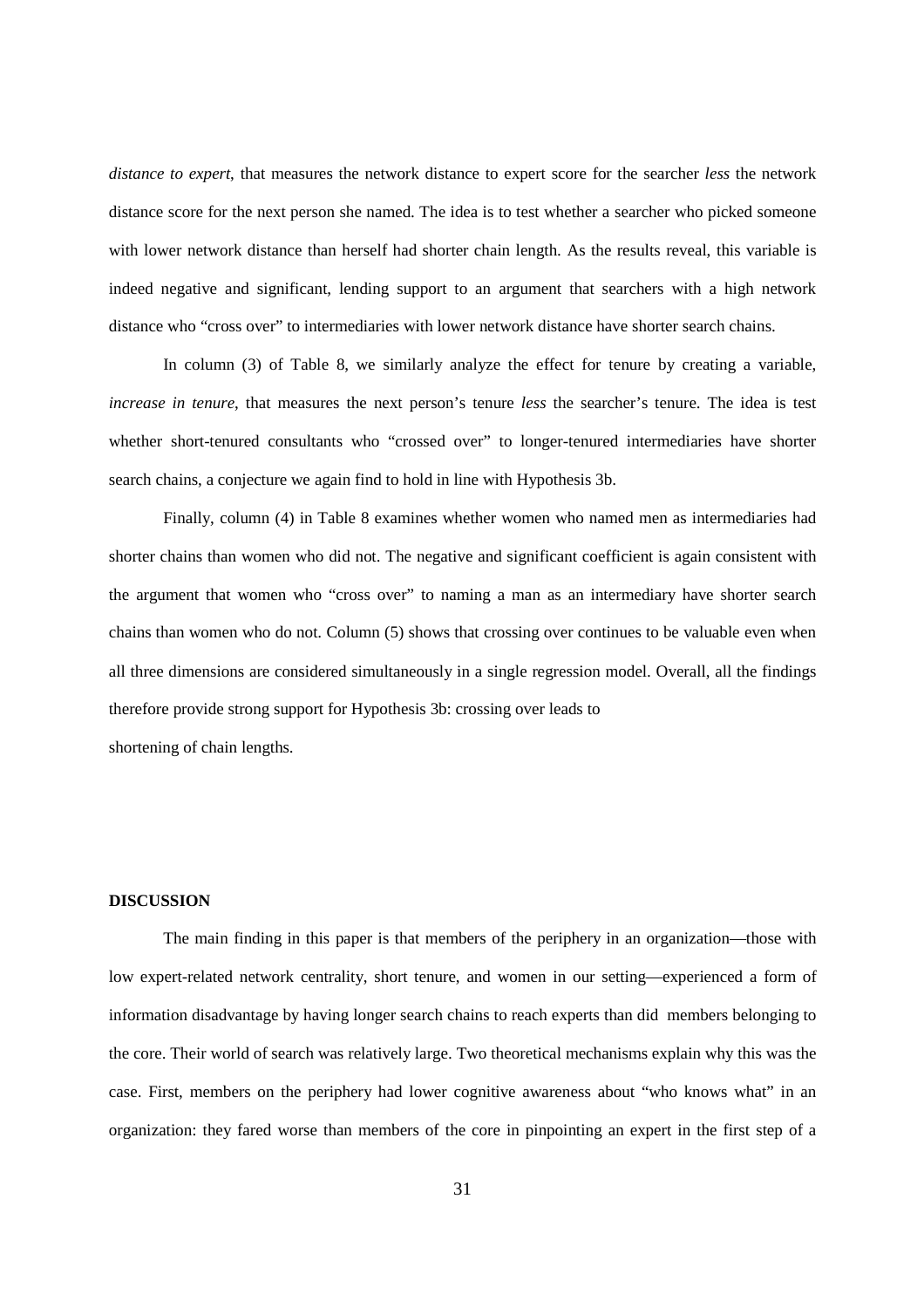*distance to expert*, that measures the network distance to expert score for the searcher *less* the network distance score for the next person she named. The idea is to test whether a searcher who picked someone with lower network distance than herself had shorter chain length. As the results reveal, this variable is indeed negative and significant, lending support to an argument that searchers with a high network distance who "cross over" to intermediaries with lower network distance have shorter search chains.

In column (3) of Table 8, we similarly analyze the effect for tenure by creating a variable, *increase in tenure*, that measures the next person's tenure *less* the searcher's tenure. The idea is test whether short-tenured consultants who "crossed over" to longer-tenured intermediaries have shorter search chains, a conjecture we again find to hold in line with Hypothesis 3b.

Finally, column (4) in Table 8 examines whether women who named men as intermediaries had shorter chains than women who did not. The negative and significant coefficient is again consistent with the argument that women who "cross over" to naming a man as an intermediary have shorter search chains than women who do not. Column (5) shows that crossing over continues to be valuable even when all three dimensions are considered simultaneously in a single regression model. Overall, all the findings therefore provide strong support for Hypothesis 3b: crossing over leads to shortening of chain lengths.

#### **DISCUSSION**

The main finding in this paper is that members of the periphery in an organization—those with low expert-related network centrality, short tenure, and women in our setting—experienced a form of information disadvantage by having longer search chains to reach experts than did members belonging to the core. Their world of search was relatively large. Two theoretical mechanisms explain why this was the case. First, members on the periphery had lower cognitive awareness about "who knows what" in an organization: they fared worse than members of the core in pinpointing an expert in the first step of a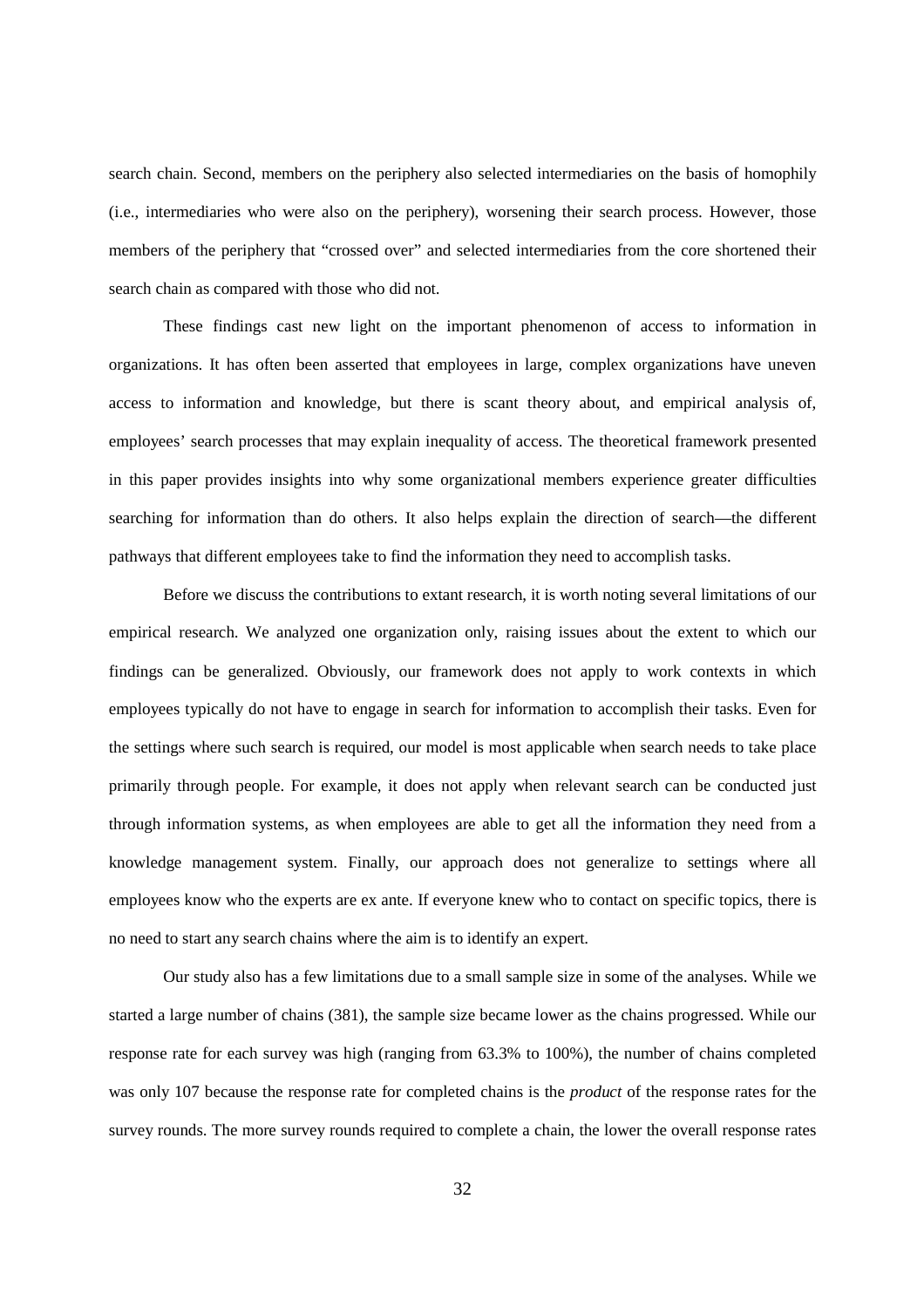search chain. Second, members on the periphery also selected intermediaries on the basis of homophily (i.e., intermediaries who were also on the periphery), worsening their search process. However, those members of the periphery that "crossed over" and selected intermediaries from the core shortened their search chain as compared with those who did not.

These findings cast new light on the important phenomenon of access to information in organizations. It has often been asserted that employees in large, complex organizations have uneven access to information and knowledge, but there is scant theory about, and empirical analysis of, employees' search processes that may explain inequality of access. The theoretical framework presented in this paper provides insights into why some organizational members experience greater difficulties searching for information than do others. It also helps explain the direction of search—the different pathways that different employees take to find the information they need to accomplish tasks.

Before we discuss the contributions to extant research, it is worth noting several limitations of our empirical research. We analyzed one organization only, raising issues about the extent to which our findings can be generalized. Obviously, our framework does not apply to work contexts in which employees typically do not have to engage in search for information to accomplish their tasks. Even for the settings where such search is required, our model is most applicable when search needs to take place primarily through people. For example, it does not apply when relevant search can be conducted just through information systems, as when employees are able to get all the information they need from a knowledge management system. Finally, our approach does not generalize to settings where all employees know who the experts are ex ante. If everyone knew who to contact on specific topics, there is no need to start any search chains where the aim is to identify an expert.

Our study also has a few limitations due to a small sample size in some of the analyses. While we started a large number of chains (381), the sample size became lower as the chains progressed. While our response rate for each survey was high (ranging from 63.3% to 100%), the number of chains completed was only 107 because the response rate for completed chains is the *product* of the response rates for the survey rounds. The more survey rounds required to complete a chain, the lower the overall response rates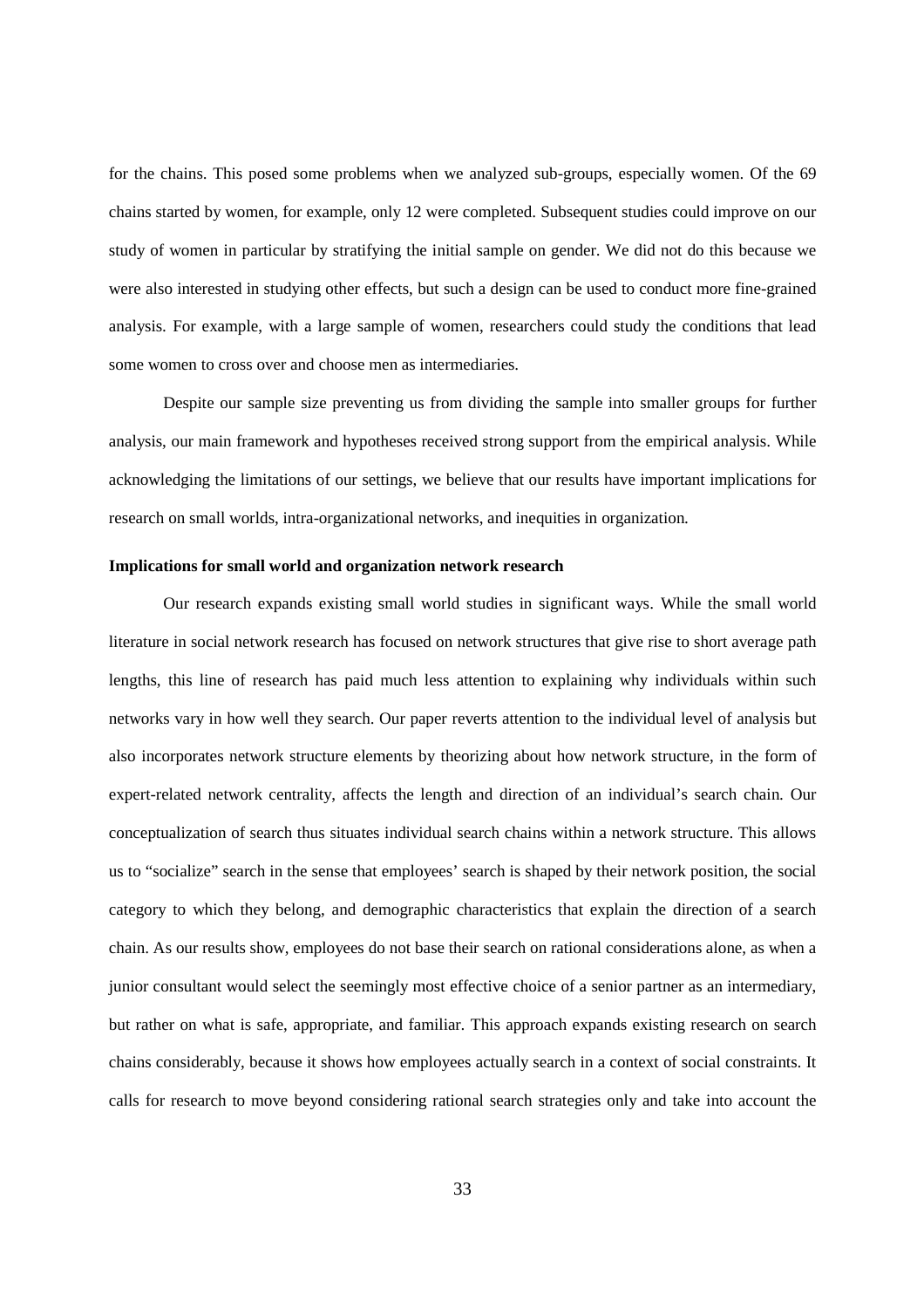for the chains. This posed some problems when we analyzed sub-groups, especially women. Of the 69 chains started by women, for example, only 12 were completed. Subsequent studies could improve on our study of women in particular by stratifying the initial sample on gender. We did not do this because we were also interested in studying other effects, but such a design can be used to conduct more fine-grained analysis. For example, with a large sample of women, researchers could study the conditions that lead some women to cross over and choose men as intermediaries.

Despite our sample size preventing us from dividing the sample into smaller groups for further analysis, our main framework and hypotheses received strong support from the empirical analysis. While acknowledging the limitations of our settings, we believe that our results have important implications for research on small worlds, intra-organizational networks, and inequities in organization.

#### **Implications for small world and organization network research**

Our research expands existing small world studies in significant ways. While the small world literature in social network research has focused on network structures that give rise to short average path lengths, this line of research has paid much less attention to explaining why individuals within such networks vary in how well they search. Our paper reverts attention to the individual level of analysis but also incorporates network structure elements by theorizing about how network structure, in the form of expert-related network centrality, affects the length and direction of an individual's search chain. Our conceptualization of search thus situates individual search chains within a network structure. This allows us to "socialize" search in the sense that employees' search is shaped by their network position, the social category to which they belong, and demographic characteristics that explain the direction of a search chain. As our results show, employees do not base their search on rational considerations alone, as when a junior consultant would select the seemingly most effective choice of a senior partner as an intermediary, but rather on what is safe, appropriate, and familiar. This approach expands existing research on search chains considerably, because it shows how employees actually search in a context of social constraints. It calls for research to move beyond considering rational search strategies only and take into account the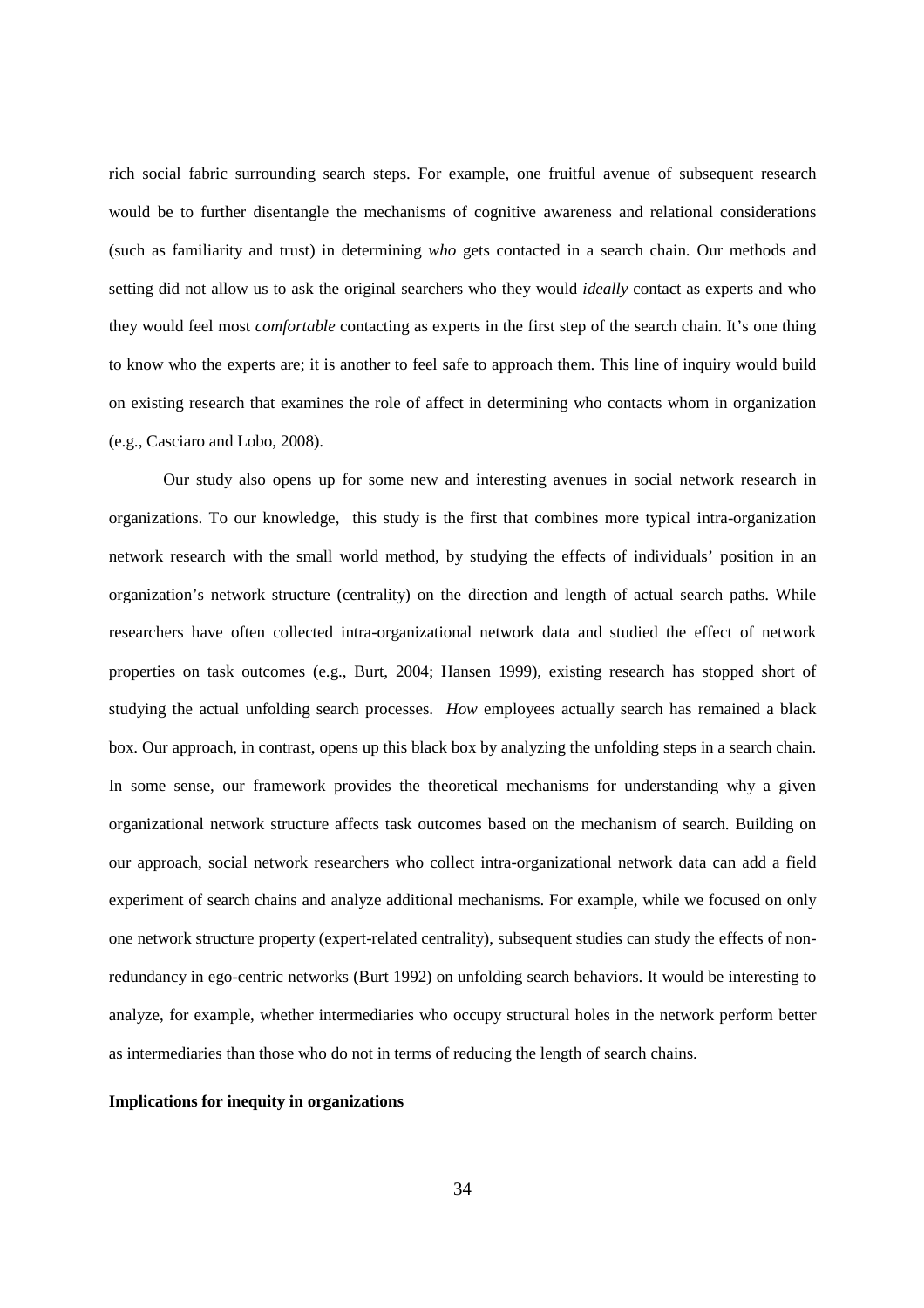rich social fabric surrounding search steps. For example, one fruitful avenue of subsequent research would be to further disentangle the mechanisms of cognitive awareness and relational considerations (such as familiarity and trust) in determining *who* gets contacted in a search chain. Our methods and setting did not allow us to ask the original searchers who they would *ideally* contact as experts and who they would feel most *comfortable* contacting as experts in the first step of the search chain. It's one thing to know who the experts are; it is another to feel safe to approach them. This line of inquiry would build on existing research that examines the role of affect in determining who contacts whom in organization (e.g., Casciaro and Lobo, 2008).

Our study also opens up for some new and interesting avenues in social network research in organizations. To our knowledge, this study is the first that combines more typical intra-organization network research with the small world method, by studying the effects of individuals' position in an organization's network structure (centrality) on the direction and length of actual search paths. While researchers have often collected intra-organizational network data and studied the effect of network properties on task outcomes (e.g., Burt, 2004; Hansen 1999), existing research has stopped short of studying the actual unfolding search processes. *How* employees actually search has remained a black box. Our approach, in contrast, opens up this black box by analyzing the unfolding steps in a search chain. In some sense, our framework provides the theoretical mechanisms for understanding why a given organizational network structure affects task outcomes based on the mechanism of search. Building on our approach, social network researchers who collect intra-organizational network data can add a field experiment of search chains and analyze additional mechanisms. For example, while we focused on only one network structure property (expert-related centrality), subsequent studies can study the effects of nonredundancy in ego-centric networks (Burt 1992) on unfolding search behaviors. It would be interesting to analyze, for example, whether intermediaries who occupy structural holes in the network perform better as intermediaries than those who do not in terms of reducing the length of search chains.

#### **Implications for inequity in organizations**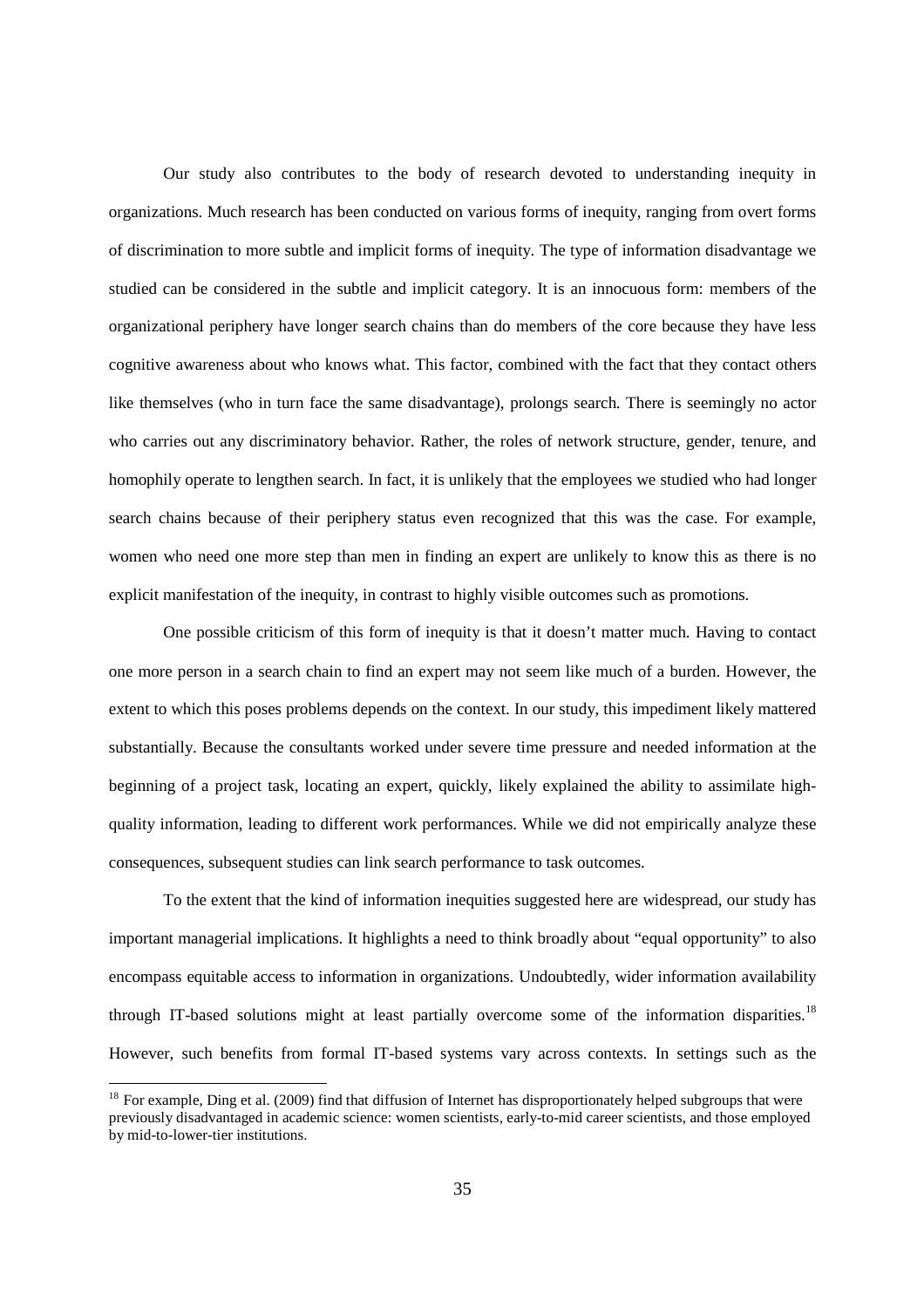Our study also contributes to the body of research devoted to understanding inequity in organizations. Much research has been conducted on various forms of inequity, ranging from overt forms of discrimination to more subtle and implicit forms of inequity. The type of information disadvantage we studied can be considered in the subtle and implicit category. It is an innocuous form: members of the organizational periphery have longer search chains than do members of the core because they have less cognitive awareness about who knows what. This factor, combined with the fact that they contact others like themselves (who in turn face the same disadvantage), prolongs search. There is seemingly no actor who carries out any discriminatory behavior. Rather, the roles of network structure, gender, tenure, and homophily operate to lengthen search. In fact, it is unlikely that the employees we studied who had longer search chains because of their periphery status even recognized that this was the case. For example, women who need one more step than men in finding an expert are unlikely to know this as there is no explicit manifestation of the inequity, in contrast to highly visible outcomes such as promotions.

One possible criticism of this form of inequity is that it doesn't matter much. Having to contact one more person in a search chain to find an expert may not seem like much of a burden. However, the extent to which this poses problems depends on the context. In our study, this impediment likely mattered substantially. Because the consultants worked under severe time pressure and needed information at the beginning of a project task, locating an expert, quickly, likely explained the ability to assimilate highquality information, leading to different work performances. While we did not empirically analyze these consequences, subsequent studies can link search performance to task outcomes.

To the extent that the kind of information inequities suggested here are widespread, our study has important managerial implications. It highlights a need to think broadly about "equal opportunity" to also encompass equitable access to information in organizations. Undoubtedly, wider information availability through IT-based solutions might at least partially overcome some of the information disparities.<sup>18</sup> However, such benefits from formal IT-based systems vary across contexts. In settings such as the

-

 $18$  For example, Ding et al. (2009) find that diffusion of Internet has disproportionately helped subgroups that were previously disadvantaged in academic science: women scientists, early-to-mid career scientists, and those employed by mid-to-lower-tier institutions.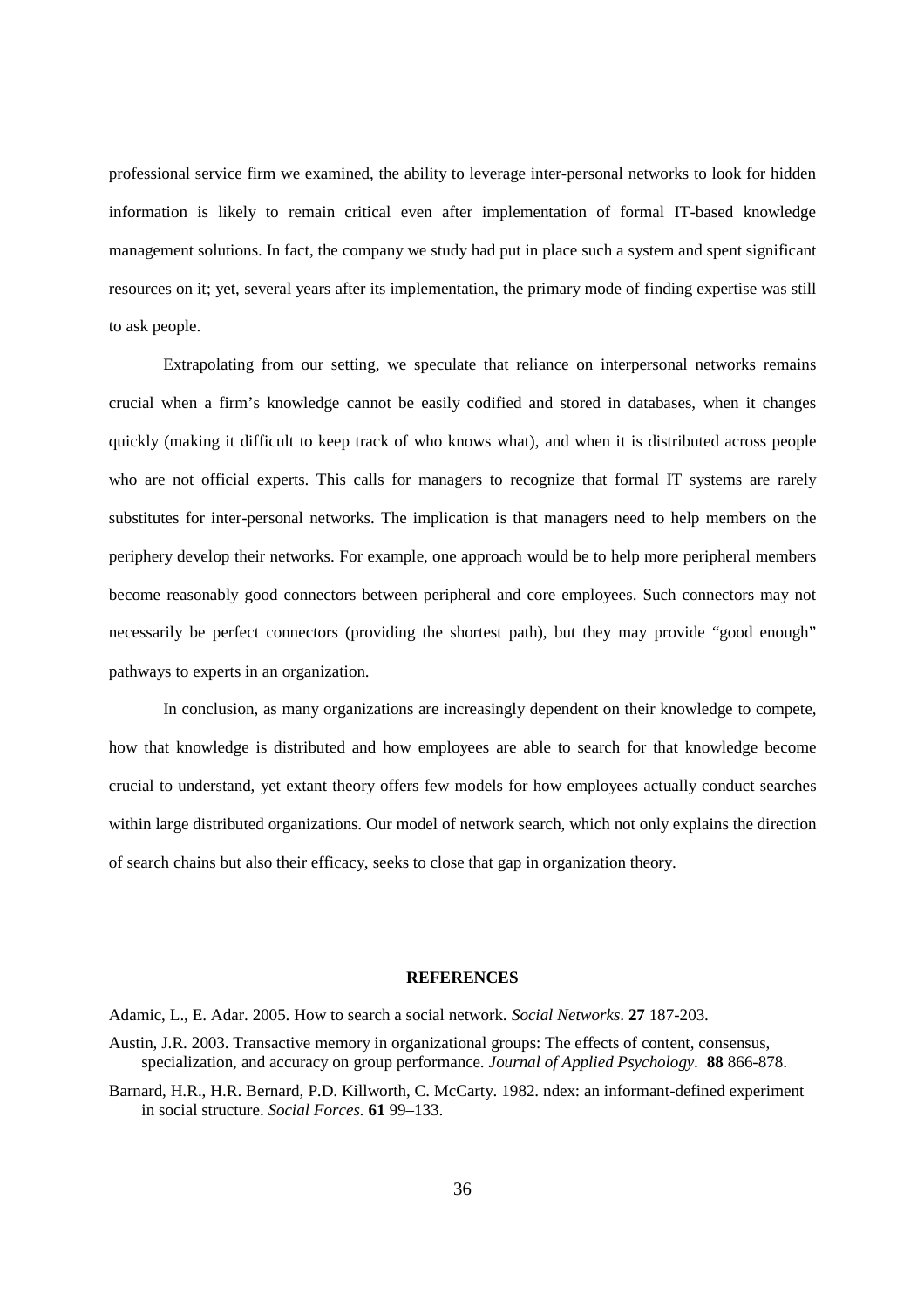professional service firm we examined, the ability to leverage inter-personal networks to look for hidden information is likely to remain critical even after implementation of formal IT-based knowledge management solutions. In fact, the company we study had put in place such a system and spent significant resources on it; yet, several years after its implementation, the primary mode of finding expertise was still to ask people.

Extrapolating from our setting, we speculate that reliance on interpersonal networks remains crucial when a firm's knowledge cannot be easily codified and stored in databases, when it changes quickly (making it difficult to keep track of who knows what), and when it is distributed across people who are not official experts. This calls for managers to recognize that formal IT systems are rarely substitutes for inter-personal networks. The implication is that managers need to help members on the periphery develop their networks. For example, one approach would be to help more peripheral members become reasonably good connectors between peripheral and core employees. Such connectors may not necessarily be perfect connectors (providing the shortest path), but they may provide "good enough" pathways to experts in an organization.

In conclusion, as many organizations are increasingly dependent on their knowledge to compete, how that knowledge is distributed and how employees are able to search for that knowledge become crucial to understand, yet extant theory offers few models for how employees actually conduct searches within large distributed organizations. Our model of network search, which not only explains the direction of search chains but also their efficacy, seeks to close that gap in organization theory.

#### **REFERENCES**

Adamic, L., E. Adar. 2005. How to search a social network. *Social Networks*. **27** 187-203.

- Austin, J.R. 2003. Transactive memory in organizational groups: The effects of content, consensus, specialization, and accuracy on group performance. *Journal of Applied Psychology.* **88** 866-878.
- Barnard, H.R., H.R. Bernard, P.D. Killworth, C. McCarty. 1982. ndex: an informant-defined experiment in social structure. *Social Forces.* **61** 99–133.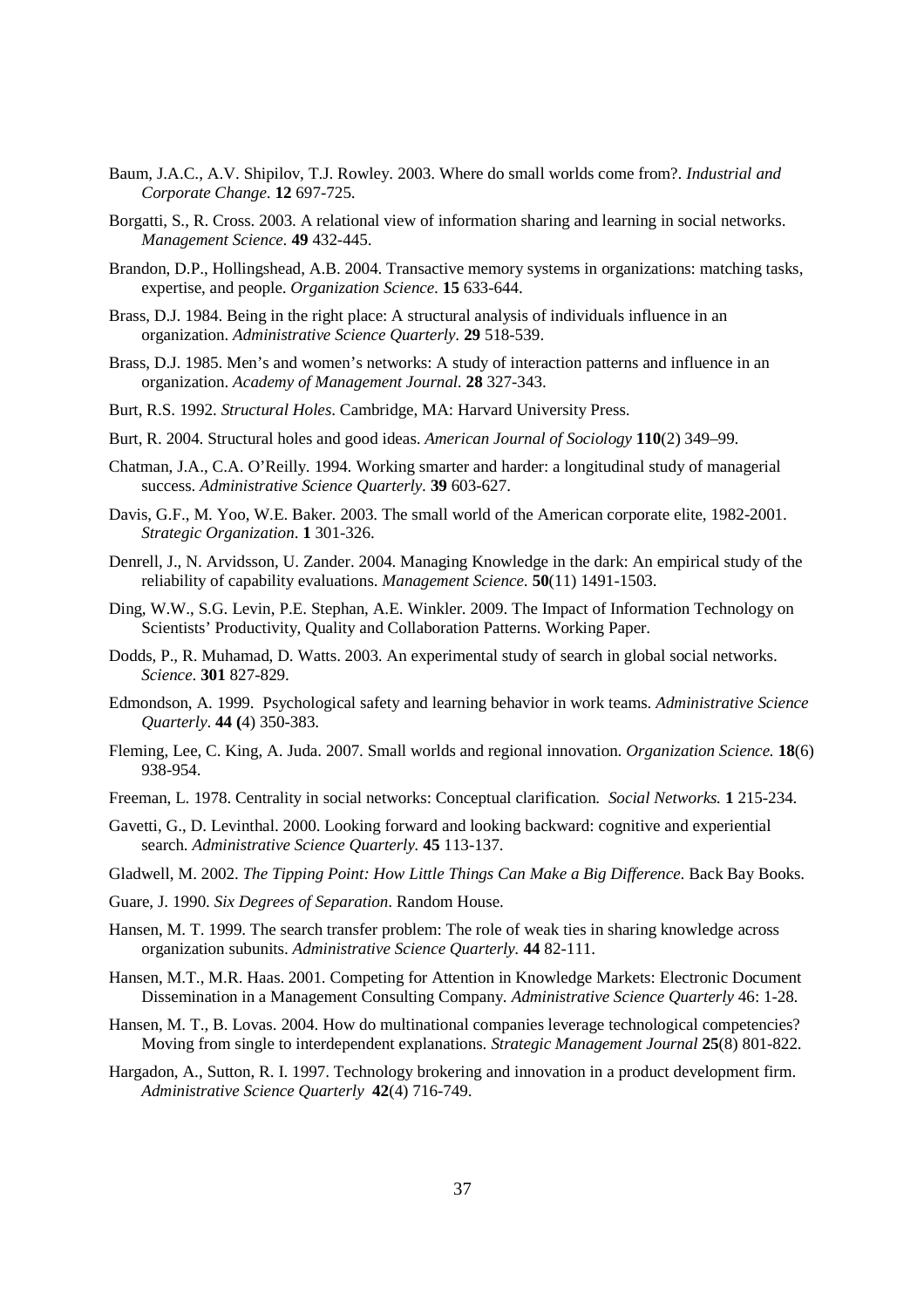- Baum, J.A.C., A.V. Shipilov, T.J. Rowley. 2003. Where do small worlds come from?. *Industrial and Corporate Change*. **12** 697-725.
- Borgatti, S., R. Cross. 2003. A relational view of information sharing and learning in social networks. *Management Science*. **49** 432-445.
- Brandon, D.P., Hollingshead, A.B. 2004. Transactive memory systems in organizations: matching tasks, expertise, and people. *Organization Science*. **15** 633-644.
- Brass, D.J. 1984. Being in the right place: A structural analysis of individuals influence in an organization. *Administrative Science Quarterly*. **29** 518-539.
- Brass, D.J. 1985. Men's and women's networks: A study of interaction patterns and influence in an organization. *Academy of Management Journal.* **28** 327-343.
- Burt, R.S. 1992. *Structural Holes*. Cambridge, MA: Harvard University Press.
- Burt, R. 2004. Structural holes and good ideas. *American Journal of Sociology* **110**(2) 349–99.
- Chatman, J.A., C.A. O'Reilly. 1994. Working smarter and harder: a longitudinal study of managerial success. *Administrative Science Quarterly*. **39** 603-627.
- Davis, G.F., M. Yoo, W.E. Baker. 2003. The small world of the American corporate elite, 1982-2001. *Strategic Organization*. **1** 301-326.
- Denrell, J., N. Arvidsson, U. Zander. 2004. Managing Knowledge in the dark: An empirical study of the reliability of capability evaluations. *Management Science*. **50**(11) 1491-1503.
- Ding, W.W., S.G. Levin, P.E. Stephan, A.E. Winkler. 2009. The Impact of Information Technology on Scientists' Productivity, Quality and Collaboration Patterns. Working Paper.
- Dodds, P., R. Muhamad, D. Watts. 2003. An experimental study of search in global social networks. *Science*. **301** 827-829.
- Edmondson, A. 1999. Psychological safety and learning behavior in work teams. *Administrative Science Quarterly*. **44 (**4) 350-383.
- Fleming, Lee, C. King, A. Juda. 2007. Small worlds and regional innovation. *Organization Science.* **18**(6) 938-954.
- Freeman, L. 1978. Centrality in social networks: Conceptual clarification. *Social Networks.* **1** 215-234.
- Gavetti, G., D. Levinthal. 2000. Looking forward and looking backward: cognitive and experiential search. *Administrative Science Quarterly.* **45** 113-137.
- Gladwell, M. 2002. *The Tipping Point: How Little Things Can Make a Big Difference*. Back Bay Books.
- Guare, J. 1990. *Six Degrees of Separation*. Random House.
- Hansen, M. T. 1999. The search transfer problem: The role of weak ties in sharing knowledge across organization subunits. *Administrative Science Quarterly.* **44** 82-111.
- Hansen, M.T., M.R. Haas. 2001. Competing for Attention in Knowledge Markets: Electronic Document Dissemination in a Management Consulting Company. *Administrative Science Quarterly* 46: 1-28.
- Hansen, M. T., B. Lovas. 2004. How do multinational companies leverage technological competencies? Moving from single to interdependent explanations. *Strategic Management Journal* **25**(8) 801-822.
- Hargadon, A., Sutton, R. I. 1997. Technology brokering and innovation in a product development firm. *Administrative Science Quarterly* **42**(4) 716-749.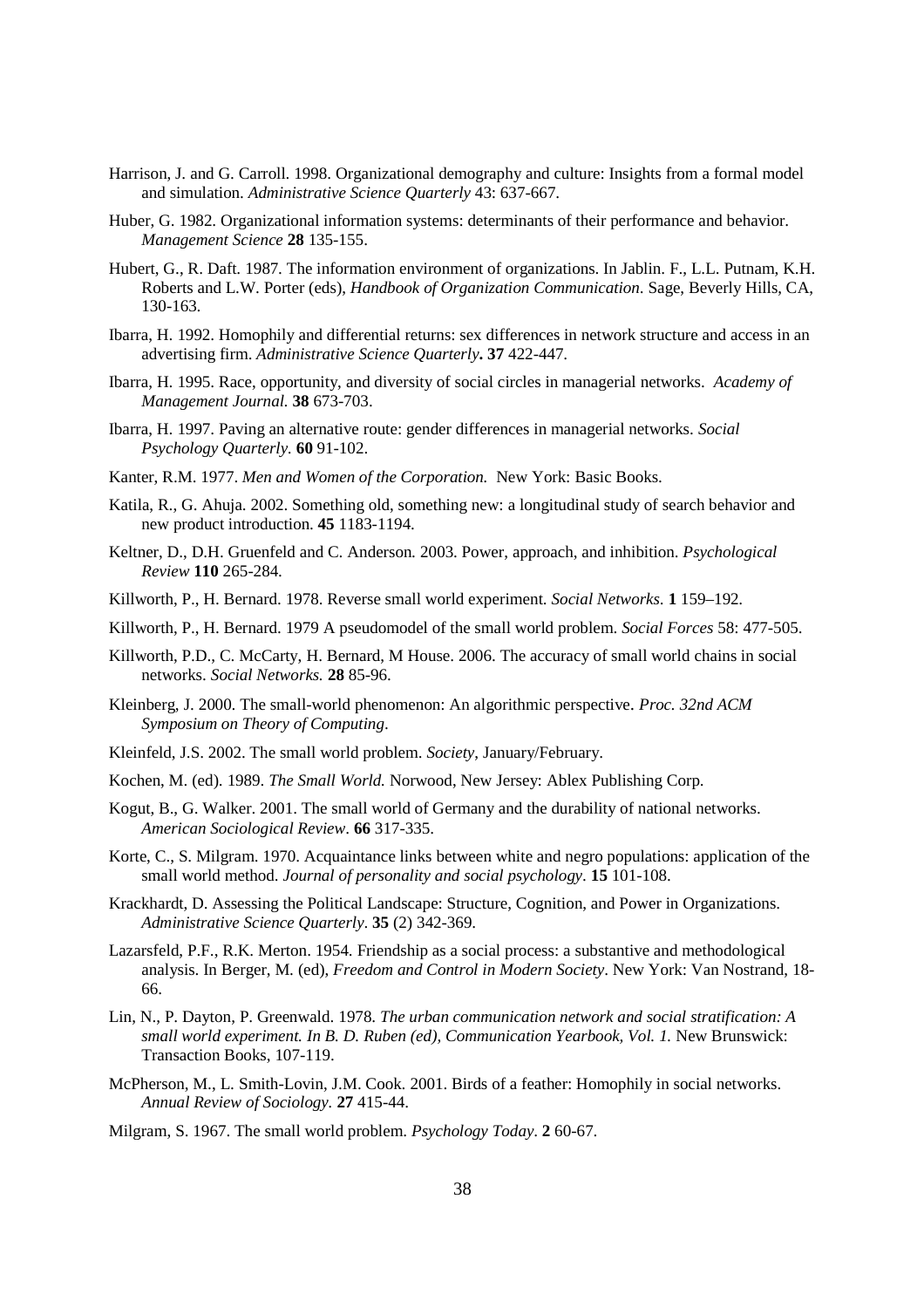- Harrison, J. and G. Carroll. 1998. Organizational demography and culture: Insights from a formal model and simulation. *Administrative Science Quarterly* 43: 637-667.
- Huber, G. 1982. Organizational information systems: determinants of their performance and behavior. *Management Science* **28** 135-155.
- Hubert, G., R. Daft. 1987. The information environment of organizations. In Jablin. F., L.L. Putnam, K.H. Roberts and L.W. Porter (eds), *Handbook of Organization Communication*. Sage, Beverly Hills, CA, 130-163.
- Ibarra, H. 1992. Homophily and differential returns: sex differences in network structure and access in an advertising firm. *Administrative Science Quarterly***. 37** 422-447.
- Ibarra, H. 1995. Race, opportunity, and diversity of social circles in managerial networks. *Academy of Management Journal.* **38** 673-703.
- Ibarra, H. 1997. Paving an alternative route: gender differences in managerial networks. *Social Psychology Quarterly.* **60** 91-102.
- Kanter, R.M. 1977. *Men and Women of the Corporation.* New York: Basic Books.
- Katila, R., G. Ahuja. 2002. Something old, something new: a longitudinal study of search behavior and new product introduction. **45** 1183-1194.
- Keltner, D., D.H. Gruenfeld and C. Anderson. 2003. Power, approach, and inhibition. *Psychological Review* **110** 265-284.
- Killworth, P., H. Bernard. 1978. Reverse small world experiment. *Social Networks*. **1** 159–192.
- Killworth, P., H. Bernard. 1979 A pseudomodel of the small world problem. *Social Forces* 58: 477-505.
- Killworth, P.D., C. McCarty, H. Bernard, M House. 2006. The accuracy of small world chains in social networks. *Social Networks.* **28** 85-96.
- Kleinberg, J. 2000. The small-world phenomenon: An algorithmic perspective. *Proc. 32nd ACM Symposium on Theory of Computing*.
- Kleinfeld, J.S. 2002. The small world problem. *Society*, January/February.
- Kochen, M. (ed). 1989. *The Small World.* Norwood, New Jersey: Ablex Publishing Corp.
- Kogut, B., G. Walker. 2001. The small world of Germany and the durability of national networks. *American Sociological Review*. **66** 317-335.
- Korte, C., S. Milgram. 1970. Acquaintance links between white and negro populations: application of the small world method. *Journal of personality and social psychology*. **15** 101-108.
- Krackhardt, D. Assessing the Political Landscape: Structure, Cognition, and Power in Organizations. *Administrative Science Quarterly*. **35** (2) 342-369.
- Lazarsfeld, P.F., R.K. Merton. 1954. Friendship as a social process: a substantive and methodological analysis. In Berger, M. (ed), *Freedom and Control in Modern Society*. New York: Van Nostrand, 18- 66.
- Lin, N., P. Dayton, P. Greenwald. 1978. *The urban communication network and social stratification: A small world experiment. In B. D. Ruben (ed), Communication Yearbook, Vol. 1.* New Brunswick: Transaction Books, 107-119.
- McPherson, M., L. Smith-Lovin, J.M. Cook. 2001. Birds of a feather: Homophily in social networks. *Annual Review of Sociology.* **27** 415-44.
- Milgram, S. 1967. The small world problem. *Psychology Today*. **2** 60-67.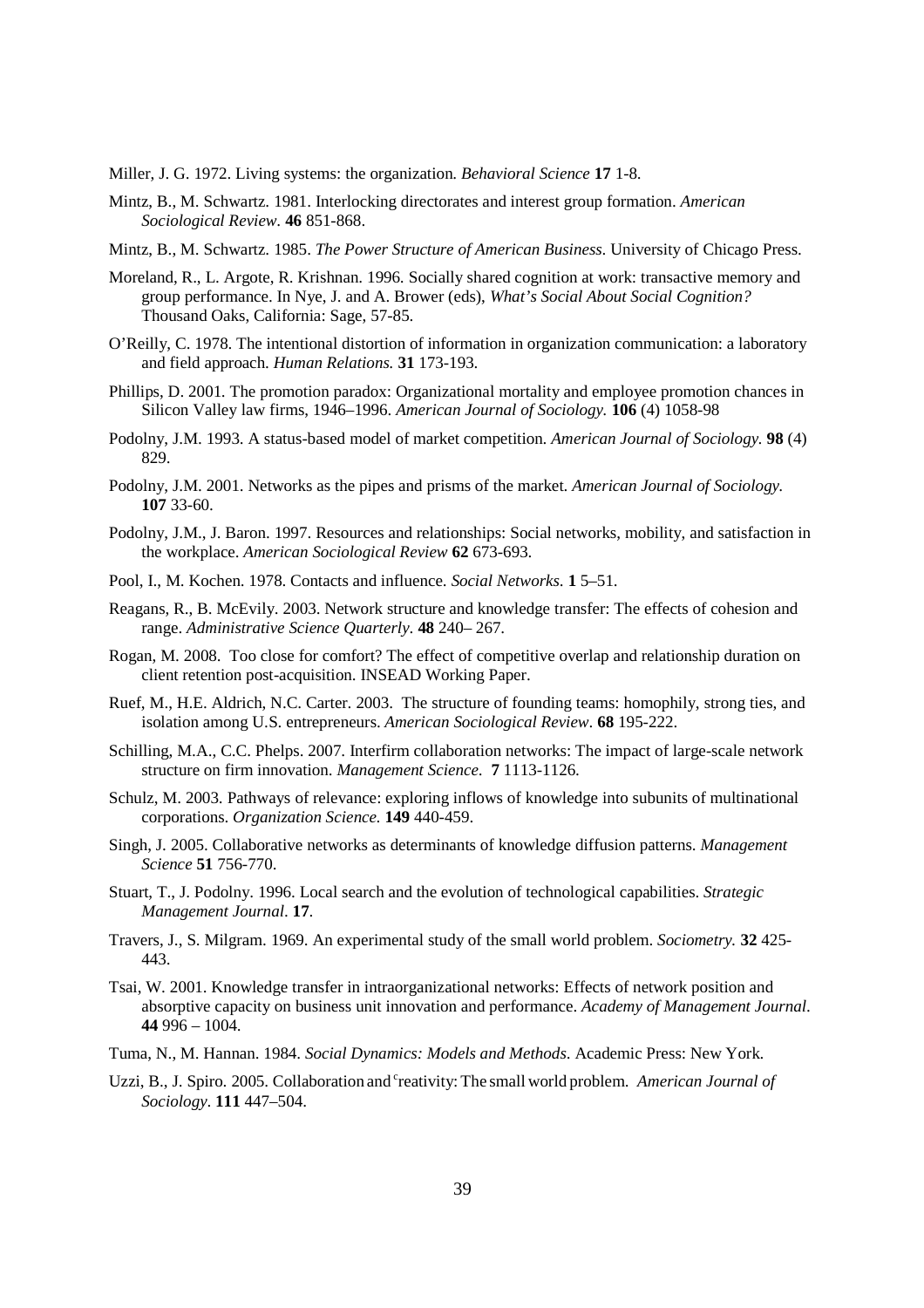Miller, J. G. 1972. Living systems: the organization. *Behavioral Science* **17** 1-8.

- Mintz, B., M. Schwartz. 1981. Interlocking directorates and interest group formation. *American Sociological Review*. **46** 851-868.
- Mintz, B., M. Schwartz. 1985. *The Power Structure of American Business*. University of Chicago Press.
- Moreland, R., L. Argote, R. Krishnan. 1996. Socially shared cognition at work: transactive memory and group performance. In Nye, J. and A. Brower (eds), *What's Social About Social Cognition?* Thousand Oaks, California: Sage, 57-85.
- O'Reilly, C. 1978. The intentional distortion of information in organization communication: a laboratory and field approach. *Human Relations.* **31** 173-193.
- Phillips, D. 2001. The promotion paradox: Organizational mortality and employee promotion chances in Silicon Valley law firms, 1946–1996. *American Journal of Sociology.* **106** (4) 1058-98
- Podolny, J.M. 1993. A status-based model of market competition. *American Journal of Sociology.* **98** (4) 829.
- Podolny, J.M. 2001. Networks as the pipes and prisms of the market. *American Journal of Sociology.*  **107** 33-60.
- Podolny, J.M., J. Baron. 1997. Resources and relationships: Social networks, mobility, and satisfaction in the workplace. *American Sociological Review* **62** 673-693.
- Pool, I., M. Kochen. 1978. Contacts and influence. *Social Networks*. **1** 5–51.
- Reagans, R., B. McEvily. 2003. Network structure and knowledge transfer: The effects of cohesion and range. *Administrative Science Quarterly*. **48** 240– 267.
- Rogan, M. 2008. Too close for comfort? The effect of competitive overlap and relationship duration on client retention post-acquisition. INSEAD Working Paper.
- Ruef, M., H.E. Aldrich, N.C. Carter. 2003. The structure of founding teams: homophily, strong ties, and isolation among U.S. entrepreneurs. *American Sociological Review*. **68** 195-222.
- Schilling, M.A., C.C. Phelps. 2007. Interfirm collaboration networks: The impact of large-scale network structure on firm innovation. *Management Science*. **7** 1113-1126.
- Schulz, M. 2003. Pathways of relevance: exploring inflows of knowledge into subunits of multinational corporations. *Organization Science.* **149** 440-459.
- Singh, J. 2005. Collaborative networks as determinants of knowledge diffusion patterns. *Management Science* **51** 756-770.
- Stuart, T., J. Podolny. 1996. Local search and the evolution of technological capabilities. *Strategic Management Journal*. **17**.
- Travers, J., S. Milgram. 1969. An experimental study of the small world problem. *Sociometry.* **32** 425- 443.
- Tsai, W. 2001. Knowledge transfer in intraorganizational networks: Effects of network position and absorptive capacity on business unit innovation and performance. *Academy of Management Journal*. **44** 996 – 1004.
- Tuma, N., M. Hannan. 1984. *Social Dynamics: Models and Methods*. Academic Press: New York.
- Uzzi, B., J. Spiro. 2005. Collaboration and <sup>c</sup>reativity: The small world problem. *American Journal of Sociology*. **111** 447–504.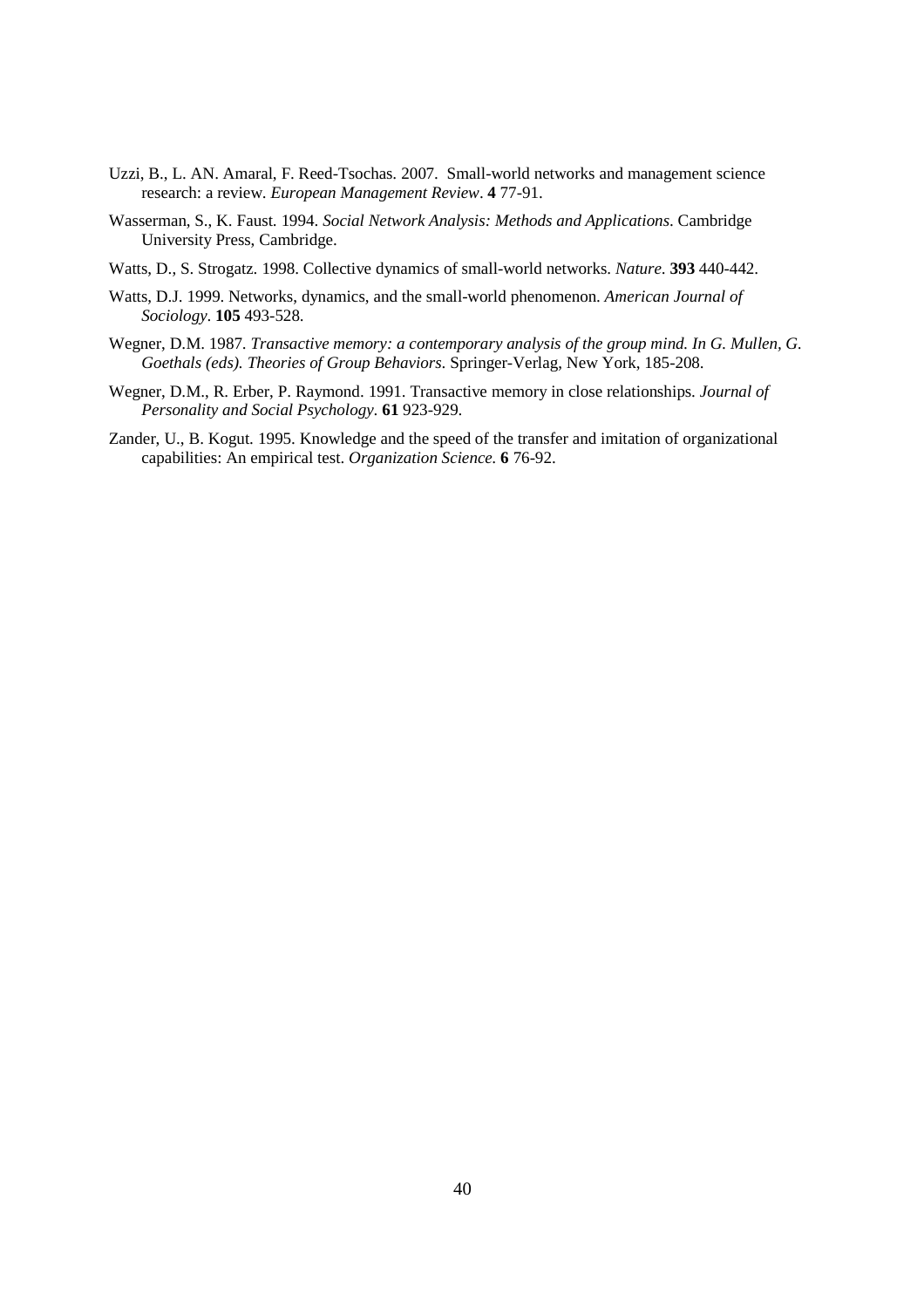- Uzzi, B., L. AN. Amaral, F. Reed-Tsochas. 2007. Small-world networks and management science research: a review. *European Management Review*. **4** 77-91.
- Wasserman, S., K. Faust. 1994. *Social Network Analysis: Methods and Applications*. Cambridge University Press, Cambridge.
- Watts, D., S. Strogatz. 1998. Collective dynamics of small-world networks. *Nature*. **393** 440-442.
- Watts, D.J. 1999. Networks, dynamics, and the small-world phenomenon. *American Journal of Sociology*. **105** 493-528.
- Wegner, D.M. 1987. *Transactive memory: a contemporary analysis of the group mind. In G. Mullen, G. Goethals (eds). Theories of Group Behaviors*. Springer-Verlag, New York, 185-208.
- Wegner, D.M., R. Erber, P. Raymond. 1991. Transactive memory in close relationships. *Journal of Personality and Social Psychology*. **61** 923-929.
- Zander, U., B. Kogut. 1995. Knowledge and the speed of the transfer and imitation of organizational capabilities: An empirical test. *Organization Science.* **6** 76-92.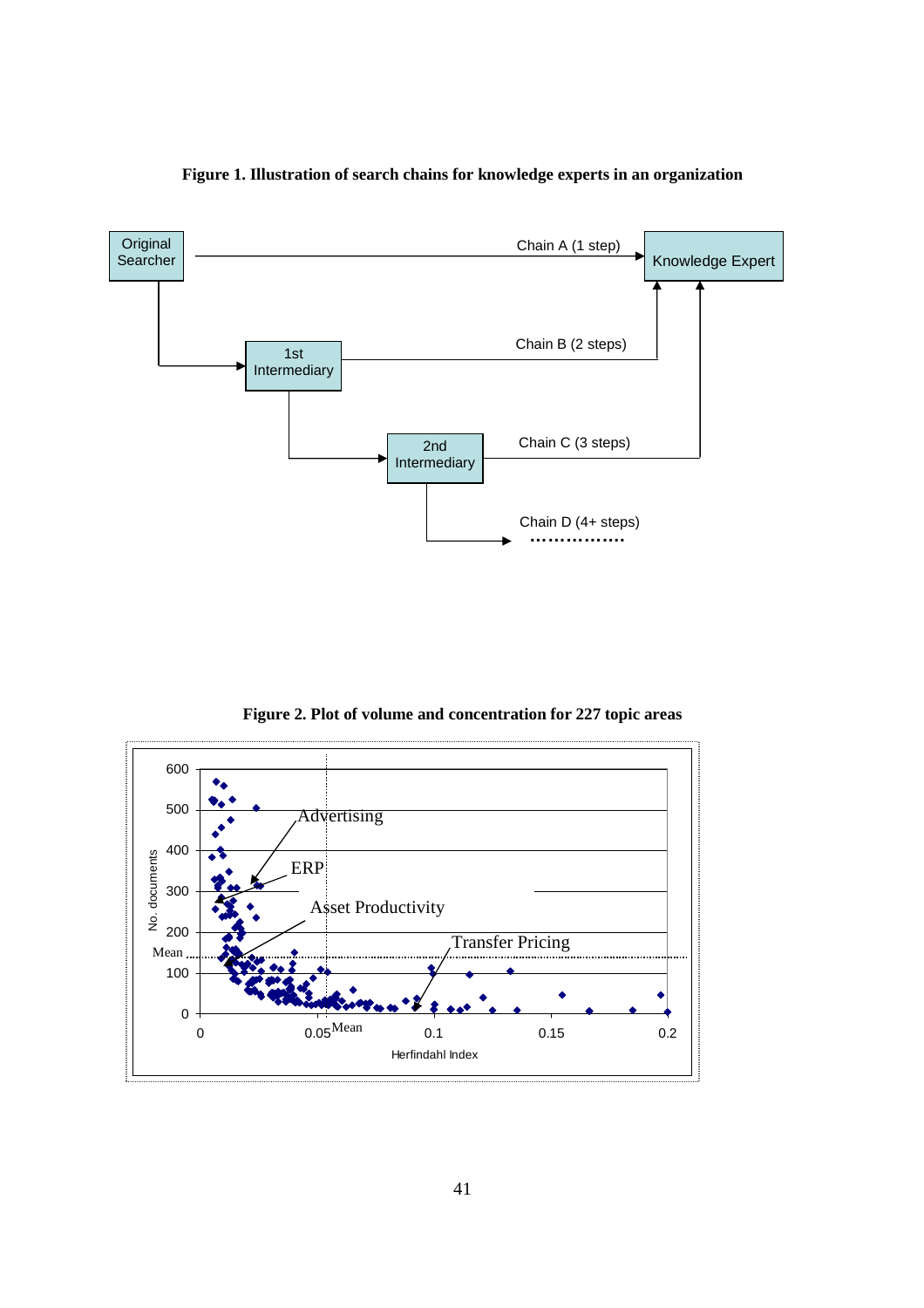

**Figure 1. Illustration of search chains for knowledge experts in an organization**

**Figure 2. Plot of volume and concentration for 227 topic areas** 

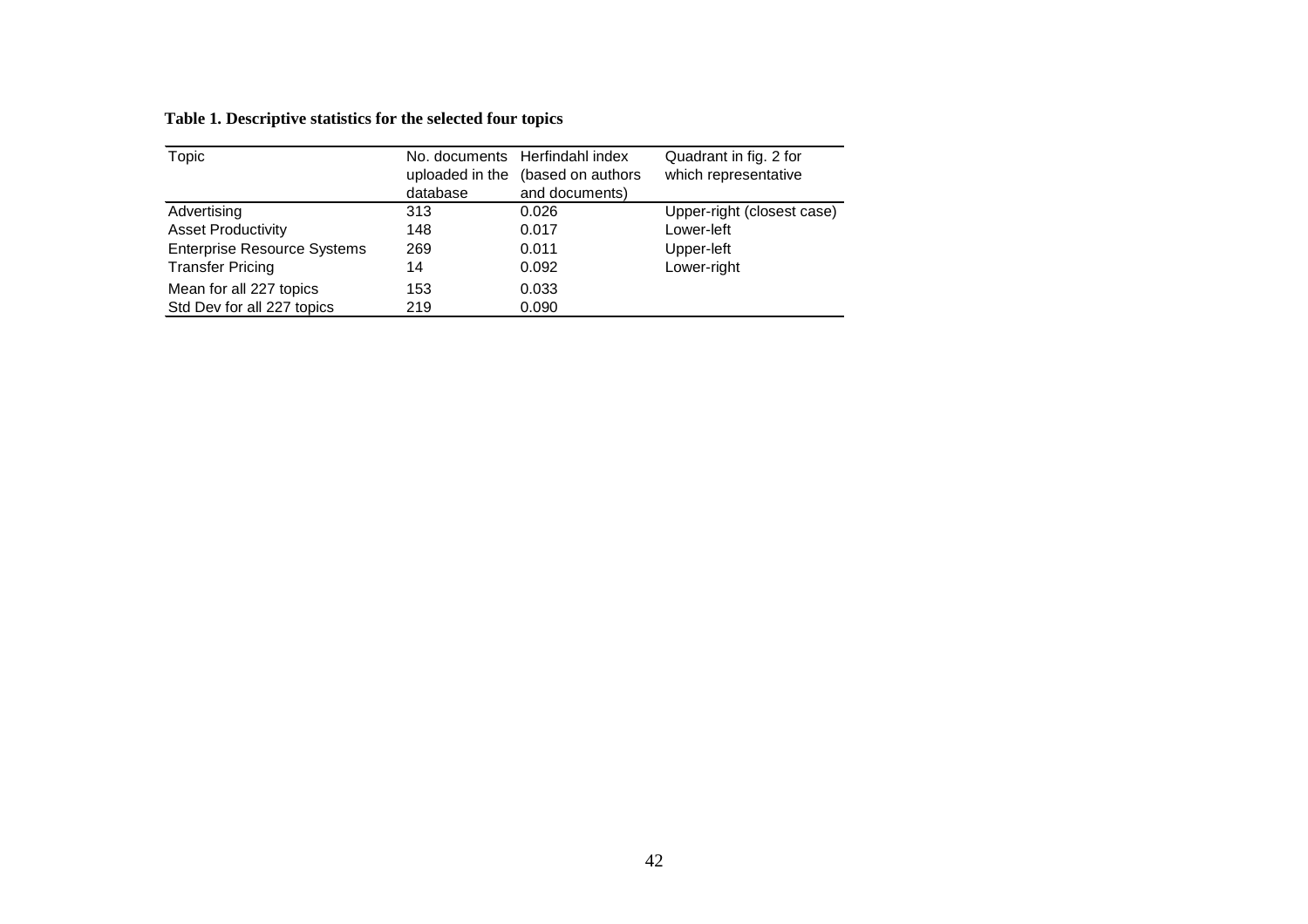| Topic                              |          | No. documents Herfindahl index<br>uploaded in the (based on authors | Quadrant in fig. 2 for<br>which representative |
|------------------------------------|----------|---------------------------------------------------------------------|------------------------------------------------|
|                                    | database | and documents)                                                      |                                                |
| Advertising                        | 313      | 0.026                                                               | Upper-right (closest case)                     |
| <b>Asset Productivity</b>          | 148      | 0.017                                                               | Lower-left                                     |
| <b>Enterprise Resource Systems</b> | 269      | 0.011                                                               | Upper-left                                     |
| <b>Transfer Pricing</b>            | 14       | 0.092                                                               | Lower-right                                    |
| Mean for all 227 topics            | 153      | 0.033                                                               |                                                |
| Std Dev for all 227 topics         | 219      | 0.090                                                               |                                                |

# **Table 1. Descriptive statistics for the selected four topics**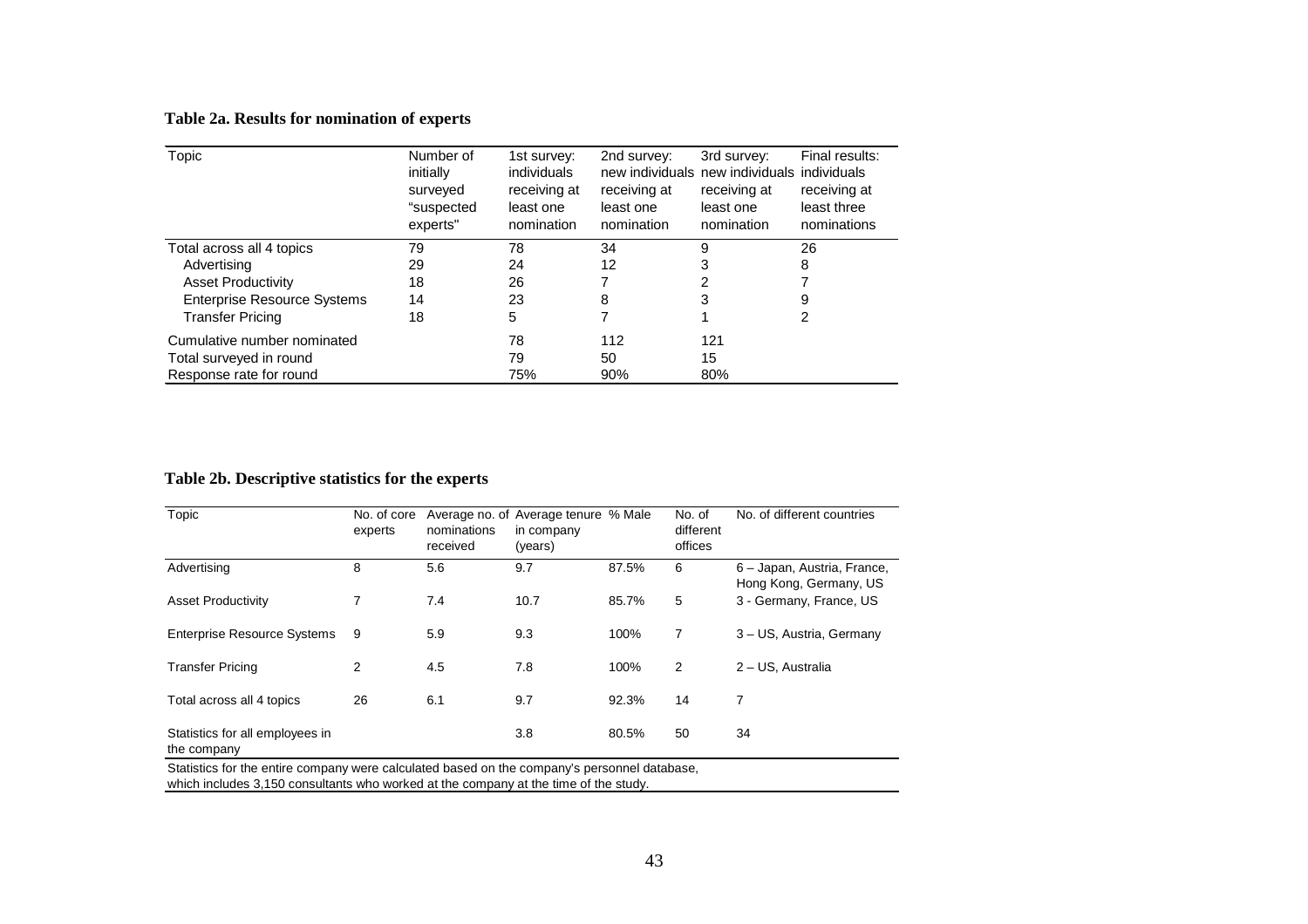# **Table 2a. Results for nomination of experts**

| Topic                              | Number of<br>initially<br>surveyed<br>"suspected<br>experts" | 1st survey:<br>individuals<br>receiving at<br>least one<br>nomination | 2nd survey:<br>new individuals<br>receiving at<br>least one<br>nomination | 3rd survey:<br>new individuals individuals<br>receiving at<br>least one<br>nomination | Final results:<br>receiving at<br>least three<br>nominations |
|------------------------------------|--------------------------------------------------------------|-----------------------------------------------------------------------|---------------------------------------------------------------------------|---------------------------------------------------------------------------------------|--------------------------------------------------------------|
| Total across all 4 topics          | 79                                                           | 78                                                                    | 34                                                                        | 9                                                                                     | 26                                                           |
| Advertising                        | 29                                                           | 24                                                                    | 12                                                                        | 3                                                                                     | 8                                                            |
| <b>Asset Productivity</b>          | 18                                                           | 26                                                                    |                                                                           | 2                                                                                     |                                                              |
| <b>Enterprise Resource Systems</b> | 14                                                           | 23                                                                    | 8                                                                         | 3                                                                                     | 9                                                            |
| <b>Transfer Pricing</b>            | 18                                                           | 5                                                                     |                                                                           |                                                                                       | 2                                                            |
| Cumulative number nominated        |                                                              | 78                                                                    | 112                                                                       | 121                                                                                   |                                                              |
| Total surveyed in round            |                                                              | 79                                                                    | 50                                                                        | 15                                                                                    |                                                              |
| Response rate for round            |                                                              | 75%                                                                   | 90%                                                                       | 80%                                                                                   |                                                              |

# **Table 2b. Descriptive statistics for the experts**

| Topic                                          | No. of core<br>experts | nominations<br>received | Average no. of Average tenure % Male<br>in company<br>(years) |       | No. of<br>different<br>offices | No. of different countries                            |
|------------------------------------------------|------------------------|-------------------------|---------------------------------------------------------------|-------|--------------------------------|-------------------------------------------------------|
| Advertising                                    | 8                      | 5.6                     | 9.7                                                           | 87.5% | 6                              | 6 - Japan, Austria, France,<br>Hong Kong, Germany, US |
| <b>Asset Productivity</b>                      | 7                      | 7.4                     | 10.7                                                          | 85.7% | 5                              | 3 - Germany, France, US                               |
| <b>Enterprise Resource Systems</b>             | 9                      | 5.9                     | 9.3                                                           | 100%  | 7                              | 3 - US, Austria, Germany                              |
| <b>Transfer Pricing</b>                        | 2                      | 4.5                     | 7.8                                                           | 100%  | 2                              | 2 - US, Australia                                     |
| Total across all 4 topics                      | 26                     | 6.1                     | 9.7                                                           | 92.3% | 14                             | 7                                                     |
| Statistics for all employees in<br>the company |                        |                         | 3.8                                                           | 80.5% | 50                             | 34                                                    |

Statistics for the entire company were calculated based on the company's personnel database,

which includes 3,150 consultants who worked at the company at the time of the study.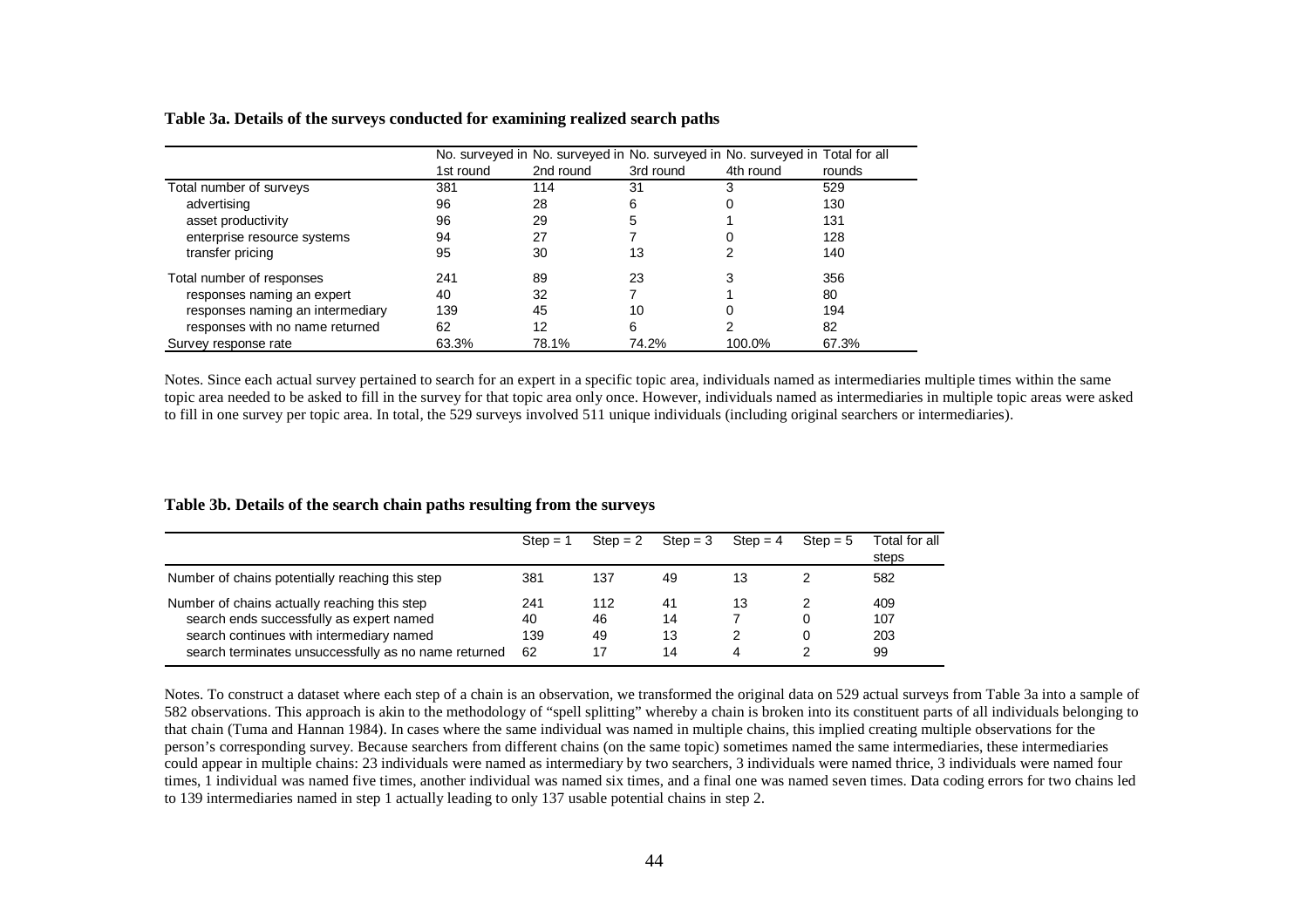**Table 3a. Details of the surveys conducted for examining realized search paths** 

|                                  |           |           |           | No. surveyed in No. surveyed in No. surveyed in No. surveyed in Total for all |        |
|----------------------------------|-----------|-----------|-----------|-------------------------------------------------------------------------------|--------|
|                                  | 1st round | 2nd round | 3rd round | 4th round                                                                     | rounds |
| Total number of surveys          | 381       | 114       | 31        |                                                                               | 529    |
| advertising                      | 96        | 28        | 6         |                                                                               | 130    |
| asset productivity               | 96        | 29        | 5         |                                                                               | 131    |
| enterprise resource systems      | 94        | 27        |           |                                                                               | 128    |
| transfer pricing                 | 95        | 30        | 13        |                                                                               | 140    |
| Total number of responses        | 241       | 89        | 23        |                                                                               | 356    |
| responses naming an expert       | 40        | 32        |           |                                                                               | 80     |
| responses naming an intermediary | 139       | 45        | 10        |                                                                               | 194    |
| responses with no name returned  | 62        | 12        | 6         |                                                                               | 82     |
| Survey response rate             | 63.3%     | 78.1%     | 74.2%     | 100.0%                                                                        | 67.3%  |

Notes. Since each actual survey pertained to search for an expert in a specific topic area, individuals named as intermediaries multiple times within the same topic area needed to be asked to fill in the survey for that topic area only once. However, individuals named as intermediaries in multiple topic areas were asked to fill in one survey per topic area. In total, the 529 surveys involved 511 unique individuals (including original searchers or intermediaries).

|                                                                                                                                                                                              | $Step = 1$             | $Step = 2$            | $Step = 3$           | $Step = 4$ | $Step = 5$    | Total for all<br>steps  |
|----------------------------------------------------------------------------------------------------------------------------------------------------------------------------------------------|------------------------|-----------------------|----------------------|------------|---------------|-------------------------|
| Number of chains potentially reaching this step                                                                                                                                              | 381                    | 137                   | 49                   | 13         |               | 582                     |
| Number of chains actually reaching this step<br>search ends successfully as expert named<br>search continues with intermediary named<br>search terminates unsuccessfully as no name returned | 241<br>40<br>139<br>62 | 112<br>46<br>49<br>17 | 41<br>14<br>13<br>14 | 13<br>4    | $\Omega$<br>0 | 409<br>107<br>203<br>99 |

#### **Table 3b. Details of the search chain paths resulting from the surveys**

Notes. To construct a dataset where each step of a chain is an observation, we transformed the original data on 529 actual surveys from Table 3a into a sample of 582 observations. This approach is akin to the methodology of "spell splitting" whereby a chain is broken into its constituent parts of all individuals belonging to that chain (Tuma and Hannan 1984). In cases where the same individual was named in multiple chains, this implied creating multiple observations for the person's corresponding survey. Because searchers from different chains (on the same topic) sometimes named the same intermediaries, these intermediaries could appear in multiple chains: 23 individuals were named as intermediary by two searchers, 3 individuals were named thrice, 3 individuals were named four times, 1 individual was named five times, another individual was named six times, and a final one was named seven times. Data coding errors for two chains led to 139 intermediaries named in step 1 actually leading to only 137 usable potential chains in step 2.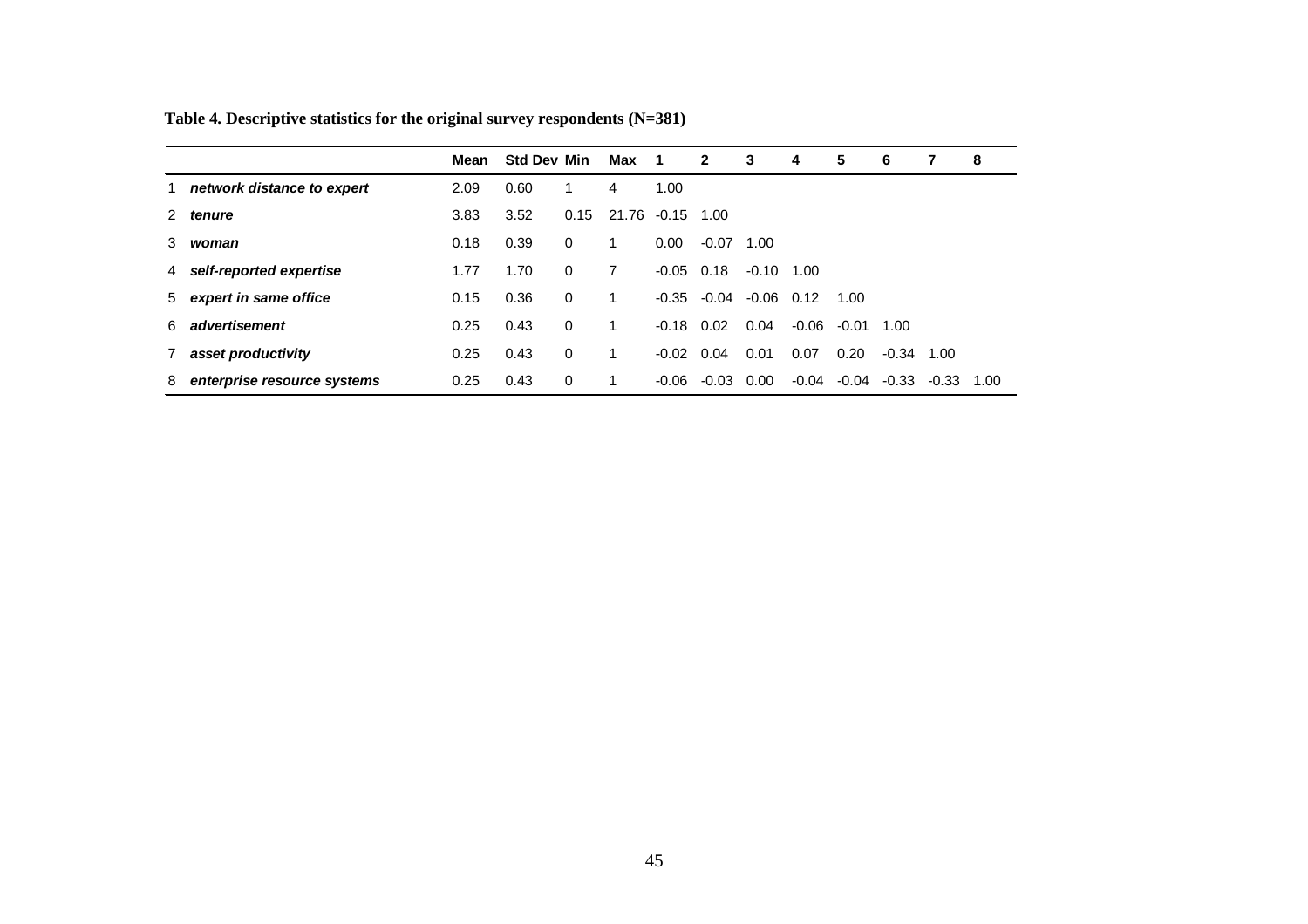|    |                             | Mean | <b>Std Dev Min</b> |      | Max   | -1      | $\mathbf{2}$ | 3       | 4       | 5       | 6       |         | 8    |
|----|-----------------------------|------|--------------------|------|-------|---------|--------------|---------|---------|---------|---------|---------|------|
|    | network distance to expert  | 2.09 | 0.60               |      | 4     | 1.00    |              |         |         |         |         |         |      |
| 2  | tenure                      | 3.83 | 3.52               | 0.15 | 21.76 | $-0.15$ | 1.00         |         |         |         |         |         |      |
| 3  | woman                       | 0.18 | 0.39               | 0    |       | 0.00    | $-0.07$      | 1.00    |         |         |         |         |      |
| 4  | self-reported expertise     | 1.77 | 1.70               | 0    | 7     | $-0.05$ | 0.18         | $-0.10$ | 1.00    |         |         |         |      |
| 5  | expert in same office       | 0.15 | 0.36               | 0    | 1     | $-0.35$ | $-0.04$      | $-0.06$ | 0.12    | 1.00    |         |         |      |
| 6. | advertisement               | 0.25 | 0.43               | 0    | 1     | $-0.18$ | 0.02         | 0.04    | $-0.06$ | $-0.01$ | 1.00    |         |      |
|    | asset productivity          | 0.25 | 0.43               | 0    | 1.    | $-0.02$ | 0.04         | 0.01    | 0.07    | 0.20    | $-0.34$ | - 1.00  |      |
| 8  | enterprise resource systems | 0.25 | 0.43               | 0    |       | -0.06   | $-0.03$      | 0.00    | $-0.04$ | $-0.04$ | $-0.33$ | $-0.33$ | 1.00 |

**Table 4. Descriptive statistics for the original survey respondents (N=381)**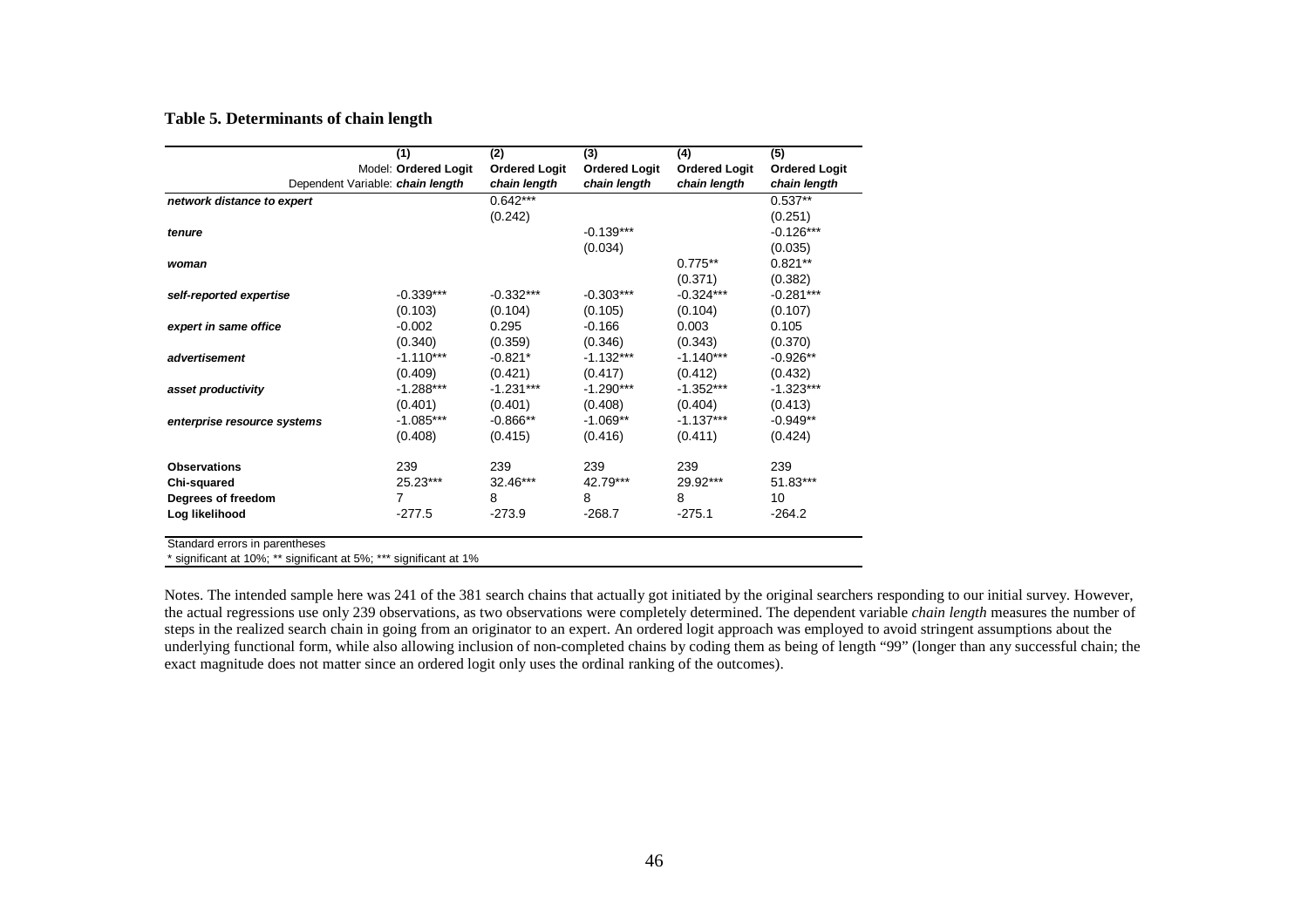#### **Table 5. Determinants of chain length**

|                             | (1)                              | (2)                  | (3)                  | (4)                  | (5)                  |
|-----------------------------|----------------------------------|----------------------|----------------------|----------------------|----------------------|
|                             | Model: Ordered Logit             | <b>Ordered Logit</b> | <b>Ordered Logit</b> | <b>Ordered Logit</b> | <b>Ordered Logit</b> |
|                             | Dependent Variable: chain length | chain length         | chain length         | chain length         | chain length         |
| network distance to expert  |                                  | $0.642***$           |                      |                      | $0.537**$            |
|                             |                                  | (0.242)              |                      |                      | (0.251)              |
| tenure                      |                                  |                      | $-0.139***$          |                      | $-0.126***$          |
|                             |                                  |                      | (0.034)              |                      | (0.035)              |
| woman                       |                                  |                      |                      | $0.775**$            | $0.821**$            |
|                             |                                  |                      |                      | (0.371)              | (0.382)              |
| self-reported expertise     | $-0.339***$                      | $-0.332***$          | $-0.303***$          | $-0.324***$          | $-0.281***$          |
|                             | (0.103)                          | (0.104)              | (0.105)              | (0.104)              | (0.107)              |
| expert in same office       | $-0.002$                         | 0.295                | $-0.166$             | 0.003                | 0.105                |
|                             | (0.340)                          | (0.359)              | (0.346)              | (0.343)              | (0.370)              |
| advertisement               | $-1.110***$                      | $-0.821*$            | $-1.132***$          | $-1.140***$          | $-0.926**$           |
|                             | (0.409)                          | (0.421)              | (0.417)              | (0.412)              | (0.432)              |
| asset productivity          | $-1.288***$                      | $-1.231***$          | $-1.290***$          | $-1.352***$          | $-1.323***$          |
|                             | (0.401)                          | (0.401)              | (0.408)              | (0.404)              | (0.413)              |
| enterprise resource systems | $-1.085***$                      | $-0.866**$           | $-1.069**$           | $-1.137***$          | $-0.949**$           |
|                             | (0.408)                          | (0.415)              | (0.416)              | (0.411)              | (0.424)              |
| <b>Observations</b>         | 239                              | 239                  | 239                  | 239                  | 239                  |
| Chi-squared                 | 25.23***                         | 32.46***             | 42.79***             | 29.92***             | 51.83***             |
| Degrees of freedom          |                                  | 8                    | 8                    | 8                    | 10                   |
| Log likelihood              | $-277.5$                         | $-273.9$             | $-268.7$             | $-275.1$             | $-264.2$             |
|                             |                                  |                      |                      |                      |                      |

Standard errors in parentheses

\* significant at 10%; \*\* significant at 5%; \*\*\* significant at 1%

Notes. The intended sample here was 241 of the 381 search chains that actually got initiated by the original searchers responding to our initial survey. However, the actual regressions use only 239 observations, as two observations were completely determined. The dependent variable *chain length* measures the number of steps in the realized search chain in going from an originator to an expert. An ordered logit approach was employed to avoid stringent assumptions about the underlying functional form, while also allowing inclusion of non-completed chains by coding them as being of length "99" (longer than any successful chain; the exact magnitude does not matter since an ordered logit only uses the ordinal ranking of the outcomes).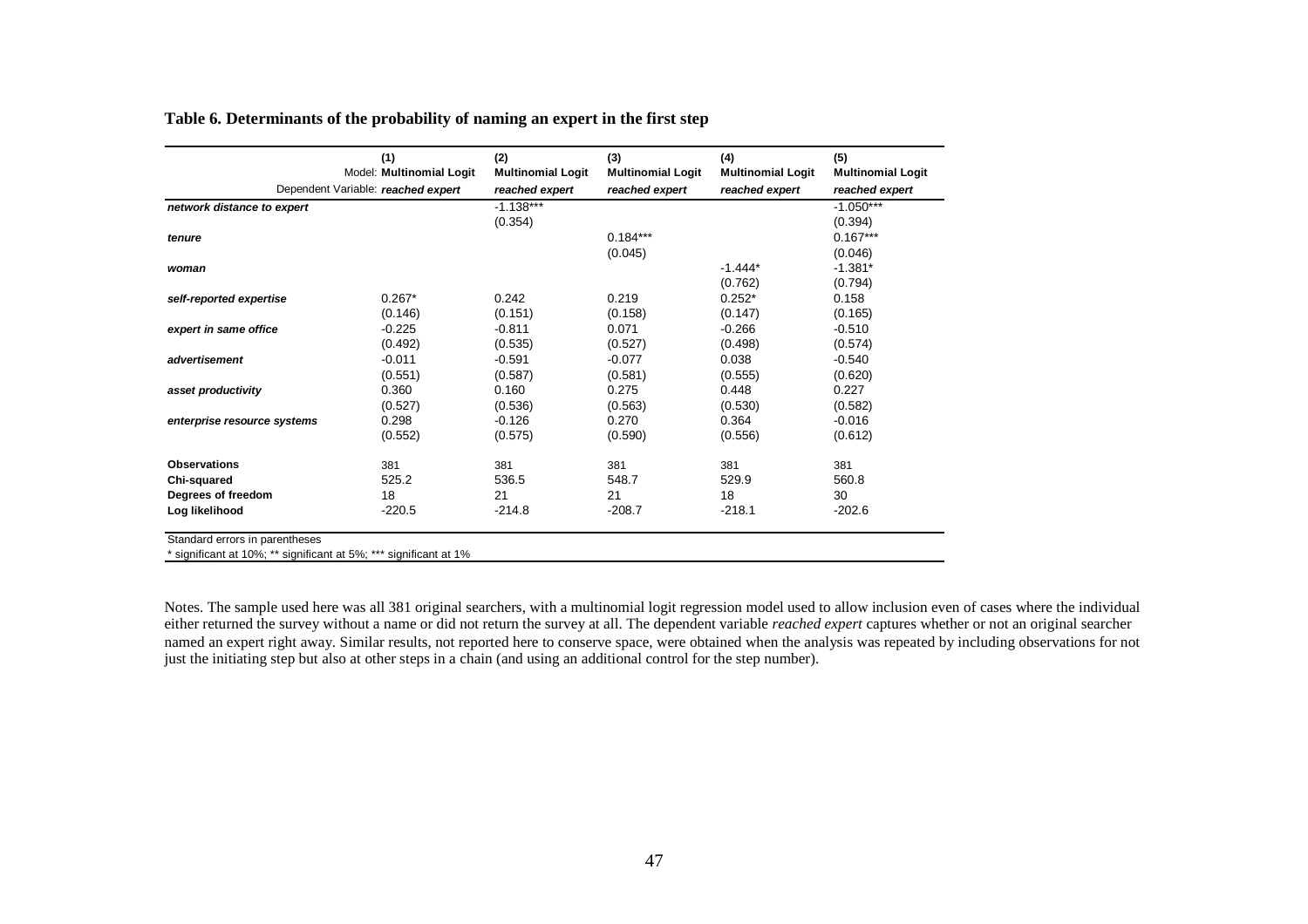#### **Table 6. Determinants of the probability of naming an expert in the first step**

|                             | (1)<br>Model: Multinomial Logit<br>Dependent Variable: reached expert | (2)<br><b>Multinomial Logit</b><br>reached expert | (3)<br><b>Multinomial Logit</b><br>reached expert | (4)<br><b>Multinomial Logit</b><br>reached expert | (5)<br><b>Multinomial Logit</b><br>reached expert |
|-----------------------------|-----------------------------------------------------------------------|---------------------------------------------------|---------------------------------------------------|---------------------------------------------------|---------------------------------------------------|
| network distance to expert  |                                                                       | $-1.138***$                                       |                                                   |                                                   | $-1.050***$                                       |
|                             |                                                                       | (0.354)                                           |                                                   |                                                   | (0.394)                                           |
| tenure                      |                                                                       |                                                   | $0.184***$                                        |                                                   | $0.167***$                                        |
|                             |                                                                       |                                                   | (0.045)                                           |                                                   | (0.046)                                           |
| woman                       |                                                                       |                                                   |                                                   | $-1.444*$                                         | $-1.381*$                                         |
|                             |                                                                       |                                                   |                                                   | (0.762)                                           | (0.794)                                           |
| self-reported expertise     | $0.267*$                                                              | 0.242                                             | 0.219                                             | $0.252*$                                          | 0.158                                             |
|                             | (0.146)                                                               | (0.151)                                           | (0.158)                                           | (0.147)                                           | (0.165)                                           |
| expert in same office       | $-0.225$                                                              | $-0.811$                                          | 0.071                                             | $-0.266$                                          | $-0.510$                                          |
|                             | (0.492)                                                               | (0.535)                                           | (0.527)                                           | (0.498)                                           | (0.574)                                           |
| advertisement               | $-0.011$                                                              | $-0.591$                                          | $-0.077$                                          | 0.038                                             | $-0.540$                                          |
|                             | (0.551)                                                               | (0.587)                                           | (0.581)                                           | (0.555)                                           | (0.620)                                           |
| asset productivity          | 0.360                                                                 | 0.160                                             | 0.275                                             | 0.448                                             | 0.227                                             |
|                             | (0.527)                                                               | (0.536)                                           | (0.563)                                           | (0.530)                                           | (0.582)                                           |
| enterprise resource systems | 0.298                                                                 | $-0.126$                                          | 0.270                                             | 0.364                                             | $-0.016$                                          |
|                             | (0.552)                                                               | (0.575)                                           | (0.590)                                           | (0.556)                                           | (0.612)                                           |
| <b>Observations</b>         | 381                                                                   | 381                                               | 381                                               | 381                                               | 381                                               |
| Chi-squared                 | 525.2                                                                 | 536.5                                             | 548.7                                             | 529.9                                             | 560.8                                             |
| Degrees of freedom          | 18                                                                    | 21                                                | 21                                                | 18                                                | 30                                                |
| Log likelihood              | $-220.5$                                                              | $-214.8$                                          | $-208.7$                                          | $-218.1$                                          | $-202.6$                                          |

Standard errors in parentheses \* significant at 10%; \*\* significant at 5%; \*\*\* significant at 1%

Notes. The sample used here was all 381 original searchers, with a multinomial logit regression model used to allow inclusion even of cases where the individual either returned the survey without a name or did not return the survey at all. The dependent variable *reached expert* captures whether or not an original searcher named an expert right away. Similar results, not reported here to conserve space, were obtained when the analysis was repeated by including observations for not just the initiating step but also at other steps in a chain (and using an additional control for the step number).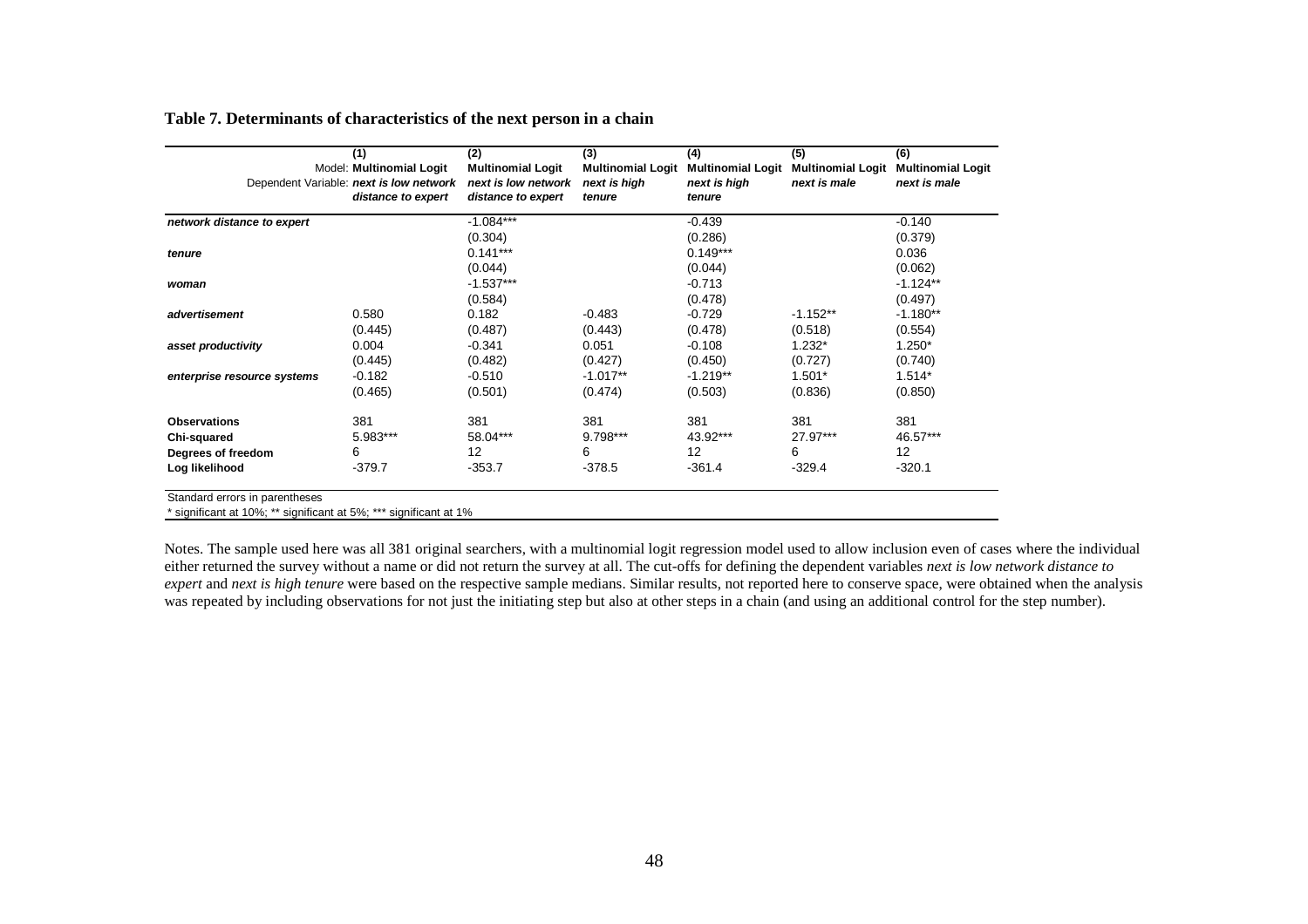#### **Table 7. Determinants of characteristics of the next person in a chain**

|                             | (1)<br>Model: Multinomial Logit<br>Dependent Variable: next is low network<br>distance to expert | (2)<br><b>Multinomial Logit</b><br>next is low network<br>distance to expert | (3)<br><b>Multinomial Logit</b><br>next is high<br>tenure | (4)<br><b>Multinomial Logit</b><br>next is high<br>tenure | (5)<br><b>Multinomial Logit</b><br>next is male | (6)<br><b>Multinomial Logit</b><br>next is male |
|-----------------------------|--------------------------------------------------------------------------------------------------|------------------------------------------------------------------------------|-----------------------------------------------------------|-----------------------------------------------------------|-------------------------------------------------|-------------------------------------------------|
| network distance to expert  |                                                                                                  | $-1.084***$                                                                  |                                                           | $-0.439$                                                  |                                                 | $-0.140$                                        |
|                             |                                                                                                  | (0.304)                                                                      |                                                           | (0.286)                                                   |                                                 | (0.379)                                         |
| tenure                      |                                                                                                  | $0.141***$                                                                   |                                                           | $0.149***$                                                |                                                 | 0.036                                           |
|                             |                                                                                                  | (0.044)                                                                      |                                                           | (0.044)                                                   |                                                 | (0.062)                                         |
| woman                       |                                                                                                  | $-1.537***$                                                                  |                                                           | $-0.713$                                                  |                                                 | $-1.124**$                                      |
|                             |                                                                                                  | (0.584)                                                                      |                                                           | (0.478)                                                   |                                                 | (0.497)                                         |
| advertisement               | 0.580                                                                                            | 0.182                                                                        | $-0.483$                                                  | $-0.729$                                                  | $-1.152**$                                      | $-1.180**$                                      |
|                             | (0.445)                                                                                          | (0.487)                                                                      | (0.443)                                                   | (0.478)                                                   | (0.518)                                         | (0.554)                                         |
| asset productivity          | 0.004                                                                                            | $-0.341$                                                                     | 0.051                                                     | $-0.108$                                                  | $1.232*$                                        | $1.250*$                                        |
|                             | (0.445)                                                                                          | (0.482)                                                                      | (0.427)                                                   | (0.450)                                                   | (0.727)                                         | (0.740)                                         |
| enterprise resource systems | $-0.182$                                                                                         | $-0.510$                                                                     | $-1.017**$                                                | $-1.219**$                                                | $1.501*$                                        | $1.514*$                                        |
|                             | (0.465)                                                                                          | (0.501)                                                                      | (0.474)                                                   | (0.503)                                                   | (0.836)                                         | (0.850)                                         |
| <b>Observations</b>         | 381                                                                                              | 381                                                                          | 381                                                       | 381                                                       | 381                                             | 381                                             |
| Chi-squared                 | 5.983***                                                                                         | 58.04***                                                                     | 9.798***                                                  | 43.92***                                                  | 27.97***                                        | 46.57***                                        |
| Degrees of freedom          | 6                                                                                                | 12                                                                           | 6                                                         | 12                                                        | 6                                               | $12 \overline{ }$                               |
| Log likelihood              | $-379.7$                                                                                         | $-353.7$                                                                     | $-378.5$                                                  | $-361.4$                                                  | $-329.4$                                        | $-320.1$                                        |

Notes. The sample used here was all 381 original searchers, with a multinomial logit regression model used to allow inclusion even of cases where the individual either returned the survey without a name or did not return the survey at all. The cut-offs for defining the dependent variables *next is low network distance to expert* and *next is high tenure* were based on the respective sample medians. Similar results, not reported here to conserve space, were obtained when the analysis was repeated by including observations for not just the initiating step but also at other steps in a chain (and using an additional control for the step number).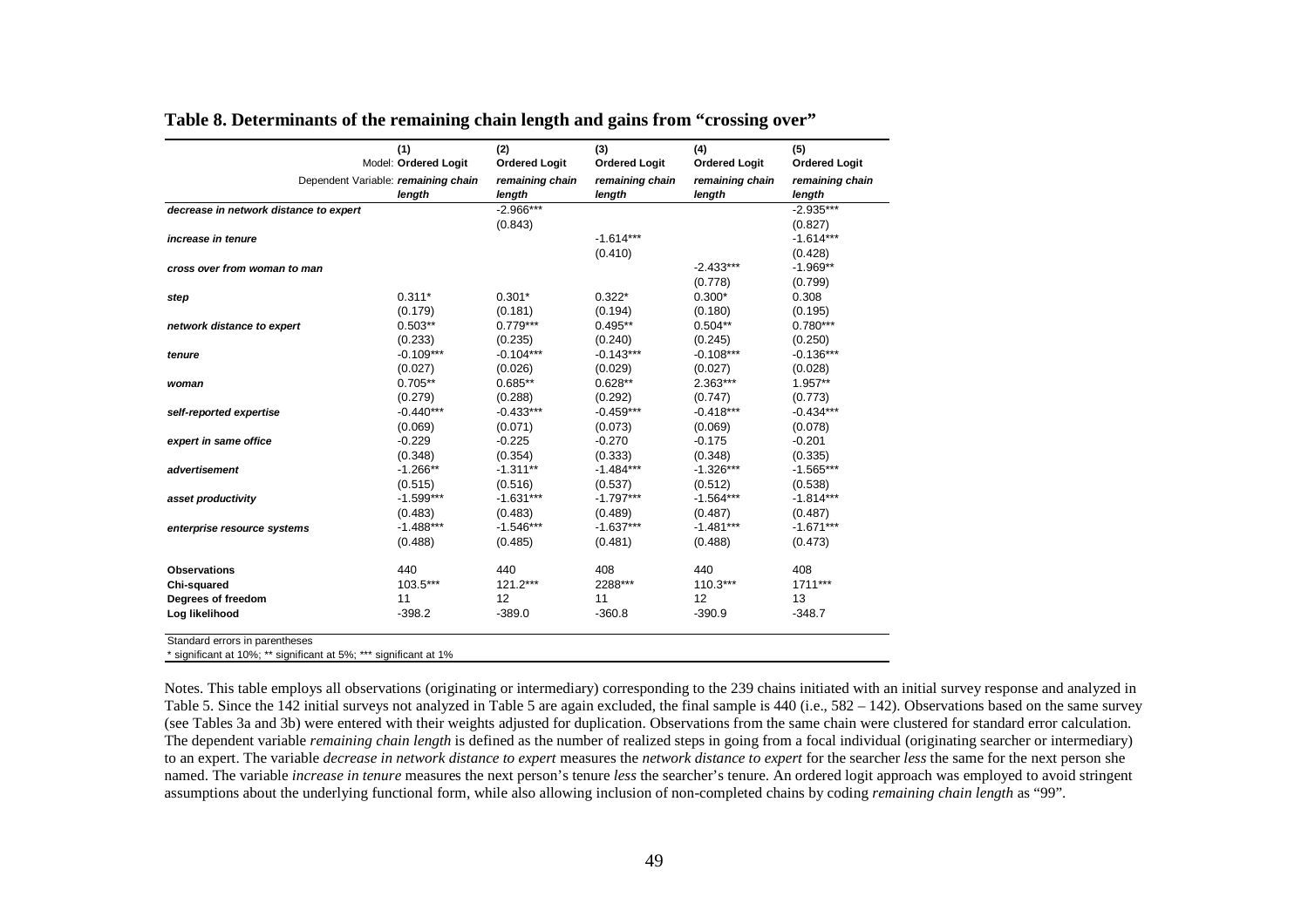|                                                                   |                                     | (1)<br>Model: Ordered Logit | (2)<br><b>Ordered Logit</b> | (3)<br><b>Ordered Logit</b> | (4)<br><b>Ordered Logit</b> | (5)<br><b>Ordered Logit</b> |
|-------------------------------------------------------------------|-------------------------------------|-----------------------------|-----------------------------|-----------------------------|-----------------------------|-----------------------------|
|                                                                   | Dependent Variable: remaining chain | length                      | remaining chain<br>length   | remaining chain<br>length   | remaining chain<br>length   | remaining chain<br>length   |
| decrease in network distance to expert                            |                                     |                             | $-2.966***$                 |                             |                             | $-2.935***$                 |
|                                                                   |                                     |                             | (0.843)                     |                             |                             | (0.827)                     |
| increase in tenure                                                |                                     |                             |                             | $-1.614***$                 |                             | $-1.614***$                 |
|                                                                   |                                     |                             |                             | (0.410)                     |                             | (0.428)                     |
| cross over from woman to man                                      |                                     |                             |                             |                             | $-2.433***$                 | $-1.969**$                  |
|                                                                   |                                     |                             |                             |                             | (0.778)                     | (0.799)                     |
| step                                                              |                                     | $0.311*$                    | $0.301*$                    | $0.322*$                    | $0.300*$                    | 0.308                       |
|                                                                   |                                     | (0.179)                     | (0.181)                     | (0.194)                     | (0.180)                     | (0.195)                     |
| network distance to expert                                        |                                     | $0.503**$                   | $0.779***$                  | $0.495**$                   | $0.504**$                   | $0.780***$                  |
|                                                                   |                                     | (0.233)                     | (0.235)                     | (0.240)                     | (0.245)                     | (0.250)                     |
| tenure                                                            |                                     | $-0.109***$                 | $-0.104***$                 | $-0.143***$                 | $-0.108***$                 | $-0.136***$                 |
|                                                                   |                                     | (0.027)                     | (0.026)                     | (0.029)                     | (0.027)                     | (0.028)                     |
| woman                                                             |                                     | $0.705**$                   | $0.685**$                   | $0.628**$                   | $2.363***$                  | $1.957**$                   |
|                                                                   |                                     | (0.279)                     | (0.288)                     | (0.292)                     | (0.747)                     | (0.773)                     |
| self-reported expertise                                           |                                     | $-0.440***$                 | $-0.433***$                 | $-0.459***$                 | $-0.418***$                 | $-0.434***$                 |
|                                                                   |                                     | (0.069)                     | (0.071)                     | (0.073)                     | (0.069)                     | (0.078)                     |
| expert in same office                                             |                                     | $-0.229$                    | $-0.225$                    | $-0.270$                    | $-0.175$                    | $-0.201$                    |
|                                                                   |                                     | (0.348)                     | (0.354)                     | (0.333)                     | (0.348)                     | (0.335)                     |
| advertisement                                                     |                                     | $-1.266**$                  | $-1.311**$                  | $-1.484***$                 | $-1.326***$                 | $-1.565***$                 |
|                                                                   |                                     | (0.515)                     | (0.516)                     | (0.537)                     | (0.512)                     | (0.538)                     |
| asset productivity                                                |                                     | $-1.599***$                 | $-1.631***$                 | $-1.797***$                 | $-1.564***$                 | $-1.814***$                 |
|                                                                   |                                     | (0.483)                     | (0.483)                     | (0.489)                     | (0.487)                     | (0.487)                     |
| enterprise resource systems                                       |                                     | $-1.488***$                 | $-1.546***$                 | $-1.637***$                 | $-1.481***$                 | $-1.671***$                 |
|                                                                   |                                     | (0.488)                     | (0.485)                     | (0.481)                     | (0.488)                     | (0.473)                     |
| <b>Observations</b>                                               |                                     | 440                         | 440                         | 408                         | 440                         | 408                         |
| Chi-squared                                                       |                                     | 103.5***                    | $121.2***$                  | 2288***                     | $110.3***$                  | $1711***$                   |
| Degrees of freedom                                                |                                     | 11                          | 12                          | 11                          | 12                          | 13                          |
| Log likelihood                                                    |                                     | $-398.2$                    | $-389.0$                    | $-360.8$                    | $-390.9$                    | $-348.7$                    |
| Standard errors in parentheses                                    |                                     |                             |                             |                             |                             |                             |
| * significant at 10%; ** significant at 5%; *** significant at 1% |                                     |                             |                             |                             |                             |                             |

# **Table 8. Determinants of the remaining chain length and gains from "crossing over"**

Notes. This table employs all observations (originating or intermediary) corresponding to the 239 chains initiated with an initial survey response and analyzed in Table 5. Since the 142 initial surveys not analyzed in Table 5 are again excluded, the final sample is 440 (i.e., 582 – 142). Observations based on the same survey (see Tables 3a and 3b) were entered with their weights adjusted for duplication. Observations from the same chain were clustered for standard error calculation. The dependent variable *remaining chain length* is defined as the number of realized steps in going from a focal individual (originating searcher or intermediary) to an expert. The variable *decrease in network distance to expert* measures the *network distance to expert* for the searcher *less* the same for the next person she named. The variable *increase in tenure* measures the next person's tenure *less* the searcher's tenure. An ordered logit approach was employed to avoid stringent assumptions about the underlying functional form, while also allowing inclusion of non-completed chains by coding *remaining chain length* as "99".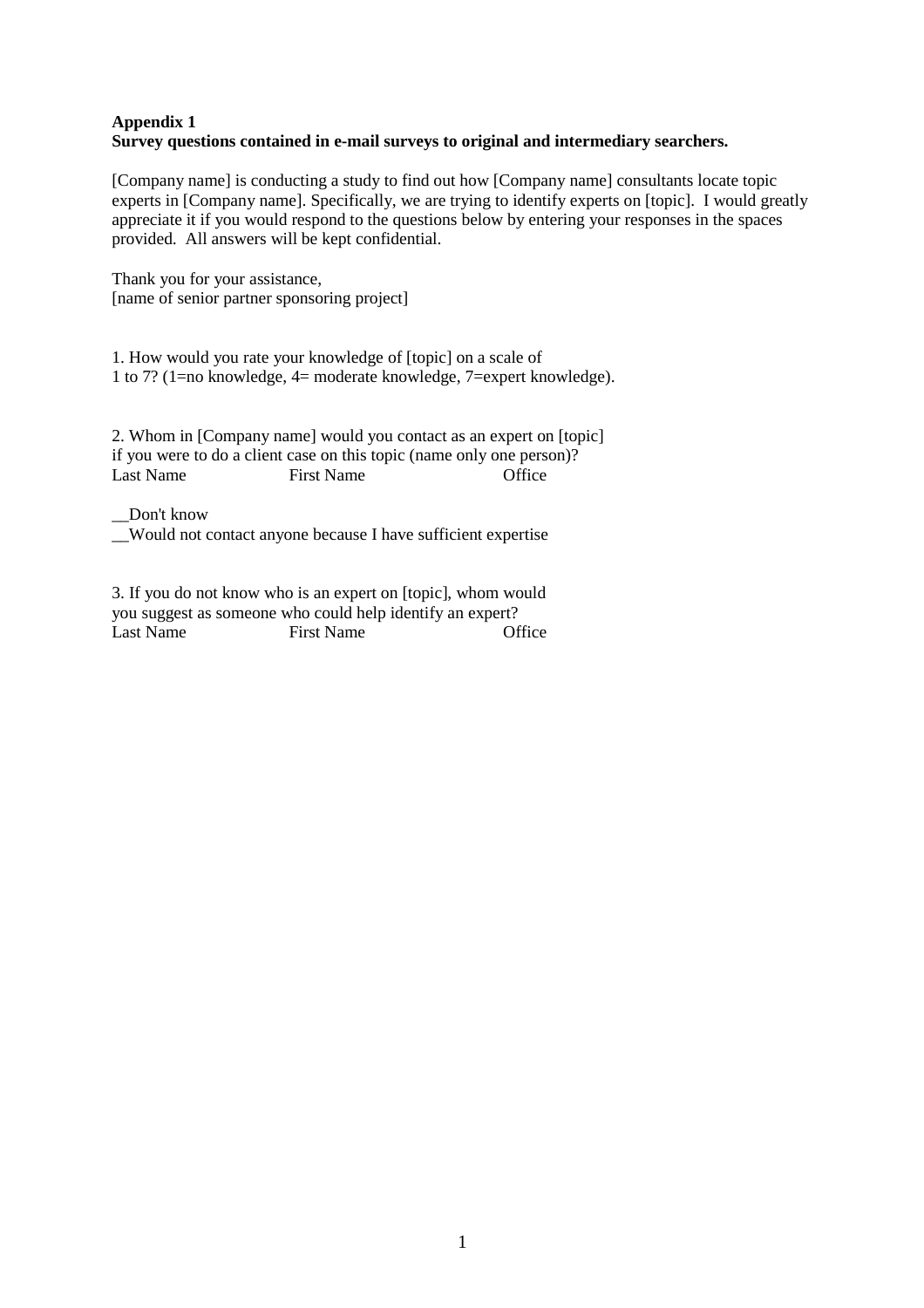## **Appendix 1 Survey questions contained in e-mail surveys to original and intermediary searchers.**

[Company name] is conducting a study to find out how [Company name] consultants locate topic experts in [Company name]. Specifically, we are trying to identify experts on [topic]. I would greatly appreciate it if you would respond to the questions below by entering your responses in the spaces provided. All answers will be kept confidential.

Thank you for your assistance, [name of senior partner sponsoring project]

1. How would you rate your knowledge of [topic] on a scale of 1 to 7? (1=no knowledge, 4= moderate knowledge, 7=expert knowledge).

2. Whom in [Company name] would you contact as an expert on [topic] if you were to do a client case on this topic (name only one person)? Last Name First Name Office

\_\_Don't know

\_\_Would not contact anyone because I have sufficient expertise

3. If you do not know who is an expert on [topic], whom would you suggest as someone who could help identify an expert? Last Name First Name Office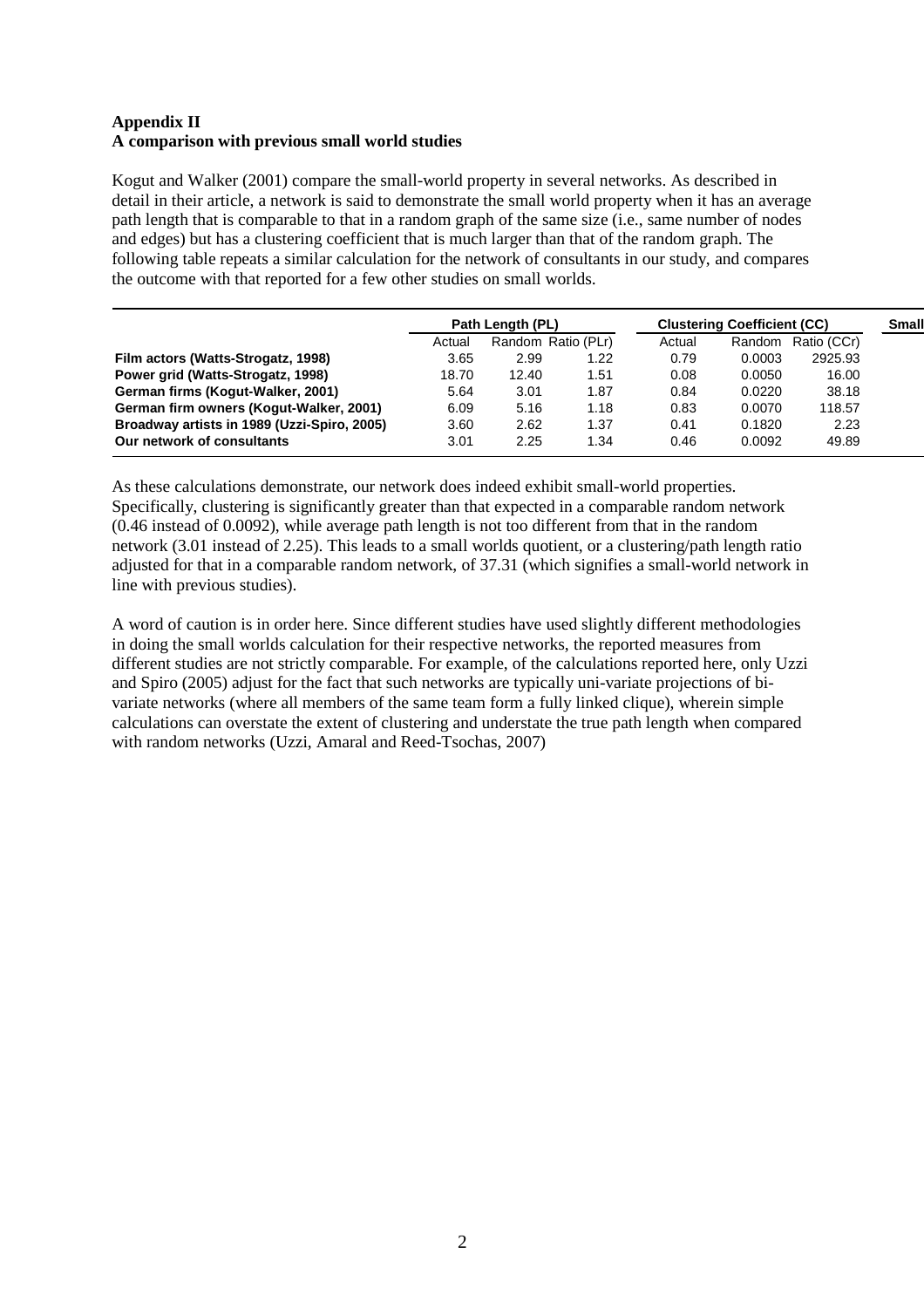# **Appendix II A comparison with previous small world studies**

Kogut and Walker (2001) compare the small-world property in several networks. As described in detail in their article, a network is said to demonstrate the small world property when it has an average path length that is comparable to that in a random graph of the same size (i.e., same number of nodes and edges) but has a clustering coefficient that is much larger than that of the random graph. The following table repeats a similar calculation for the network of consultants in our study, and compares the outcome with that reported for a few other studies on small worlds.

|                                             |        | Path Length (PL) |                    |        | <b>Clustering Coefficient (CC)</b> |             |
|---------------------------------------------|--------|------------------|--------------------|--------|------------------------------------|-------------|
|                                             | Actual |                  | Random Ratio (PLr) | Actual | Random                             | Ratio (CCr) |
| Film actors (Watts-Strogatz, 1998)          | 3.65   | 2.99             | 1.22               | 0.79   | 0.0003                             | 2925.93     |
| Power grid (Watts-Strogatz, 1998)           | 18.70  | 12.40            | 1.51               | 0.08   | 0.0050                             | 16.00       |
| German firms (Kogut-Walker, 2001)           | 5.64   | 3.01             | 1.87               | 0.84   | 0.0220                             | 38.18       |
| German firm owners (Kogut-Walker, 2001)     | 6.09   | 5.16             | 1.18               | 0.83   | 0.0070                             | 118.57      |
| Broadway artists in 1989 (Uzzi-Spiro, 2005) | 3.60   | 2.62             | 1.37               | 0.41   | 0.1820                             | 2.23        |
| Our network of consultants                  | 3.01   | 2.25             | 1.34               | 0.46   | 0.0092                             | 49.89       |
|                                             |        |                  |                    |        |                                    |             |

As these calculations demonstrate, our network does indeed exhibit small-world properties. Specifically, clustering is significantly greater than that expected in a comparable random network (0.46 instead of 0.0092), while average path length is not too different from that in the random network (3.01 instead of 2.25). This leads to a small worlds quotient, or a clustering/path length ratio adjusted for that in a comparable random network, of 37.31 (which signifies a small-world network in line with previous studies).

A word of caution is in order here. Since different studies have used slightly different methodologies in doing the small worlds calculation for their respective networks, the reported measures from different studies are not strictly comparable. For example, of the calculations reported here, only Uzzi and Spiro (2005) adjust for the fact that such networks are typically uni-variate projections of bivariate networks (where all members of the same team form a fully linked clique), wherein simple calculations can overstate the extent of clustering and understate the true path length when compared with random networks (Uzzi, Amaral and Reed-Tsochas, 2007)